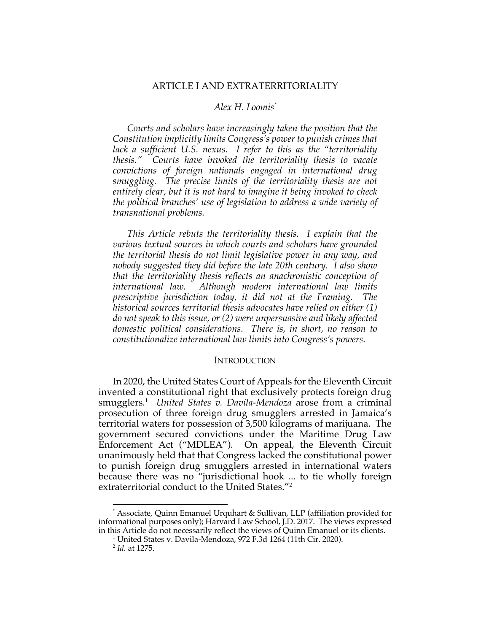### ARTICLE I AND EXTRATERRITORIALITY

### *Alex H. Loomis\**

*Courts and scholars have increasingly taken the position that the Constitution implicitly limits Congress's power to punish crimes that*  lack a sufficient U.S. nexus. I refer to this as the "territoriality *thesis." Courts have invoked the territoriality thesis to vacate convictions of foreign nationals engaged in international drug smuggling. The precise limits of the territoriality thesis are not entirely clear, but it is not hard to imagine it being invoked to check the political branches' use of legislation to address a wide variety of transnational problems.*

*This Article rebuts the territoriality thesis. I explain that the various textual sources in which courts and scholars have grounded the territorial thesis do not limit legislative power in any way, and nobody suggested they did before the late 20th century. I also show that the territoriality thesis reflects an anachronistic conception of international law. Although modern international law limits prescriptive jurisdiction today, it did not at the Framing. The historical sources territorial thesis advocates have relied on either (1) do not speak to this issue, or (2) were unpersuasive and likely affected domestic political considerations. There is, in short, no reason to constitutionalize international law limits into Congress's powers.*

### **INTRODUCTION**

In 2020, the United States Court of Appeals for the Eleventh Circuit invented a constitutional right that exclusively protects foreign drug smugglers. 1 *United States v. Davila-Mendoza* arose from a criminal prosecution of three foreign drug smugglers arrested in Jamaica's territorial waters for possession of 3,500 kilograms of marijuana. The government secured convictions under the Maritime Drug Law Enforcement Act ("MDLEA"). On appeal, the Eleventh Circuit unanimously held that that Congress lacked the constitutional power to punish foreign drug smugglers arrested in international waters because there was no "jurisdictional hook ... to tie wholly foreign extraterritorial conduct to the United States."2

<sup>\*</sup> Associate, Quinn Emanuel Urquhart & Sullivan, LLP (affiliation provided for informational purposes only); Harvard Law School, J.D. 2017. The views expressed in this Article do not necessarily reflect the views of Quinn Emanuel or its clients. 1 United States v. Davila-Mendoza, 972 F.3d 1264 (11th Cir. 2020).

<sup>2</sup> *Id.* at 1275.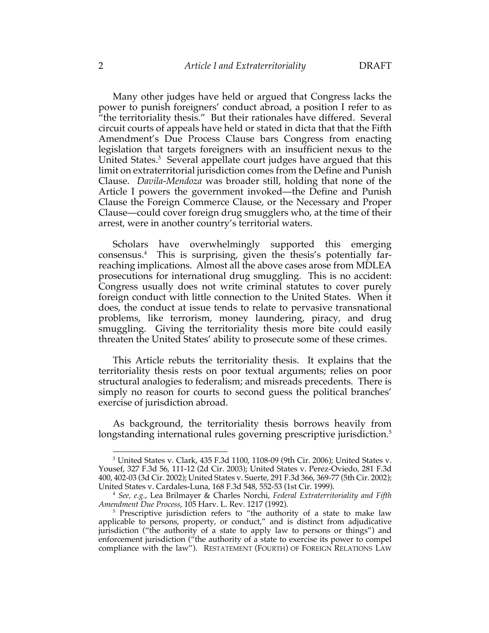Many other judges have held or argued that Congress lacks the power to punish foreigners' conduct abroad, a position I refer to as "the territoriality thesis." But their rationales have differed. Several circuit courts of appeals have held or stated in dicta that that the Fifth Amendment's Due Process Clause bars Congress from enacting legislation that targets foreigners with an insufficient nexus to the United States.<sup>3</sup> Several appellate court judges have argued that this limit on extraterritorial jurisdiction comes from the Define and Punish Clause. *Davila-Mendoza* was broader still, holding that none of the Article I powers the government invoked—the Define and Punish Clause the Foreign Commerce Clause, or the Necessary and Proper Clause—could cover foreign drug smugglers who, at the time of their arrest, were in another country's territorial waters.

Scholars have overwhelmingly supported this emerging consensus.4 This is surprising, given the thesis's potentially farreaching implications. Almost all the above cases arose from MDLEA prosecutions for international drug smuggling. This is no accident: Congress usually does not write criminal statutes to cover purely foreign conduct with little connection to the United States. When it does, the conduct at issue tends to relate to pervasive transnational problems, like terrorism, money laundering, piracy, and drug smuggling. Giving the territoriality thesis more bite could easily threaten the United States' ability to prosecute some of these crimes.

This Article rebuts the territoriality thesis. It explains that the territoriality thesis rests on poor textual arguments; relies on poor structural analogies to federalism; and misreads precedents. There is simply no reason for courts to second guess the political branches' exercise of jurisdiction abroad.

As background, the territoriality thesis borrows heavily from longstanding international rules governing prescriptive jurisdiction.<sup>5</sup>

<sup>&</sup>lt;sup>3</sup> United States v. Clark, 435 F.3d 1100, 1108-09 (9th Cir. 2006); United States v. Yousef, 327 F.3d 56, 111-12 (2d Cir. 2003); United States v. Perez-Oviedo, 281 F.3d 400, 402-03 (3d Cir. 2002); United States v. Suerte, 291 F.3d 366, 369-77 (5th Cir. 2002); United States v. Cardales-Luna, 168 F.3d 548, 552-53 (1st Cir. 1999). 4 *See, e.g.*, Lea Brilmayer & Charles Norchi, *Federal Extraterritoriality and Fifth* 

*Amendment Due Process*, 105 Harv. L. Rev. 1217 (1992).

<sup>&</sup>lt;sup>5</sup> Prescriptive jurisdiction refers to "the authority of a state to make law applicable to persons, property, or conduct," and is distinct from adjudicative jurisdiction ("the authority of a state to apply law to persons or things") and enforcement jurisdiction ("the authority of a state to exercise its power to compel compliance with the law"). RESTATEMENT (FOURTH) OF FOREIGN RELATIONS LAW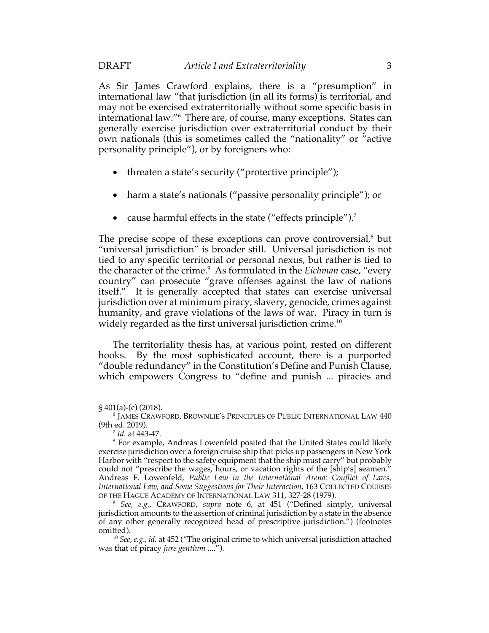As Sir James Crawford explains, there is a "presumption" in international law "that jurisdiction (in all its forms) is territorial, and may not be exercised extraterritorially without some specific basis in international law."6 There are, of course, many exceptions. States can generally exercise jurisdiction over extraterritorial conduct by their own nationals (this is sometimes called the "nationality" or "active personality principle"), or by foreigners who:

- threaten a state's security ("protective principle");
- harm a state's nationals ("passive personality principle"); or
- cause harmful effects in the state ("effects principle").<sup>7</sup>

The precise scope of these exceptions can prove controversial, $\delta$  but "universal jurisdiction" is broader still. Universal jurisdiction is not tied to any specific territorial or personal nexus, but rather is tied to the character of the crime. 9 As formulated in the *Eichman* case, "every country" can prosecute "grave offenses against the law of nations itself." It is generally accepted that states can exercise universal jurisdiction over at minimum piracy, slavery, genocide, crimes against humanity, and grave violations of the laws of war. Piracy in turn is widely regarded as the first universal jurisdiction crime.<sup>10</sup>

The territoriality thesis has, at various point, rested on different hooks. By the most sophisticated account, there is a purported "double redundancy" in the Constitution's Define and Punish Clause, which empowers Congress to "define and punish ... piracies and

<sup>§</sup> 401(a)-(c) (2018).

<sup>6</sup> JAMES CRAWFORD, BROWNLIE'S PRINCIPLES OF PUBLIC INTERNATIONAL LAW 440 (9th ed. 2019).

<sup>7</sup> *Id.* at 443-47.

<sup>8</sup> For example, Andreas Lowenfeld posited that the United States could likely exercise jurisdiction over a foreign cruise ship that picks up passengers in New York Harbor with "respect to the safety equipment that the ship must carry" but probably could not "prescribe the wages, hours, or vacation rights of the [ship's] seamen." Andreas F. Lowenfeld, *Public Law in the International Arena: Conflict of Laws, International Law, and Some Suggestions for Their Interaction*, 163 COLLECTED COURSES OF THE HAGUE ACADEMY OF INTERNATIONAL LAW 311, 327-28 (1979).

<sup>9</sup> *See, e.g.*, CRAWFORD, *supra* note 6, at 451 ("Defined simply, universal jurisdiction amounts to the assertion of criminal jurisdiction by a state in the absence of any other generally recognized head of prescriptive jurisdiction.") (footnotes omitted).

<sup>10</sup> *See, e.g*., *id.* at 452 ("The original crime to which universal jurisdiction attached was that of piracy *jure gentium* ....").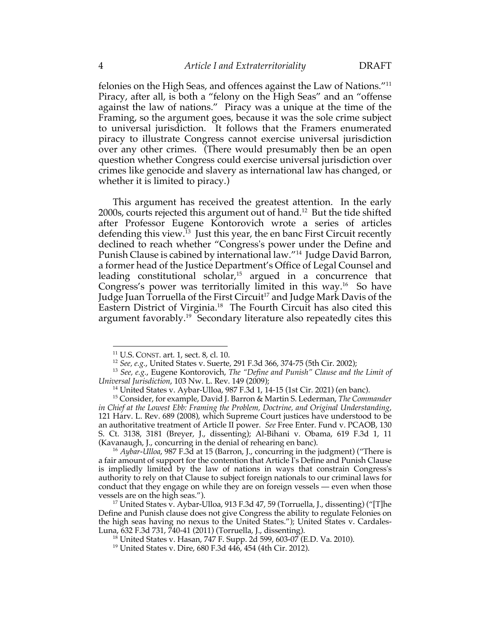felonies on the High Seas, and offences against the Law of Nations."11 Piracy, after all, is both a "felony on the High Seas" and an "offense against the law of nations." Piracy was a unique at the time of the Framing, so the argument goes, because it was the sole crime subject to universal jurisdiction. It follows that the Framers enumerated piracy to illustrate Congress cannot exercise universal jurisdiction over any other crimes. (There would presumably then be an open question whether Congress could exercise universal jurisdiction over crimes like genocide and slavery as international law has changed, or whether it is limited to piracy.)

This argument has received the greatest attention. In the early 2000s, courts rejected this argument out of hand.12 But the tide shifted after Professor Eugene Kontorovich wrote a series of articles defending this view.<sup>13</sup> Just this year, the en banc First Circuit recently declined to reach whether "Congress's power under the Define and Punish Clause is cabined by international law."<sup>14</sup> Judge David Barron, a former head of the Justice Department's Office of Legal Counsel and leading constitutional scholar,<sup>15</sup> argued in a concurrence that Congress's power was territorially limited in this way.<sup>16</sup> So have Judge Juan Torruella of the First Circuit<sup>17</sup> and Judge Mark Davis of the Eastern District of Virginia.18 The Fourth Circuit has also cited this argument favorably.<sup>19</sup> Secondary literature also repeatedly cites this

<sup>&</sup>lt;sup>11</sup> U.S. CONST. art. 1, sect. 8, cl. 10.<br><sup>12</sup> *See, e.g.*, United States v. Suerte, 291 F.3d 366, 374-75 (5th Cir. 2002); <sup>13</sup> *See, e.g.*, Eugene Kontorovich, *The "Define and Punish" Clause and the Limit of Universal Jurisdiction*, 103 Nw. L. Rev. 149 (2009); 14 United States v. Aybar-Ulloa, 987 F.3d 1, 14-15 (1st Cir. 2021) (en banc).

<sup>15</sup> Consider, for example, David J. Barron & Martin S. Lederman, *The Commander in Chief at the Lowest Ebb: Framing the Problem, Doctrine, and Original Understanding*, 121 Harv. L. Rev. 689 (2008), which Supreme Court justices have understood to be an authoritative treatment of Article II power. *See* Free Enter. Fund v. PCAOB, 130 S. Ct. 3138, 3181 (Breyer, J., dissenting); Al-Bihani v. Obama, 619 F.3d 1, 11 (Kavanaugh, J., concurring in the denial of rehearing en banc).

<sup>16</sup> *Aybar-Ulloa*, 987 F.3d at 15 (Barron, J., concurring in the judgment) ("There is a fair amount of support for the contention that Article I's Define and Punish Clause is impliedly limited by the law of nations in ways that constrain Congress's authority to rely on that Clause to subject foreign nationals to our criminal laws for conduct that they engage on while they are on foreign vessels — even when those vessels are on the high seas.").

<sup>17</sup> United States v. Aybar-Ulloa, 913 F.3d 47, 59 (Torruella, J., dissenting) ("[T]he Define and Punish clause does not give Congress the ability to regulate Felonies on the high seas having no nexus to the United States."); United States v. Cardales-Luna, 632 F.3d 731, 740-41 (2011) (Torruella, J., dissenting).

<sup>18</sup> United States v. Hasan, 747 F. Supp. 2d 599, 603-07 (E.D. Va. 2010).

<sup>19</sup> United States v. Dire, 680 F.3d 446, 454 (4th Cir. 2012).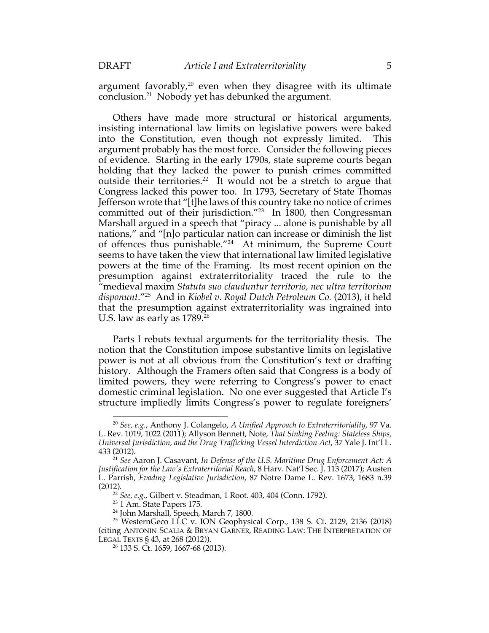argument favorably, $20$  even when they disagree with its ultimate conclusion.21 Nobody yet has debunked the argument.

Others have made more structural or historical arguments, insisting international law limits on legislative powers were baked into the Constitution, even though not expressly limited. This argument probably has the most force. Consider the following pieces of evidence. Starting in the early 1790s, state supreme courts began holding that they lacked the power to punish crimes committed outside their territories.<sup>22</sup> It would not be a stretch to argue that Congress lacked this power too. In 1793, Secretary of State Thomas Jefferson wrote that "[t]he laws of this country take no notice of crimes committed out of their jurisdiction."23 In 1800, then Congressman Marshall argued in a speech that "piracy ... alone is punishable by all nations," and "[n]o particular nation can increase or diminish the list of offences thus punishable."24 At minimum, the Supreme Court seems to have taken the view that international law limited legislative powers at the time of the Framing. Its most recent opinion on the presumption against extraterritoriality traced the rule to the "medieval maxim *Statuta suo clauduntur territorio, nec ultra territorium disponunt*."25 And in *Kiobel v. Royal Dutch Petroleum Co.* (2013), it held that the presumption against extraterritoriality was ingrained into U.S. law as early as 1789.<sup>26</sup>

Parts I rebuts textual arguments for the territoriality thesis. The notion that the Constitution impose substantive limits on legislative power is not at all obvious from the Constitution's text or drafting history. Although the Framers often said that Congress is a body of limited powers, they were referring to Congress's power to enact domestic criminal legislation. No one ever suggested that Article I's structure impliedly limits Congress's power to regulate foreigners'

<sup>20</sup> *See, e.g.*, Anthony J. Colangelo, *A Unified Approach to Extraterritoriality*, 97 Va. L. Rev. 1019, 1022 (2011); Allyson Bennett, Note, *That Sinking Feeling: Stateless Ships, Universal Jurisdiction, and the Drug Trafficking Vessel Interdiction Act*, 37 Yale J. Int'l L. 433 (2012).

<sup>21</sup> *See* Aaron J. Casavant, *In Defense of the U.S. Maritime Drug Enforcement Act: A Justification for the Law's Extraterritorial Reach*, 8 Harv. Nat'l Sec. J. 113 (2017); Austen L. Parrish, *Evading Legislative Jurisdiction*, 87 Notre Dame L. Rev. 1673, 1683 n.39 (2012).

<sup>22</sup> *See, e.g.*, Gilbert v. Steadman, 1 Root. 403, 404 (Conn. 1792).

<sup>&</sup>lt;sup>23</sup> 1 Am. State Papers 175.

<sup>24</sup> John Marshall, Speech, March 7, 1800.

<sup>25</sup> WesternGeco LLC v. ION Geophysical Corp., 138 S. Ct. 2129, 2136 (2018) (citing ANTONIN SCALIA & BRYAN GARNER, READING LAW: THE INTERPRETATION OF LEGAL TEXTS § 43, at 268 (2012)).

<sup>26</sup> 133 S. Ct. 1659, 1667-68 (2013).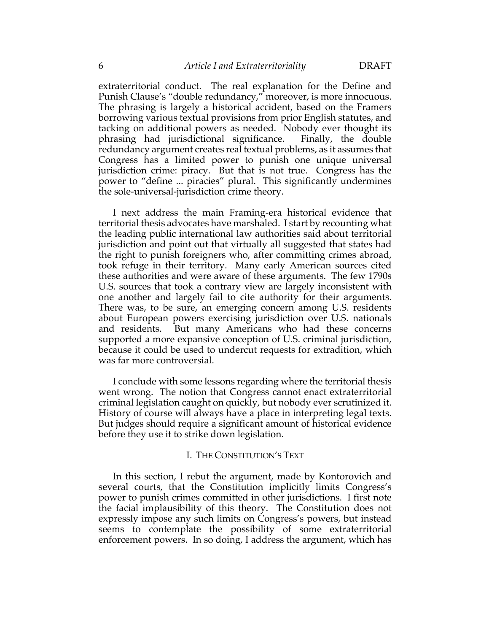extraterritorial conduct. The real explanation for the Define and Punish Clause's "double redundancy," moreover, is more innocuous. The phrasing is largely a historical accident, based on the Framers borrowing various textual provisions from prior English statutes, and tacking on additional powers as needed. Nobody ever thought its phrasing had jurisdictional significance. Finally, the double redundancy argument creates real textual problems, as it assumes that Congress has a limited power to punish one unique universal jurisdiction crime: piracy. But that is not true. Congress has the power to "define ... piracies" plural. This significantly undermines the sole-universal-jurisdiction crime theory.

I next address the main Framing-era historical evidence that territorial thesis advocates have marshaled. I start by recounting what the leading public international law authorities said about territorial jurisdiction and point out that virtually all suggested that states had the right to punish foreigners who, after committing crimes abroad, took refuge in their territory. Many early American sources cited these authorities and were aware of these arguments. The few 1790s U.S. sources that took a contrary view are largely inconsistent with one another and largely fail to cite authority for their arguments. There was, to be sure, an emerging concern among U.S. residents about European powers exercising jurisdiction over U.S. nationals and residents. But many Americans who had these concerns supported a more expansive conception of U.S. criminal jurisdiction, because it could be used to undercut requests for extradition, which was far more controversial.

I conclude with some lessons regarding where the territorial thesis went wrong. The notion that Congress cannot enact extraterritorial criminal legislation caught on quickly, but nobody ever scrutinized it. History of course will always have a place in interpreting legal texts. But judges should require a significant amount of historical evidence before they use it to strike down legislation.

#### I. THE CONSTITUTION'S TEXT

In this section, I rebut the argument, made by Kontorovich and several courts, that the Constitution implicitly limits Congress's power to punish crimes committed in other jurisdictions. I first note the facial implausibility of this theory. The Constitution does not expressly impose any such limits on Congress's powers, but instead seems to contemplate the possibility of some extraterritorial enforcement powers. In so doing, I address the argument, which has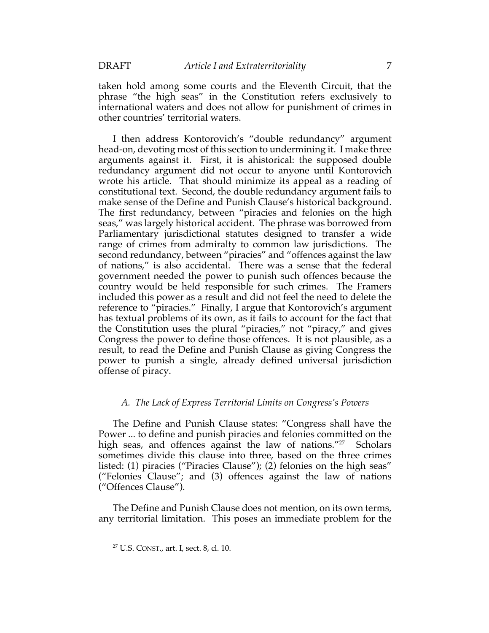taken hold among some courts and the Eleventh Circuit, that the phrase "the high seas" in the Constitution refers exclusively to international waters and does not allow for punishment of crimes in other countries' territorial waters.

I then address Kontorovich's "double redundancy" argument head-on, devoting most of this section to undermining it. I make three arguments against it. First, it is ahistorical: the supposed double redundancy argument did not occur to anyone until Kontorovich wrote his article. That should minimize its appeal as a reading of constitutional text. Second, the double redundancy argument fails to make sense of the Define and Punish Clause's historical background. The first redundancy, between "piracies and felonies on the high seas," was largely historical accident. The phrase was borrowed from Parliamentary jurisdictional statutes designed to transfer a wide range of crimes from admiralty to common law jurisdictions. The second redundancy, between "piracies" and "offences against the law of nations," is also accidental. There was a sense that the federal government needed the power to punish such offences because the country would be held responsible for such crimes. The Framers included this power as a result and did not feel the need to delete the reference to "piracies." Finally, I argue that Kontorovich's argument has textual problems of its own, as it fails to account for the fact that the Constitution uses the plural "piracies," not "piracy," and gives Congress the power to define those offences. It is not plausible, as a result, to read the Define and Punish Clause as giving Congress the power to punish a single, already defined universal jurisdiction offense of piracy.

## *A. The Lack of Express Territorial Limits on Congress's Powers*

The Define and Punish Clause states: "Congress shall have the Power ... to define and punish piracies and felonies committed on the high seas, and offences against the law of nations."<sup>27</sup> Scholars sometimes divide this clause into three, based on the three crimes listed: (1) piracies ("Piracies Clause"); (2) felonies on the high seas" ("Felonies Clause"; and (3) offences against the law of nations ("Offences Clause").

The Define and Punish Clause does not mention, on its own terms, any territorial limitation. This poses an immediate problem for the

<sup>27</sup> U.S. CONST., art. I, sect. 8, cl. 10.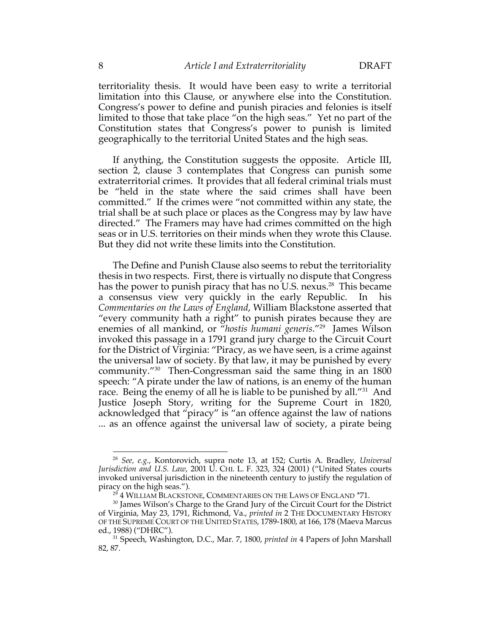territoriality thesis. It would have been easy to write a territorial limitation into this Clause, or anywhere else into the Constitution. Congress's power to define and punish piracies and felonies is itself limited to those that take place "on the high seas." Yet no part of the Constitution states that Congress's power to punish is limited geographically to the territorial United States and the high seas.

If anything, the Constitution suggests the opposite. Article III, section 2, clause 3 contemplates that Congress can punish some extraterritorial crimes. It provides that all federal criminal trials must be "held in the state where the said crimes shall have been committed." If the crimes were "not committed within any state, the trial shall be at such place or places as the Congress may by law have directed." The Framers may have had crimes committed on the high seas or in U.S. territories on their minds when they wrote this Clause. But they did not write these limits into the Constitution.

The Define and Punish Clause also seems to rebut the territoriality thesis in two respects. First, there is virtually no dispute that Congress has the power to punish piracy that has no U.S. nexus.<sup>28</sup> This became a consensus view very quickly in the early Republic. In his *Commentaries on the Laws of England*, William Blackstone asserted that "every community hath a right" to punish pirates because they are enemies of all mankind, or "*hostis humani generis*."29 James Wilson invoked this passage in a 1791 grand jury charge to the Circuit Court for the District of Virginia: "Piracy, as we have seen, is a crime against the universal law of society. By that law, it may be punished by every community."30 Then-Congressman said the same thing in an 1800 speech: "A pirate under the law of nations, is an enemy of the human race. Being the enemy of all he is liable to be punished by all."<sup>31</sup> And Justice Joseph Story, writing for the Supreme Court in 1820, acknowledged that "piracy" is "an offence against the law of nations ... as an offence against the universal law of society, a pirate being

<sup>28</sup> *See, e.g.*, Kontorovich, supra note 13, at 152; Curtis A. Bradley, *Universal Jurisdiction and U.S. Law*, 2001 U. CHI. L. F. 323, 324 (2001) ("United States courts invoked universal jurisdiction in the nineteenth century to justify the regulation of piracy on the high seas.").

<sup>&</sup>lt;sup>29</sup> 4 WILLIAM BLACKSTONE, COMMENTARIES ON THE LAWS OF ENGLAND \*71.

<sup>&</sup>lt;sup>30</sup> James Wilson's Charge to the Grand Jury of the Circuit Court for the District of Virginia, May 23, 1791, Richmond, Va., *printed in* 2 THE DOCUMENTARY HISTORY OF THE SUPREME COURT OF THE UNITED STATES, 1789-1800, at 166, 178 (Maeva Marcus ed., 1988) ("DHRC").

<sup>31</sup> Speech, Washington, D.C., Mar. 7, 1800, *printed in* 4 Papers of John Marshall 82, 87.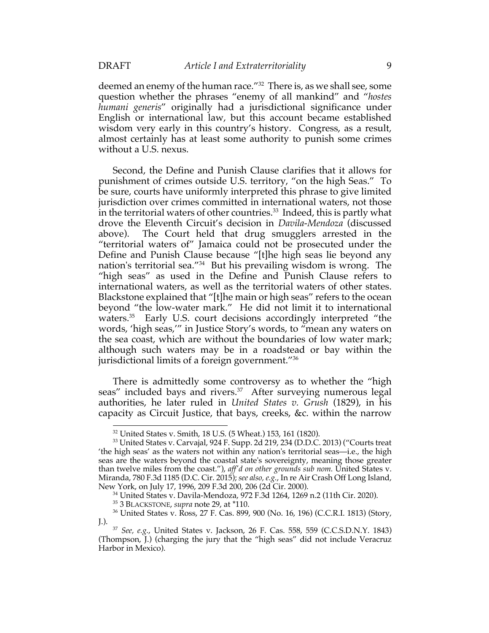deemed an enemy of the human race.<sup>"32</sup> There is, as we shall see, some question whether the phrases "enemy of all mankind" and "*hostes humani generis*" originally had a jurisdictional significance under English or international law, but this account became established wisdom very early in this country's history. Congress, as a result, almost certainly has at least some authority to punish some crimes without a U.S. nexus.

Second, the Define and Punish Clause clarifies that it allows for punishment of crimes outside U.S. territory, "on the high Seas." To be sure, courts have uniformly interpreted this phrase to give limited jurisdiction over crimes committed in international waters, not those in the territorial waters of other countries.<sup>33</sup> Indeed, this is partly what drove the Eleventh Circuit's decision in *Davila-Mendoza* (discussed above). The Court held that drug smugglers arrested in the "territorial waters of" Jamaica could not be prosecuted under the Define and Punish Clause because "[t]he high seas lie beyond any nation's territorial sea."34 But his prevailing wisdom is wrong. The "high seas" as used in the Define and Punish Clause refers to international waters, as well as the territorial waters of other states. Blackstone explained that "[t]he main or high seas" refers to the ocean beyond "the low-water mark." He did not limit it to international waters.<sup>35</sup> Early U.S. court decisions accordingly interpreted "the words, 'high seas,'" in Justice Story's words, to "mean any waters on the sea coast, which are without the boundaries of low water mark; although such waters may be in a roadstead or bay within the jurisdictional limits of a foreign government."36

There is admittedly some controversy as to whether the "high seas" included bays and rivers.<sup>37</sup> After surveying numerous legal authorities, he later ruled in *United States v. Grush* (1829), in his capacity as Circuit Justice, that bays, creeks, &c. within the narrow

<sup>32</sup> United States v. Smith, 18 U.S. (5 Wheat.) 153, 161 (1820).

<sup>33</sup> United States v. Carvajal, 924 F. Supp. 2d 219, 234 (D.D.C. 2013) ("Courts treat 'the high seas' as the waters not within any nation's territorial seas—i.e., the high seas are the waters beyond the coastal state's sovereignty, meaning those greater than twelve miles from the coast."), *aff'd on other grounds sub nom.* United States v. Miranda, 780 F.3d 1185 (D.C. Cir. 2015); *see also, e.g.*, In re Air Crash Off Long Island, New York, on July 17, 1996, 209 F.3d 200, 206 (2d Cir. 2000).

<sup>34</sup> United States v. Davila-Mendoza, 972 F.3d 1264, 1269 n.2 (11th Cir. 2020).

<sup>35</sup> 3 BLACKSTONE, *supra* note 29, at \*110.

<sup>36</sup> United States v. Ross, 27 F. Cas. 899, 900 (No. 16, 196) (C.C.R.I. 1813) (Story, J.).

<sup>37</sup> *See, e.g.*, United States v. Jackson, 26 F. Cas. 558, 559 (C.C.S.D.N.Y. 1843) (Thompson, J.) (charging the jury that the "high seas" did not include Veracruz Harbor in Mexico).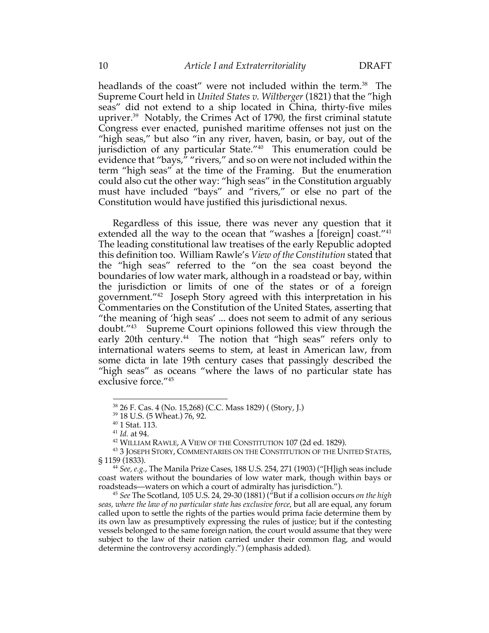headlands of the coast" were not included within the term.<sup>38</sup> The Supreme Court held in *United States v. Wiltberger* (1821) that the "high seas" did not extend to a ship located in China, thirty-five miles upriver.39 Notably, the Crimes Act of 1790, the first criminal statute Congress ever enacted, punished maritime offenses not just on the "high seas," but also "in any river, haven, basin, or bay, out of the jurisdiction of any particular State."<sup>40</sup> This enumeration could be evidence that "bays," "rivers," and so on were not included within the term "high seas" at the time of the Framing. But the enumeration could also cut the other way: "high seas" in the Constitution arguably must have included "bays" and "rivers," or else no part of the Constitution would have justified this jurisdictional nexus.

Regardless of this issue, there was never any question that it extended all the way to the ocean that "washes a [foreign] coast."<sup>41</sup> The leading constitutional law treatises of the early Republic adopted this definition too. William Rawle's *View of the Constitution* stated that the "high seas" referred to the "on the sea coast beyond the boundaries of low water mark, although in a roadstead or bay, within the jurisdiction or limits of one of the states or of a foreign government."42 Joseph Story agreed with this interpretation in his Commentaries on the Constitution of the United States, asserting that "the meaning of 'high seas' ... does not seem to admit of any serious doubt."43 Supreme Court opinions followed this view through the early 20th century.<sup>44</sup> The notion that "high seas" refers only to international waters seems to stem, at least in American law, from some dicta in late 19th century cases that passingly described the "high seas" as oceans "where the laws of no particular state has exclusive force."45

<sup>38</sup> 26 F. Cas. 4 (No. 15,268) (C.C. Mass 1829) ( (Story, J.)

<sup>&</sup>lt;sup>39</sup> 18 U.S. (5 Wheat.) 76, 92.<br><sup>40</sup> 1 Stat. 113.

<sup>41</sup> *Id.* at 94.

<sup>42</sup> WILLIAM RAWLE, A VIEW OF THE CONSTITUTION 107 (2d ed. 1829).

<sup>43</sup> 3 JOSEPH STORY, COMMENTARIES ON THE CONSTITUTION OF THE UNITED STATES, § 1159 (1833).

<sup>44</sup> *See, e.g.*, The Manila Prize Cases, 188 U.S. 254, 271 (1903) ("[H]igh seas include coast waters without the boundaries of low water mark, though within bays or roadsteads—waters on which a court of admiralty has jurisdiction.").

<sup>&</sup>lt;sup>45</sup> See The Scotland, 105 U.S. 24, 29-30 (1881) ("But if a collision occurs *on the high seas, where the law of no particular state has exclusive force*, but all are equal, any forum called upon to settle the rights of the parties would prima facie determine them by its own law as presumptively expressing the rules of justice; but if the contesting vessels belonged to the same foreign nation, the court would assume that they were subject to the law of their nation carried under their common flag, and would determine the controversy accordingly.") (emphasis added).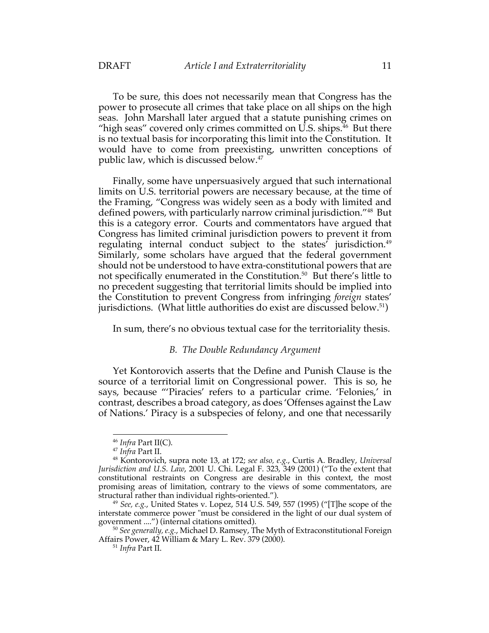To be sure, this does not necessarily mean that Congress has the power to prosecute all crimes that take place on all ships on the high seas. John Marshall later argued that a statute punishing crimes on "high seas" covered only crimes committed on U.S. ships.<sup>46</sup> But there is no textual basis for incorporating this limit into the Constitution. It would have to come from preexisting, unwritten conceptions of public law, which is discussed below.47

Finally, some have unpersuasively argued that such international limits on U.S. territorial powers are necessary because, at the time of the Framing, "Congress was widely seen as a body with limited and defined powers, with particularly narrow criminal jurisdiction."48 But this is a category error. Courts and commentators have argued that Congress has limited criminal jurisdiction powers to prevent it from regulating internal conduct subject to the states' jurisdiction.<sup>49</sup> Similarly, some scholars have argued that the federal government should not be understood to have extra-constitutional powers that are not specifically enumerated in the Constitution.<sup>50</sup> But there's little to no precedent suggesting that territorial limits should be implied into the Constitution to prevent Congress from infringing *foreign* states' jurisdictions. (What little authorities do exist are discussed below.<sup>51</sup>)

In sum, there's no obvious textual case for the territoriality thesis.

### *B. The Double Redundancy Argument*

Yet Kontorovich asserts that the Define and Punish Clause is the source of a territorial limit on Congressional power. This is so, he says, because "'Piracies' refers to a particular crime. 'Felonies,' in contrast, describes a broad category, as does 'Offenses against the Law of Nations.' Piracy is a subspecies of felony, and one that necessarily

<sup>46</sup> *Infra* Part II(C).

<sup>47</sup> *Infra* Part II.

<sup>48</sup> Kontorovich, supra note 13, at 172; *see also, e.g.*, Curtis A. Bradley, *Universal Jurisdiction and U.S. Law*, 2001 U. Chi. Legal F. 323, 349 (2001) ("To the extent that constitutional restraints on Congress are desirable in this context, the most promising areas of limitation, contrary to the views of some commentators, are structural rather than individual rights-oriented.").

<sup>49</sup> *See, e.g.*, United States v. Lopez, 514 U.S. 549, 557 (1995) ("[T]he scope of the interstate commerce power "must be considered in the light of our dual system of government ....") (internal citations omitted).

<sup>50</sup> *See generally, e.g.*, Michael D. Ramsey, The Myth of Extraconstitutional Foreign Affairs Power, 42 William & Mary L. Rev. 379 (2000).

<sup>51</sup> *Infra* Part II.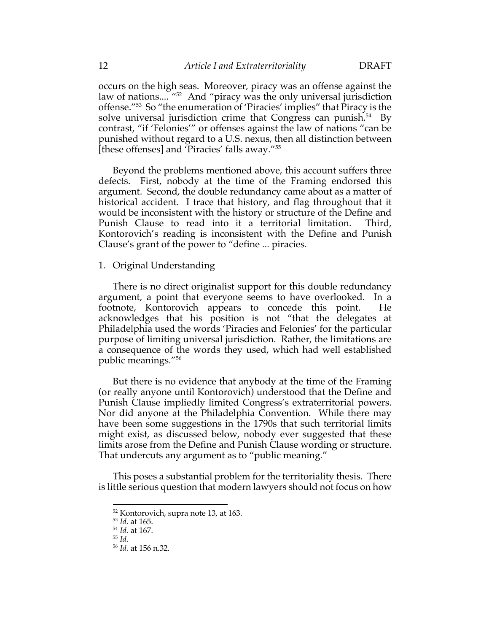occurs on the high seas. Moreover, piracy was an offense against the law of nations.... "52 And "piracy was the only universal jurisdiction offense."53 So "the enumeration of 'Piracies' implies" that Piracy is the solve universal jurisdiction crime that Congress can punish.<sup>54</sup> By contrast, "if 'Felonies'" or offenses against the law of nations "can be punished without regard to a U.S. nexus, then all distinction between [these offenses] and 'Piracies' falls away."55

Beyond the problems mentioned above, this account suffers three defects. First, nobody at the time of the Framing endorsed this argument. Second, the double redundancy came about as a matter of historical accident. I trace that history, and flag throughout that it would be inconsistent with the history or structure of the Define and Punish Clause to read into it a territorial limitation. Third, Kontorovich's reading is inconsistent with the Define and Punish Clause's grant of the power to "define ... piracies.

### 1. Original Understanding

There is no direct originalist support for this double redundancy argument, a point that everyone seems to have overlooked. In a footnote, Kontorovich appears to concede this point. He acknowledges that his position is not "that the delegates at Philadelphia used the words 'Piracies and Felonies' for the particular purpose of limiting universal jurisdiction. Rather, the limitations are a consequence of the words they used, which had well established public meanings."56

But there is no evidence that anybody at the time of the Framing (or really anyone until Kontorovich) understood that the Define and Punish Clause impliedly limited Congress's extraterritorial powers. Nor did anyone at the Philadelphia Convention. While there may have been some suggestions in the 1790s that such territorial limits might exist, as discussed below, nobody ever suggested that these limits arose from the Define and Punish Clause wording or structure. That undercuts any argument as to "public meaning."

This poses a substantial problem for the territoriality thesis. There is little serious question that modern lawyers should not focus on how

<sup>52</sup> Kontorovich, supra note 13, at 163.

<sup>53</sup> *Id.* at 165.

<sup>54</sup> *Id.* at 167.

<sup>55</sup> *Id.*

<sup>56</sup> *Id.* at 156 n.32.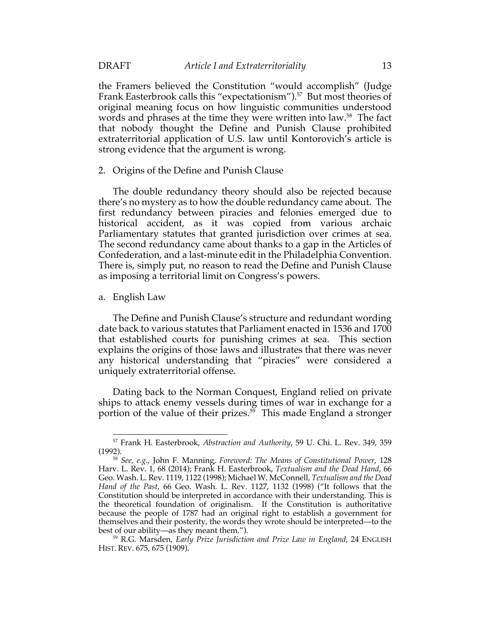the Framers believed the Constitution "would accomplish" (Judge Frank Easterbrook calls this "expectationism").<sup>57</sup> But most theories of original meaning focus on how linguistic communities understood words and phrases at the time they were written into law.<sup>58</sup> The fact that nobody thought the Define and Punish Clause prohibited extraterritorial application of U.S. law until Kontorovich's article is strong evidence that the argument is wrong.

### 2. Origins of the Define and Punish Clause

The double redundancy theory should also be rejected because there's no mystery as to how the double redundancy came about. The first redundancy between piracies and felonies emerged due to historical accident, as it was copied from various archaic Parliamentary statutes that granted jurisdiction over crimes at sea. The second redundancy came about thanks to a gap in the Articles of Confederation, and a last-minute edit in the Philadelphia Convention. There is, simply put, no reason to read the Define and Punish Clause as imposing a territorial limit on Congress's powers.

### a. English Law

The Define and Punish Clause's structure and redundant wording date back to various statutes that Parliament enacted in 1536 and 1700 that established courts for punishing crimes at sea. This section explains the origins of those laws and illustrates that there was never any historical understanding that "piracies" were considered a uniquely extraterritorial offense.

Dating back to the Norman Conquest, England relied on private ships to attack enemy vessels during times of war in exchange for a portion of the value of their prizes.<sup>59</sup> This made England a stronger

<sup>57</sup> Frank H. Easterbrook, *Abstraction and Authority*, 59 U. Chi. L. Rev. 349, 359 (1992).

<sup>58</sup> *See, e.g.*, John F. Manning, *Foreword: The Means of Constitutional Power*, 128 Harv. L. Rev. 1, 68 (2014); Frank H. Easterbrook, *Textualism and the Dead Hand*, 66 Geo. Wash. L. Rev. 1119, 1122 (1998); Michael W. McConnell, *Textualism and the Dead Hand of the Past*, 66 Geo. Wash. L. Rev. 1127, 1132 (1998) ("It follows that the Constitution should be interpreted in accordance with their understanding. This is the theoretical foundation of originalism. If the Constitution is authoritative because the people of 1787 had an original right to establish a government for themselves and their posterity, the words they wrote should be interpreted—to the best of our ability—as they meant them.").

<sup>59</sup> R.G. Marsden, *Early Prize Jurisdiction and Prize Law in England*, 24 ENGLISH HIST. REV. 675, 675 (1909).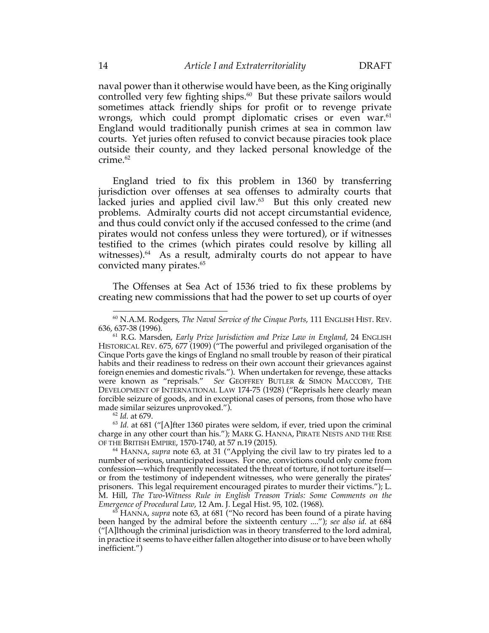naval power than it otherwise would have been, as the King originally controlled very few fighting ships. $60$  But these private sailors would sometimes attack friendly ships for profit or to revenge private wrongs, which could prompt diplomatic crises or even war.<sup>61</sup> England would traditionally punish crimes at sea in common law courts. Yet juries often refused to convict because piracies took place outside their county, and they lacked personal knowledge of the crime.<sup>62</sup>

England tried to fix this problem in 1360 by transferring jurisdiction over offenses at sea offenses to admiralty courts that lacked juries and applied civil law. $63$  But this only created new problems. Admiralty courts did not accept circumstantial evidence, and thus could convict only if the accused confessed to the crime (and pirates would not confess unless they were tortured), or if witnesses testified to the crimes (which pirates could resolve by killing all witnesses). $64$  As a result, admiralty courts do not appear to have convicted many pirates.<sup>65</sup>

The Offenses at Sea Act of 1536 tried to fix these problems by creating new commissions that had the power to set up courts of oyer

<sup>63</sup> *Id.* at 681 ("[A]fter 1360 pirates were seldom, if ever, tried upon the criminal charge in any other court than his."); MARK G. HANNA, PIRATE NESTS AND THE RISE OF THE BRITISH EMPIRE, 1570-1740, at 57 n.19 (2015).

<sup>64</sup> HANNA, *supra* note 63, at 31 ("Applying the civil law to try pirates led to a number of serious, unanticipated issues. For one, convictions could only come from confession—which frequently necessitated the threat of torture, if not torture itself or from the testimony of independent witnesses, who were generally the pirates' prisoners. This legal requirement encouraged pirates to murder their victims."); L. M. Hill, *The Two-Witness Rule in English Treason Trials: Some Comments on the Emergence of Procedural Law*, 12 Am. J. Legal Hist. 95, 102. (1968).

<sup>65</sup> HANNA, *supra* note 63, at 681 ("No record has been found of a pirate having been hanged by the admiral before the sixteenth century ...."); *see also id.* at 684 ("[A]lthough the criminal jurisdiction was in theory transferred to the lord admiral, in practice it seems to have either fallen altogether into disuse or to have been wholly inefficient.")

<sup>60</sup> N.A.M. Rodgers, *The Naval Service of the Cinque Ports*, 111 ENGLISH HIST. REV. 636, 637-38 (1996).

<sup>61</sup> R.G. Marsden, *Early Prize Jurisdiction and Prize Law in England*, 24 ENGLISH HISTORICAL REV. 675, 677 (1909) ("The powerful and privileged organisation of the Cinque Ports gave the kings of England no small trouble by reason of their piratical habits and their readiness to redress on their own account their grievances against foreign enemies and domestic rivals."). When undertaken for revenge, these attacks were known as "reprisals." *See* GEOFFREY BUTLER & SIMON MACCOBY, THE DEVELOPMENT OF INTERNATIONAL LAW 174-75 (1928) ("Reprisals here clearly mean forcible seizure of goods, and in exceptional cases of persons, from those who have made similar seizures unprovoked."). 62 *Id.* at 679.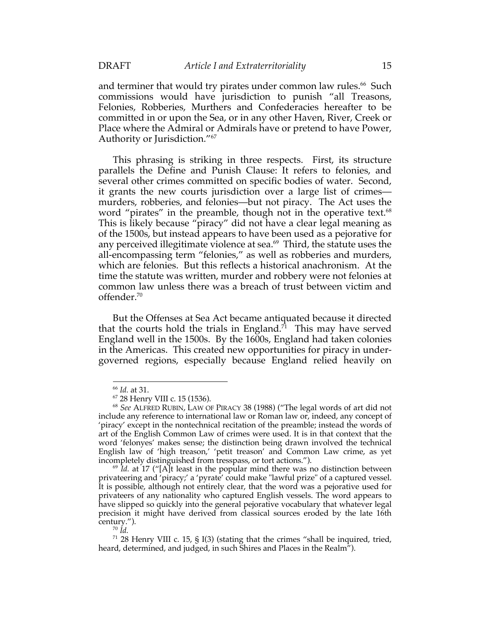and terminer that would try pirates under common law rules.<sup>66</sup> Such commissions would have jurisdiction to punish "all Treasons, Felonies, Robberies, Murthers and Confederacies hereafter to be committed in or upon the Sea, or in any other Haven, River, Creek or Place where the Admiral or Admirals have or pretend to have Power, Authority or Jurisdiction."67

This phrasing is striking in three respects. First, its structure parallels the Define and Punish Clause: It refers to felonies, and several other crimes committed on specific bodies of water. Second, it grants the new courts jurisdiction over a large list of crimes murders, robberies, and felonies—but not piracy. The Act uses the word "pirates" in the preamble, though not in the operative text.<sup>68</sup> This is likely because "piracy" did not have a clear legal meaning as of the 1500s, but instead appears to have been used as a pejorative for any perceived illegitimate violence at sea.<sup>69</sup> Third, the statute uses the all-encompassing term "felonies," as well as robberies and murders, which are felonies. But this reflects a historical anachronism. At the time the statute was written, murder and robbery were not felonies at common law unless there was a breach of trust between victim and offender.70

But the Offenses at Sea Act became antiquated because it directed that the courts hold the trials in England.<sup> $\vec{\tau}$ </sup> This may have served England well in the 1500s. By the 1600s, England had taken colonies in the Americas. This created new opportunities for piracy in undergoverned regions, especially because England relied heavily on

 $71$  28 Henry VIII c. 15, § I(3) (stating that the crimes "shall be inquired, tried, heard, determined, and judged, in such Shires and Places in the Realm").

<sup>66</sup> *Id.* at 31.

<sup>67</sup> 28 Henry VIII c. 15 (1536).

<sup>68</sup> *See* ALFRED RUBIN, LAW OF PIRACY 38 (1988) ("The legal words of art did not include any reference to international law or Roman law or, indeed, any concept of 'piracy' except in the nontechnical recitation of the preamble; instead the words of art of the English Common Law of crimes were used. It is in that context that the word 'felonyes' makes sense; the distinction being drawn involved the technical English law of 'high treason,' 'petit treason' and Common Law crime, as yet incompletely distinguished from tresspass, or tort actions.").

<sup>69</sup> *Id.* at 17 ("[A]t least in the popular mind there was no distinction between privateering and 'piracy;' a 'pyrate' could make "lawful prize" of a captured vessel. It is possible, although not entirely clear, that the word was a pejorative used for privateers of any nationality who captured English vessels. The word appears to have slipped so quickly into the general pejorative vocabulary that whatever legal precision it might have derived from classical sources eroded by the late 16th century.").

<sup>70</sup> *Id.*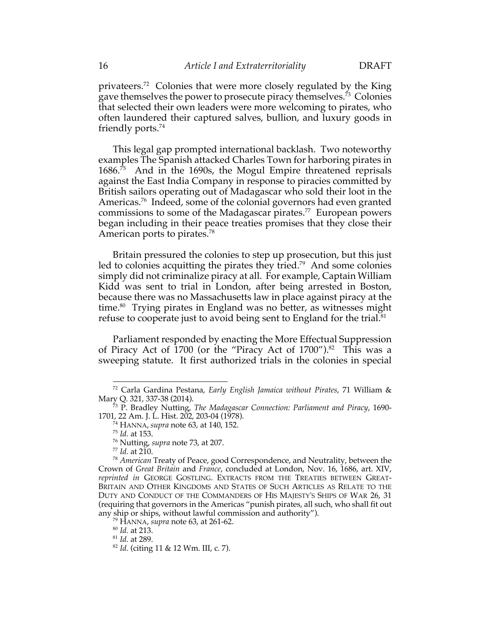privateers.72 Colonies that were more closely regulated by the King gave themselves the power to prosecute piracy themselves.<sup>73</sup> Colonies that selected their own leaders were more welcoming to pirates, who often laundered their captured salves, bullion, and luxury goods in friendly ports. $74$ 

This legal gap prompted international backlash. Two noteworthy examples The Spanish attacked Charles Town for harboring pirates in 1686. 75 And in the 1690s, the Mogul Empire threatened reprisals against the East India Company in response to piracies committed by British sailors operating out of Madagascar who sold their loot in the Americas.<sup>76</sup> Indeed, some of the colonial governors had even granted commissions to some of the Madagascar pirates.<sup>77</sup> European powers began including in their peace treaties promises that they close their American ports to pirates.<sup>78</sup>

Britain pressured the colonies to step up prosecution, but this just led to colonies acquitting the pirates they tried.<sup>79</sup> And some colonies simply did not criminalize piracy at all. For example, Captain William Kidd was sent to trial in London, after being arrested in Boston, because there was no Massachusetts law in place against piracy at the time.<sup>80</sup> Trying pirates in England was no better, as witnesses might refuse to cooperate just to avoid being sent to England for the trial.<sup>81</sup>

Parliament responded by enacting the More Effectual Suppression of Piracy Act of 1700 (or the "Piracy Act of 1700"). 82 This was a sweeping statute. It first authorized trials in the colonies in special

<sup>81</sup> *Id.* at 289.

<sup>72</sup> Carla Gardina Pestana, *Early English Jamaica without Pirates*, 71 William & Mary Q. 321, 337-38 (2014).

<sup>73</sup> P. Bradley Nutting, *The Madagascar Connection: Parliament and Piracy*, 1690- 1701, 22 Am. J. L. Hist. 202, 203-04 (1978).

<sup>74</sup> HANNA, *supra* note 63, at 140, 152.

<sup>75</sup> *Id.* at 153.

<sup>76</sup> Nutting, *supra* note 73, at 207.

<sup>77</sup> *Id.* at 210.

<sup>78</sup> *American* Treaty of Peace, good Correspondence, and Neutrality, between the Crown of *Great Britain* and *France*, concluded at London, Nov. 16, 1686, art. XIV, *reprinted in* GEORGE GOSTLING. EXTRACTS FROM THE TREATIES BETWEEN GREAT-BRITAIN AND OTHER KINGDOMS AND STATES OF SUCH ARTICLES AS RELATE TO THE DUTY AND CONDUCT OF THE COMMANDERS OF HIS MAJESTY'S SHIPS OF WAR 26, 31 (requiring that governors in the Americas "punish pirates, all such, who shall fit out any ship or ships, without lawful commission and authority"). 79 HANNA, *supra* note 63, at 261-62.

<sup>80</sup> *Id.* at 213.

<sup>82</sup> *Id.* (citing 11 & 12 Wm. III, c. 7).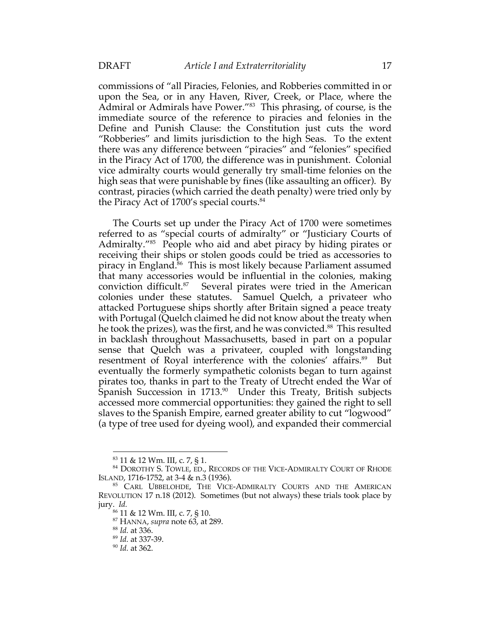commissions of "all Piracies, Felonies, and Robberies committed in or upon the Sea, or in any Haven, River, Creek, or Place, where the Admiral or Admirals have Power."83 This phrasing, of course, is the immediate source of the reference to piracies and felonies in the Define and Punish Clause: the Constitution just cuts the word "Robberies" and limits jurisdiction to the high Seas. To the extent there was any difference between "piracies" and "felonies" specified in the Piracy Act of 1700, the difference was in punishment. Colonial vice admiralty courts would generally try small-time felonies on the high seas that were punishable by fines (like assaulting an officer). By contrast, piracies (which carried the death penalty) were tried only by the Piracy Act of 1700's special courts.<sup>84</sup>

The Courts set up under the Piracy Act of 1700 were sometimes referred to as "special courts of admiralty" or "Justiciary Courts of Admiralty."85 People who aid and abet piracy by hiding pirates or receiving their ships or stolen goods could be tried as accessories to piracy in England.<sup>86</sup> This is most likely because Parliament assumed that many accessories would be influential in the colonies, making conviction difficult.87 Several pirates were tried in the American colonies under these statutes. Samuel Quelch, a privateer who attacked Portuguese ships shortly after Britain signed a peace treaty with Portugal (Quelch claimed he did not know about the treaty when he took the prizes), was the first, and he was convicted. 88 This resulted in backlash throughout Massachusetts, based in part on a popular sense that Quelch was a privateer, coupled with longstanding resentment of Royal interference with the colonies' affairs.<sup>89</sup> But eventually the formerly sympathetic colonists began to turn against pirates too, thanks in part to the Treaty of Utrecht ended the War of Spanish Succession in  $1713^{90}$  Under this Treaty, British subjects accessed more commercial opportunities: they gained the right to sell slaves to the Spanish Empire, earned greater ability to cut "logwood" (a type of tree used for dyeing wool), and expanded their commercial

 $83$  11 & 12 Wm. III, c. 7, § 1.<br> $84$  Dorothy S. Towle, ed., Records of the Vice-Admiralty Court of Rhode ISLAND, 1716-1752, at 3-4 & n.3 (1936).

<sup>85</sup> CARL UBBELOHDE, THE VICE-ADMIRALTY COURTS AND THE AMERICAN REVOLUTION 17 n.18 (2012). Sometimes (but not always) these trials took place by jury. *Id.*

<sup>86</sup> 11 & 12 Wm. III, c. 7, § 10.

<sup>87</sup> HANNA, *supra* note 63, at 289.

<sup>88</sup> *Id.* at 336.

<sup>89</sup> *Id.* at 337-39.

<sup>90</sup> *Id.* at 362.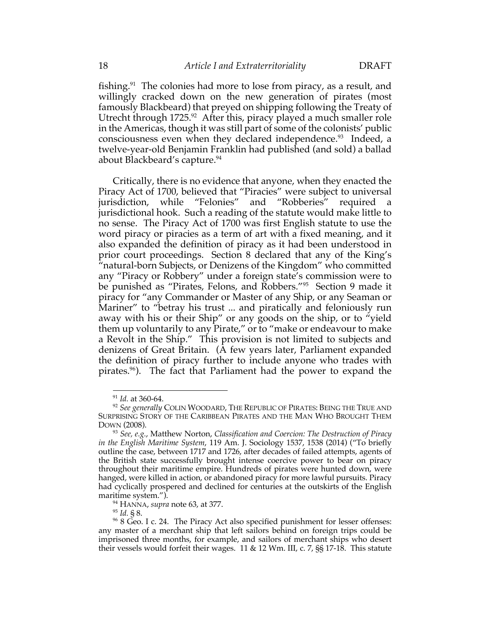fishing.91 The colonies had more to lose from piracy, as a result, and willingly cracked down on the new generation of pirates (most famously Blackbeard) that preyed on shipping following the Treaty of Utrecht through 1725.<sup>92</sup> After this, piracy played a much smaller role in the Americas, though it was still part of some of the colonists' public consciousness even when they declared independence.<sup>93</sup> Indeed, a twelve-year-old Benjamin Franklin had published (and sold) a ballad about Blackbeard's capture.<sup>94</sup>

Critically, there is no evidence that anyone, when they enacted the Piracy Act of 1700, believed that "Piracies" were subject to universal jurisdiction, while "Felonies" and "Robberies" required a jurisdictional hook. Such a reading of the statute would make little to no sense. The Piracy Act of 1700 was first English statute to use the word piracy or piracies as a term of art with a fixed meaning, and it also expanded the definition of piracy as it had been understood in prior court proceedings. Section 8 declared that any of the King's "natural-born Subjects, or Denizens of the Kingdom" who committed any "Piracy or Robbery" under a foreign state's commission were to be punished as "Pirates, Felons, and Robbers."95 Section 9 made it piracy for "any Commander or Master of any Ship, or any Seaman or Mariner" to "betray his trust ... and piratically and feloniously run away with his or their Ship" or any goods on the ship, or to "yield them up voluntarily to any Pirate," or to "make or endeavour to make a Revolt in the Ship." This provision is not limited to subjects and denizens of Great Britain. (A few years later, Parliament expanded the definition of piracy further to include anyone who trades with pirates.96). The fact that Parliament had the power to expand the

<sup>95</sup> *Id.* § 8.

<sup>91</sup> *Id.* at 360-64.

<sup>92</sup> *See generally* COLIN WOODARD, THE REPUBLIC OF PIRATES: BEING THE TRUE AND SURPRISING STORY OF THE CARIBBEAN PIRATES AND THE MAN WHO BROUGHT THEM DOWN (2008).

<sup>93</sup> *See, e.g.*, Matthew Norton, *Classification and Coercion: The Destruction of Piracy in the English Maritime System*, 119 Am. J. Sociology 1537, 1538 (2014) ("To briefly outline the case, between 1717 and 1726, after decades of failed attempts, agents of the British state successfully brought intense coercive power to bear on piracy throughout their maritime empire. Hundreds of pirates were hunted down, were hanged, were killed in action, or abandoned piracy for more lawful pursuits. Piracy had cyclically prospered and declined for centuries at the outskirts of the English maritime system.").

<sup>94</sup> HANNA, *supra* note 63, at 377.

<sup>&</sup>lt;sup>96</sup> 8 Geo. I c. 24. The Piracy Act also specified punishment for lesser offenses: any master of a merchant ship that left sailors behind on foreign trips could be imprisoned three months, for example, and sailors of merchant ships who desert their vessels would forfeit their wages. 11 & 12 Wm. III, c. 7, §§ 17-18. This statute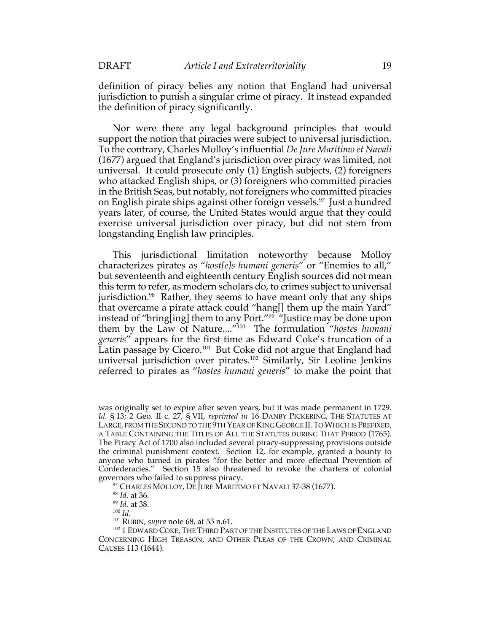definition of piracy belies any notion that England had universal jurisdiction to punish a singular crime of piracy. It instead expanded the definition of piracy significantly.

Nor were there any legal background principles that would support the notion that piracies were subject to universal jurisdiction. To the contrary, Charles Molloy's influential *De Jure Maritimo et Navali* (1677) argued that England's jurisdiction over piracy was limited, not universal. It could prosecute only (1) English subjects, (2) foreigners who attacked English ships, or (3) foreigners who committed piracies in the British Seas, but notably, not foreigners who committed piracies on English pirate ships against other foreign vessels.97 Just a hundred years later, of course, the United States would argue that they could exercise universal jurisdiction over piracy, but did not stem from longstanding English law principles.

This jurisdictional limitation noteworthy because Molloy characterizes pirates as "*host[e]s humani generis*" or "Enemies to all," but seventeenth and eighteenth century English sources did not mean this term to refer, as modern scholars do, to crimes subject to universal jurisdiction.<sup>98</sup> Rather, they seems to have meant only that any ships that overcame a pirate attack could "hang[] them up the main Yard" instead of "bring[ing] them to any Port."99 "Justice may be done upon them by the Law of Nature...."100 The formulation "*hostes humani generis*" appears for the first time as Edward Coke's truncation of a Latin passage by Cicero.<sup>101</sup> But Coke did not argue that England had universal jurisdiction over pirates.102 Similarly, Sir Leoline Jenkins referred to pirates as "*hostes humani generis*" to make the point that

was originally set to expire after seven years, but it was made permanent in 1729. *Id.* § 13; 2 Geo. II c. 27, § VII, *reprinted in* 16 DANBY PICKERING, THE STATUTES AT LARGE, FROM THE SECOND TO THE 9TH YEAR OF KING GEORGE II.TO WHICH IS PREFIXED, A TABLE CONTAINING THE TITLES OF ALL THE STATUTES DURING THAT PERIOD (1765). The Piracy Act of 1700 also included several piracy-suppressing provisions outside the criminal punishment context. Section 12, for example, granted a bounty to anyone who turned in pirates "for the better and more effectual Prevention of Confederacies." Section 15 also threatened to revoke the charters of colonial governors who failed to suppress piracy.<br><sup>97</sup> CHARLES MOLLOY, DE JURE MARITIMO ET NAVALI 37-38 (1677).

<sup>98</sup> *Id.* at 36.

<sup>99</sup> *Id.* at 38. 100 *Id.*

<sup>101</sup> RUBIN, *supra* note 68, at 55 n.61.

<sup>&</sup>lt;sup>102</sup> 1 EDWARD COKE, THE THIRD PART OF THE INSTITUTES OF THE LAWS OF ENGLAND CONCERNING HIGH TREASON, AND OTHER PLEAS OF THE CROWN, AND CRIMINAL CAUSES 113 (1644).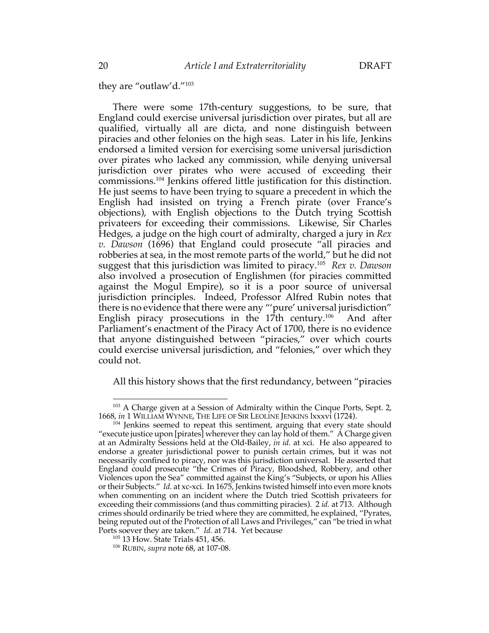they are "outlaw'd."103

There were some 17th-century suggestions, to be sure, that England could exercise universal jurisdiction over pirates, but all are qualified, virtually all are dicta, and none distinguish between piracies and other felonies on the high seas. Later in his life, Jenkins endorsed a limited version for exercising some universal jurisdiction over pirates who lacked any commission, while denying universal jurisdiction over pirates who were accused of exceeding their commissions.104 Jenkins offered little justification for this distinction. He just seems to have been trying to square a precedent in which the English had insisted on trying a French pirate (over France's objections), with English objections to the Dutch trying Scottish privateers for exceeding their commissions. Likewise, Sir Charles Hedges, a judge on the high court of admiralty, charged a jury in *Rex v. Dawson* (1696) that England could prosecute "all piracies and robberies at sea, in the most remote parts of the world," but he did not suggest that this jurisdiction was limited to piracy.105 *Rex v. Dawson*  also involved a prosecution of Englishmen (for piracies committed against the Mogul Empire), so it is a poor source of universal jurisdiction principles. Indeed, Professor Alfred Rubin notes that there is no evidence that there were any "'pure' universal jurisdiction" English piracy prosecutions in the  $17th$  century.<sup>106</sup> And after Parliament's enactment of the Piracy Act of 1700, there is no evidence that anyone distinguished between "piracies," over which courts could exercise universal jurisdiction, and "felonies," over which they could not.

All this history shows that the first redundancy, between "piracies

 $^{103}$  A Charge given at a Session of Admiralty within the Cinque Ports, Sept. 2, 1668, *in* 1 WILLIAM WYNNE, THE LIFE OF SIR LEOLINE JENKINS lxxxvi (1724).

<sup>&</sup>lt;sup>104</sup> Jenkins seemed to repeat this sentiment, arguing that every state should "execute justice upon [pirates] wherever they can lay hold of them."  $\dot{A}$  Charge given at an Admiralty Sessions held at the Old-Bailey, *in id.* at xci. He also appeared to endorse a greater jurisdictional power to punish certain crimes, but it was not necessarily confined to piracy, nor was this jurisdiction universal. He asserted that England could prosecute "the Crimes of Piracy, Bloodshed, Robbery, and other Violences upon the Sea" committed against the King's "Subjects, or upon his Allies or their Subjects." *Id.* at xc-xci. In 1675, Jenkins twisted himself into even more knots when commenting on an incident where the Dutch tried Scottish privateers for exceeding their commissions (and thus committing piracies). 2 *id.* at 713. Although crimes should ordinarily be tried where they are committed, he explained, "Pyrates, being reputed out of the Protection of all Laws and Privileges," can "be tried in what Ports soever they are taken." *Id.* at 714. Yet because <sup>105</sup> 13 How. State Trials 451, 456.

<sup>106</sup> RUBIN, *supra* note 68, at 107-08.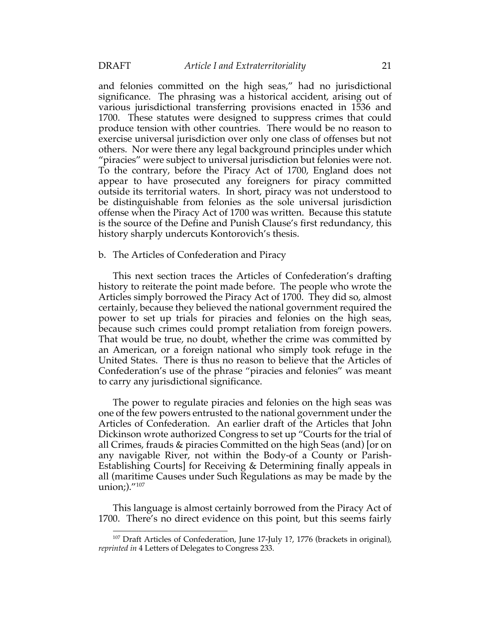and felonies committed on the high seas," had no jurisdictional significance. The phrasing was a historical accident, arising out of various jurisdictional transferring provisions enacted in 1536 and 1700. These statutes were designed to suppress crimes that could produce tension with other countries. There would be no reason to exercise universal jurisdiction over only one class of offenses but not others. Nor were there any legal background principles under which "piracies" were subject to universal jurisdiction but felonies were not. To the contrary, before the Piracy Act of 1700, England does not appear to have prosecuted any foreigners for piracy committed outside its territorial waters. In short, piracy was not understood to be distinguishable from felonies as the sole universal jurisdiction offense when the Piracy Act of 1700 was written. Because this statute is the source of the Define and Punish Clause's first redundancy, this history sharply undercuts Kontorovich's thesis.

### b. The Articles of Confederation and Piracy

This next section traces the Articles of Confederation's drafting history to reiterate the point made before. The people who wrote the Articles simply borrowed the Piracy Act of 1700. They did so, almost certainly, because they believed the national government required the power to set up trials for piracies and felonies on the high seas, because such crimes could prompt retaliation from foreign powers. That would be true, no doubt, whether the crime was committed by an American, or a foreign national who simply took refuge in the United States. There is thus no reason to believe that the Articles of Confederation's use of the phrase "piracies and felonies" was meant to carry any jurisdictional significance.

The power to regulate piracies and felonies on the high seas was one of the few powers entrusted to the national government under the Articles of Confederation. An earlier draft of the Articles that John Dickinson wrote authorized Congress to set up "Courts for the trial of all Crimes, frauds & piracies Committed on the high Seas (and) [or on any navigable River, not within the Body-of a County or Parish-Establishing Courts] for Receiving & Determining finally appeals in all (maritime Causes under Such Regulations as may be made by the union;)."107

This language is almost certainly borrowed from the Piracy Act of 1700. There's no direct evidence on this point, but this seems fairly

<sup>&</sup>lt;sup>107</sup> Draft Articles of Confederation, June 17-July 1?, 1776 (brackets in original), *reprinted in* 4 Letters of Delegates to Congress 233.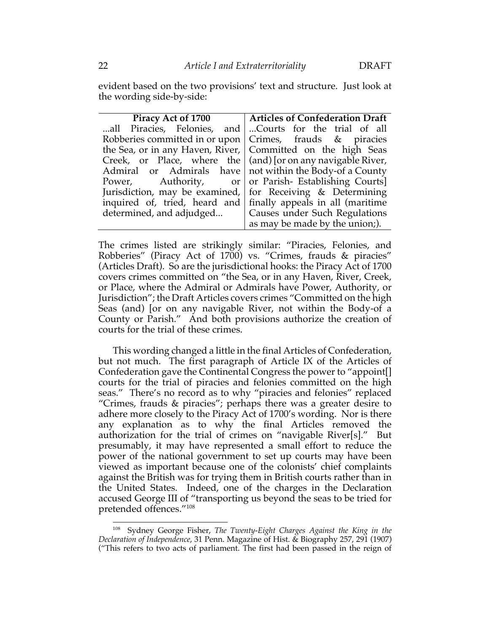evident based on the two provisions' text and structure. Just look at the wording side-by-side:

|                                                                      | Piracy Act of 1700   Articles of Confederation Draft |
|----------------------------------------------------------------------|------------------------------------------------------|
| all Piracies, Felonies, and Courts for the trial of all              |                                                      |
| Robberies committed in or upon $\vert$ Crimes, frauds & piracies     |                                                      |
| the Sea, or in any Haven, River, Committed on the high Seas          |                                                      |
| Creek, or Place, where the $\vert$ (and) for on any navigable River, |                                                      |
| Admiral or Admirals have   not within the Body-of a County           |                                                      |
| Power, Authority, or or Parish-Establishing Courts                   |                                                      |
| Jurisdiction, may be examined, for Receiving $\&$ Determining        |                                                      |
| inquired of, tried, heard and finally appeals in all (maritime       |                                                      |
| determined, and adjudged   Causes under Such Regulations             |                                                      |
|                                                                      | as may be made by the union;).                       |

The crimes listed are strikingly similar: "Piracies, Felonies, and Robberies" (Piracy Act of 1700) vs. "Crimes, frauds & piracies" (Articles Draft). So are the jurisdictional hooks: the Piracy Act of 1700 covers crimes committed on "the Sea, or in any Haven, River, Creek, or Place, where the Admiral or Admirals have Power, Authority, or Jurisdiction"; the Draft Articles covers crimes "Committed on the high Seas (and) [or on any navigable River, not within the Body-of a County or Parish." And both provisions authorize the creation of courts for the trial of these crimes.

This wording changed a little in the final Articles of Confederation, but not much. The first paragraph of Article IX of the Articles of Confederation gave the Continental Congress the power to "appoint[] courts for the trial of piracies and felonies committed on the high seas." There's no record as to why "piracies and felonies" replaced "Crimes, frauds & piracies"; perhaps there was a greater desire to adhere more closely to the Piracy Act of 1700's wording. Nor is there any explanation as to why the final Articles removed the authorization for the trial of crimes on "navigable River[s]." But presumably, it may have represented a small effort to reduce the power of the national government to set up courts may have been viewed as important because one of the colonists' chief complaints against the British was for trying them in British courts rather than in the United States. Indeed, one of the charges in the Declaration accused George III of "transporting us beyond the seas to be tried for pretended offences."108

<sup>108</sup> Sydney George Fisher, *The Twenty-Eight Charges Against the King in the Declaration of Independence*, 31 Penn. Magazine of Hist. & Biography 257, 291 (1907) ("This refers to two acts of parliament. The first had been passed in the reign of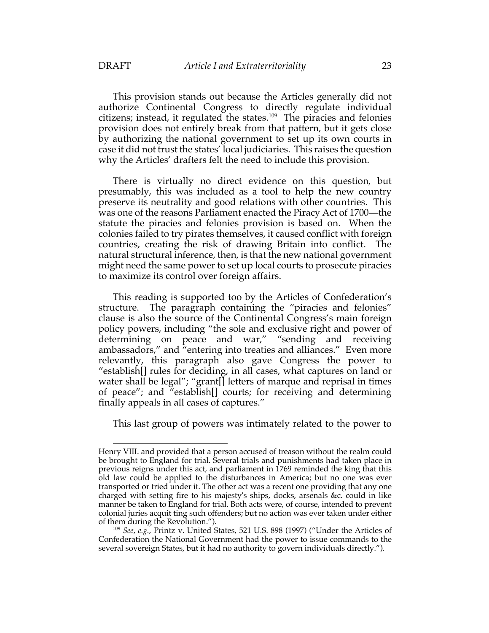This provision stands out because the Articles generally did not authorize Continental Congress to directly regulate individual citizens; instead, it regulated the states.109 The piracies and felonies provision does not entirely break from that pattern, but it gets close by authorizing the national government to set up its own courts in case it did not trust the states' local judiciaries. This raises the question why the Articles' drafters felt the need to include this provision.

There is virtually no direct evidence on this question, but presumably, this was included as a tool to help the new country preserve its neutrality and good relations with other countries. This was one of the reasons Parliament enacted the Piracy Act of 1700—the statute the piracies and felonies provision is based on. When the colonies failed to try pirates themselves, it caused conflict with foreign countries, creating the risk of drawing Britain into conflict. The natural structural inference, then, is that the new national government might need the same power to set up local courts to prosecute piracies to maximize its control over foreign affairs.

This reading is supported too by the Articles of Confederation's structure. The paragraph containing the "piracies and felonies" clause is also the source of the Continental Congress's main foreign policy powers, including "the sole and exclusive right and power of determining on peace and war," "sending and receiving ambassadors," and "entering into treaties and alliances." Even more relevantly, this paragraph also gave Congress the power to "establish[] rules for deciding, in all cases, what captures on land or water shall be legal"; "grant[] letters of marque and reprisal in times of peace"; and "establish[] courts; for receiving and determining finally appeals in all cases of captures."

This last group of powers was intimately related to the power to

Henry VIII. and provided that a person accused of treason without the realm could be brought to England for trial. Several trials and punishments had taken place in previous reigns under this act, and parliament in 1769 reminded the king that this old law could be applied to the disturbances in America; but no one was ever transported or tried under it. The other act was a recent one providing that any one charged with setting fire to his majesty's ships, docks, arsenals &c. could in like manner be taken to England for trial. Both acts were, of course, intended to prevent colonial juries acquit ting such offenders; but no action was ever taken under either of them during the Revolution.").

<sup>109</sup> *See, e.g.*, Printz v. United States, 521 U.S. 898 (1997) ("Under the Articles of Confederation the National Government had the power to issue commands to the several sovereign States, but it had no authority to govern individuals directly.").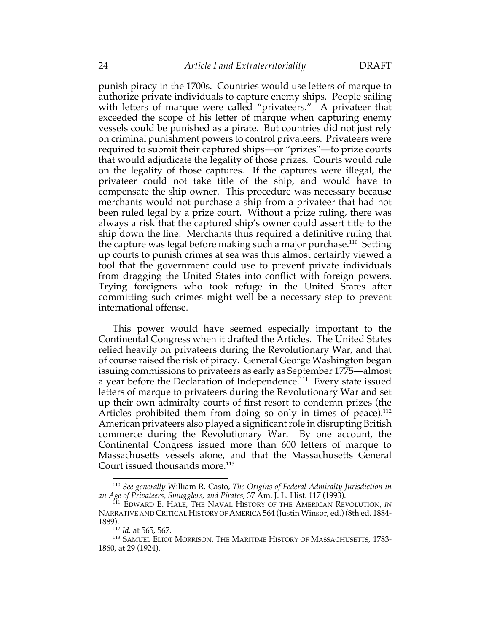punish piracy in the 1700s. Countries would use letters of marque to authorize private individuals to capture enemy ships. People sailing with letters of marque were called "privateers." A privateer that exceeded the scope of his letter of marque when capturing enemy vessels could be punished as a pirate. But countries did not just rely on criminal punishment powers to control privateers. Privateers were required to submit their captured ships—or "prizes"—to prize courts that would adjudicate the legality of those prizes. Courts would rule on the legality of those captures. If the captures were illegal, the privateer could not take title of the ship, and would have to compensate the ship owner. This procedure was necessary because merchants would not purchase a ship from a privateer that had not been ruled legal by a prize court. Without a prize ruling, there was always a risk that the captured ship's owner could assert title to the ship down the line. Merchants thus required a definitive ruling that the capture was legal before making such a major purchase.<sup>110</sup> Setting up courts to punish crimes at sea was thus almost certainly viewed a tool that the government could use to prevent private individuals from dragging the United States into conflict with foreign powers. Trying foreigners who took refuge in the United States after committing such crimes might well be a necessary step to prevent international offense.

This power would have seemed especially important to the Continental Congress when it drafted the Articles. The United States relied heavily on privateers during the Revolutionary War, and that of course raised the risk of piracy. General George Washington began issuing commissions to privateers as early as September 1775—almost a year before the Declaration of Independence.<sup>111</sup> Every state issued letters of marque to privateers during the Revolutionary War and set up their own admiralty courts of first resort to condemn prizes (the Articles prohibited them from doing so only in times of peace).<sup>112</sup> American privateers also played a significant role in disrupting British commerce during the Revolutionary War. By one account, the Continental Congress issued more than 600 letters of marque to Massachusetts vessels alone, and that the Massachusetts General Court issued thousands more.<sup>113</sup>

<sup>110</sup> *See generally* William R. Casto, *The Origins of Federal Admiralty Jurisdiction in an Age of Privateers, Smugglers, and Pirates*, 37 Am. J. L. Hist. 117 (1993).

<sup>111</sup> EDWARD E. HALE, THE NAVAL HISTORY OF THE AMERICAN REVOLUTION, *IN*  NARRATIVE AND CRITICAL HISTORY OF AMERICA 564 (Justin Winsor, ed.) (8th ed. 1884- 1889).

<sup>112</sup> *Id.* at 565, 567.

<sup>113</sup> SAMUEL ELIOT MORRISON, THE MARITIME HISTORY OF MASSACHUSETTS, 1783- 1860, at 29 (1924).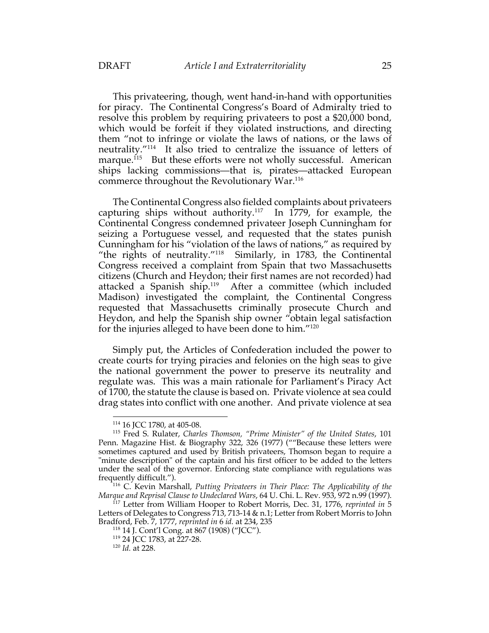This privateering, though, went hand-in-hand with opportunities for piracy. The Continental Congress's Board of Admiralty tried to resolve this problem by requiring privateers to post a \$20,000 bond, which would be forfeit if they violated instructions, and directing them "not to infringe or violate the laws of nations, or the laws of neutrality."114 It also tried to centralize the issuance of letters of marque.<sup>115</sup> But these efforts were not wholly successful. American ships lacking commissions—that is, pirates—attacked European commerce throughout the Revolutionary War.116

The Continental Congress also fielded complaints about privateers capturing ships without authority.<sup>117</sup> In 1779, for example, the Continental Congress condemned privateer Joseph Cunningham for seizing a Portuguese vessel, and requested that the states punish Cunningham for his "violation of the laws of nations," as required by "the rights of neutrality."118 Similarly, in 1783, the Continental Congress received a complaint from Spain that two Massachusetts citizens (Church and Heydon; their first names are not recorded) had attacked a Spanish ship.<sup>119</sup> After a committee (which included Madison) investigated the complaint, the Continental Congress requested that Massachusetts criminally prosecute Church and Heydon, and help the Spanish ship owner "obtain legal satisfaction for the injuries alleged to have been done to him."120

Simply put, the Articles of Confederation included the power to create courts for trying piracies and felonies on the high seas to give the national government the power to preserve its neutrality and regulate was. This was a main rationale for Parliament's Piracy Act of 1700, the statute the clause is based on. Private violence at sea could drag states into conflict with one another. And private violence at sea

<sup>114</sup> 16 JCC 1780, at 405-08.

<sup>115</sup> Fred S. Rulater, *Charles Thomson, "Prime Minister" of the United States*, 101 Penn. Magazine Hist. & Biography 322, 326 (1977) (""Because these letters were sometimes captured and used by British privateers, Thomson began to require a "minute description" of the captain and his first officer to be added to the letters under the seal of the governor. Enforcing state compliance with regulations was frequently difficult.").

<sup>116</sup> C. Kevin Marshall, *Putting Privateers in Their Place: The Applicability of the Marque and Reprisal Clause to Undeclared Wars*, 64 U. Chi. L. Rev. 953, 972 n.99 (1997).

<sup>117</sup> Letter from William Hooper to Robert Morris, Dec. 31, 1776, *reprinted in* 5 Letters of Delegates to Congress 713, 713-14 & n.1; Letter from Robert Morris to John Bradford, Feb. 7, 1777, *reprinted in* 6 *id.* at 234, 235 118 <sup>14</sup> J. Cont'l Cong. at 867 (1908) ("JCC"). 119 24 JCC 1783, at 227-28.

<sup>120</sup> *Id.* at 228.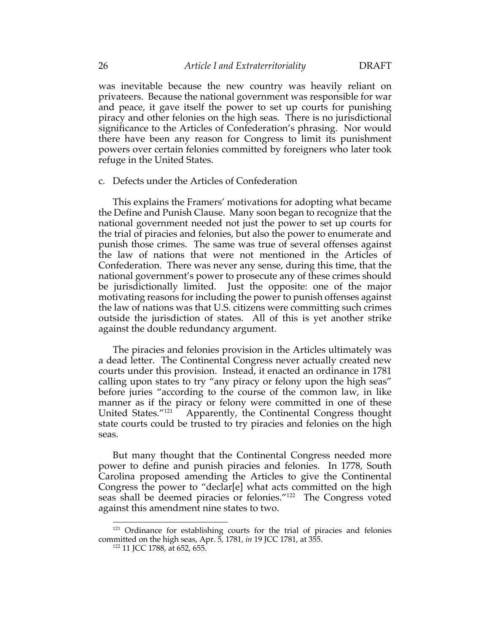was inevitable because the new country was heavily reliant on privateers. Because the national government was responsible for war and peace, it gave itself the power to set up courts for punishing piracy and other felonies on the high seas. There is no jurisdictional significance to the Articles of Confederation's phrasing. Nor would there have been any reason for Congress to limit its punishment powers over certain felonies committed by foreigners who later took refuge in the United States.

c. Defects under the Articles of Confederation

This explains the Framers' motivations for adopting what became the Define and Punish Clause. Many soon began to recognize that the national government needed not just the power to set up courts for the trial of piracies and felonies, but also the power to enumerate and punish those crimes. The same was true of several offenses against the law of nations that were not mentioned in the Articles of Confederation. There was never any sense, during this time, that the national government's power to prosecute any of these crimes should be jurisdictionally limited. Just the opposite: one of the major motivating reasons for including the power to punish offenses against the law of nations was that U.S. citizens were committing such crimes outside the jurisdiction of states. All of this is yet another strike against the double redundancy argument.

The piracies and felonies provision in the Articles ultimately was a dead letter. The Continental Congress never actually created new courts under this provision. Instead, it enacted an ordinance in 1781 calling upon states to try "any piracy or felony upon the high seas" before juries "according to the course of the common law, in like manner as if the piracy or felony were committed in one of these United States."<sup>121</sup> Apparently, the Continental Congress thought Apparently, the Continental Congress thought state courts could be trusted to try piracies and felonies on the high seas.

But many thought that the Continental Congress needed more power to define and punish piracies and felonies. In 1778, South Carolina proposed amending the Articles to give the Continental Congress the power to "declar[e] what acts committed on the high seas shall be deemed piracies or felonies."122 The Congress voted against this amendment nine states to two.

<sup>&</sup>lt;sup>121</sup> Ordinance for establishing courts for the trial of piracies and felonies committed on the high seas, Apr. 5, 1781, *in* 19 JCC 1781, at 355.

<sup>122 11</sup> JCC 1788, at 652, 655.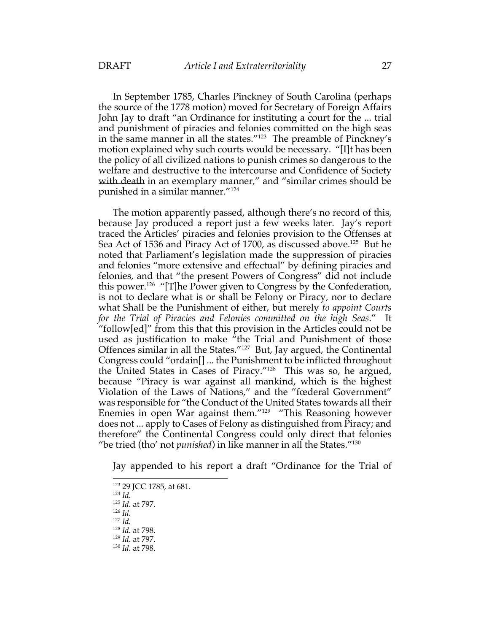In September 1785, Charles Pinckney of South Carolina (perhaps the source of the 1778 motion) moved for Secretary of Foreign Affairs John Jay to draft "an Ordinance for instituting a court for the ... trial and punishment of piracies and felonies committed on the high seas in the same manner in all the states."123 The preamble of Pinckney's motion explained why such courts would be necessary. "[I]t has been the policy of all civilized nations to punish crimes so dangerous to the welfare and destructive to the intercourse and Confidence of Society with death in an exemplary manner," and "similar crimes should be punished in a similar manner."124

The motion apparently passed, although there's no record of this, because Jay produced a report just a few weeks later. Jay's report traced the Articles' piracies and felonies provision to the Offenses at Sea Act of 1536 and Piracy Act of 1700, as discussed above.<sup>125</sup> But he noted that Parliament's legislation made the suppression of piracies and felonies "more extensive and effectual" by defining piracies and felonies, and that "the present Powers of Congress" did not include this power.126 "[T]he Power given to Congress by the Confederation, is not to declare what is or shall be Felony or Piracy, nor to declare what Shall be the Punishment of either, but merely *to appoint Courts for the Trial of Piracies and Felonies committed on the high Seas*." It "follow[ed]" from this that this provision in the Articles could not be used as justification to make  $\hat{u}$  the Trial and Punishment of those Offences similar in all the States."127 But, Jay argued, the Continental Congress could "ordain[] ... the Punishment to be inflicted throughout the United States in Cases of Piracy."128 This was so, he argued, because "Piracy is war against all mankind, which is the highest Violation of the Laws of Nations," and the "fœderal Government" was responsible for "the Conduct of the United States towards all their Enemies in open War against them."129 "This Reasoning however does not ... apply to Cases of Felony as distinguished from Piracy; and therefore" the Continental Congress could only direct that felonies "be tried (tho' not *punished*) in like manner in all the States."130

Jay appended to his report a draft "Ordinance for the Trial of

<sup>126</sup> *Id.*

<sup>123</sup> 29 JCC 1785, at 681.

<sup>124</sup> *Id.*

<sup>125</sup> *Id.* at 797.

<sup>127</sup> *Id.*

<sup>128</sup> *Id.* at 798.

<sup>129</sup> *Id.* at 797.

<sup>130</sup> *Id.* at 798.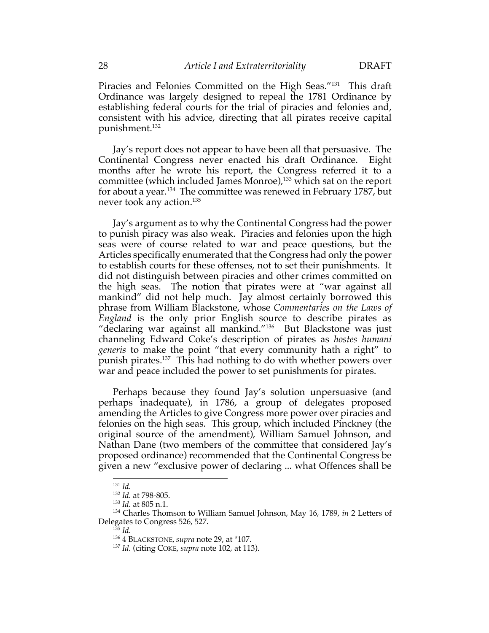Piracies and Felonies Committed on the High Seas."131 This draft Ordinance was largely designed to repeal the 1781 Ordinance by establishing federal courts for the trial of piracies and felonies and, consistent with his advice, directing that all pirates receive capital punishment.132

Jay's report does not appear to have been all that persuasive. The Continental Congress never enacted his draft Ordinance. Eight months after he wrote his report, the Congress referred it to a committee (which included James Monroe),<sup>133</sup> which sat on the report for about a year.134 The committee was renewed in February 1787, but never took any action.135

Jay's argument as to why the Continental Congress had the power to punish piracy was also weak. Piracies and felonies upon the high seas were of course related to war and peace questions, but the Articles specifically enumerated that the Congress had only the power to establish courts for these offenses, not to set their punishments. It did not distinguish between piracies and other crimes committed on the high seas. The notion that pirates were at "war against all mankind" did not help much. Jay almost certainly borrowed this phrase from William Blackstone, whose *Commentaries on the Laws of England* is the only prior English source to describe pirates as "declaring war against all mankind."136 But Blackstone was just channeling Edward Coke's description of pirates as *hostes humani generis* to make the point "that every community hath a right" to punish pirates.137 This had nothing to do with whether powers over war and peace included the power to set punishments for pirates.

Perhaps because they found Jay's solution unpersuasive (and perhaps inadequate), in 1786, a group of delegates proposed amending the Articles to give Congress more power over piracies and felonies on the high seas. This group, which included Pinckney (the original source of the amendment), William Samuel Johnson, and Nathan Dane (two members of the committee that considered Jay's proposed ordinance) recommended that the Continental Congress be given a new "exclusive power of declaring ... what Offences shall be

<sup>131</sup> *Id.*

<sup>132</sup> *Id.* at 798-805.

<sup>133</sup> *Id.* at 805 n.1.

<sup>134</sup> Charles Thomson to William Samuel Johnson, May 16, 1789, *in* 2 Letters of Delegates to Congress 526, 527.

<sup>135</sup> *Id.*

<sup>136</sup> 4 BLACKSTONE, *supra* note 29, at \*107.

<sup>137</sup> *Id.* (citing COKE, *supra* note 102, at 113).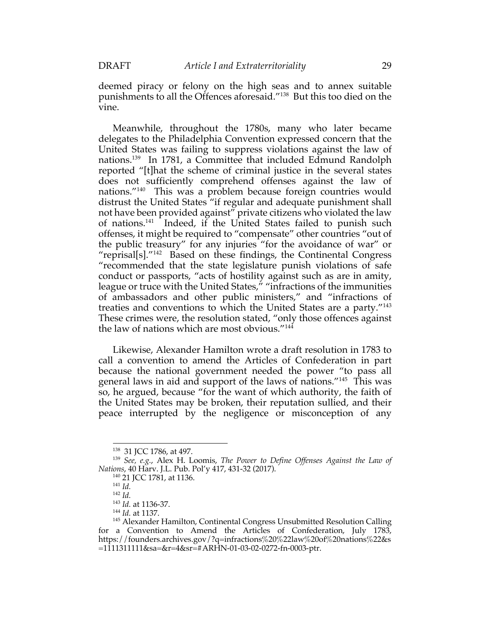deemed piracy or felony on the high seas and to annex suitable punishments to all the Offences aforesaid."138 But this too died on the vine.

Meanwhile, throughout the 1780s, many who later became delegates to the Philadelphia Convention expressed concern that the United States was failing to suppress violations against the law of nations.139 In 1781, a Committee that included Edmund Randolph reported "[t]hat the scheme of criminal justice in the several states does not sufficiently comprehend offenses against the law of nations."140 This was a problem because foreign countries would distrust the United States "if regular and adequate punishment shall not have been provided against" private citizens who violated the law of nations.<sup>141</sup> Indeed, if the United States failed to punish such offenses, it might be required to "compensate" other countries "out of the public treasury" for any injuries "for the avoidance of war" or "reprisal[s]."<sup>142</sup> Based on these findings, the Continental Congress "recommended that the state legislature punish violations of safe conduct or passports, "acts of hostility against such as are in amity, league or truce with the United States," "infractions of the immunities of ambassadors and other public ministers," and "infractions of treaties and conventions to which the United States are a party."143 These crimes were, the resolution stated, "only those offences against the law of nations which are most obvious."144

Likewise, Alexander Hamilton wrote a draft resolution in 1783 to call a convention to amend the Articles of Confederation in part because the national government needed the power "to pass all general laws in aid and support of the laws of nations."145 This was so, he argued, because "for the want of which authority, the faith of the United States may be broken, their reputation sullied, and their peace interrupted by the negligence or misconception of any

<sup>138</sup> 31 JCC 1786, at 497.

<sup>139</sup> *See, e.g.*, Alex H. Loomis, *The Power to Define Offenses Against the Law of Nations*, 40 Harv. J.L. Pub. Pol'y 417, 431-32 (2017).

<sup>140</sup> 21 JCC 1781, at 1136.

<sup>141</sup> *Id.*

<sup>142</sup> *Id.*

<sup>143</sup> *Id.* at 1136-37.

<sup>144</sup> *Id.* at 1137.

<sup>&</sup>lt;sup>145</sup> Alexander Hamilton, Continental Congress Unsubmitted Resolution Calling for a Convention to Amend the Articles of Confederation, July 1783, https://founders.archives.gov/?q=infractions%20%22law%20of%20nations%22&s =1111311111&sa=&r=4&sr=#ARHN-01-03-02-0272-fn-0003-ptr.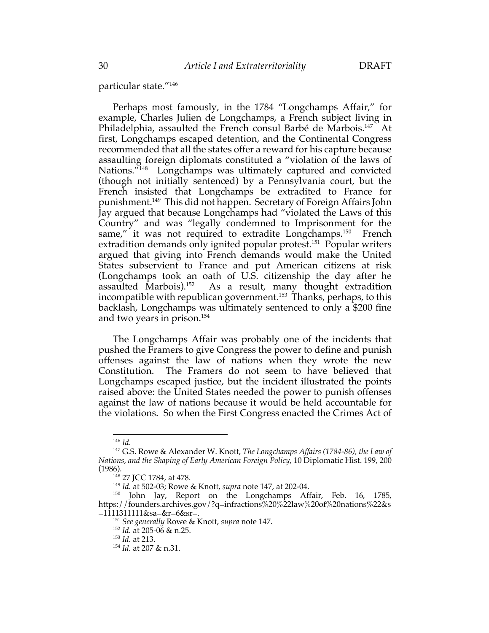particular state."146

Perhaps most famously, in the 1784 "Longchamps Affair," for example, Charles Julien de Longchamps, a French subject living in Philadelphia, assaulted the French consul Barbé de Marbois.<sup>147</sup> At first, Longchamps escaped detention, and the Continental Congress recommended that all the states offer a reward for his capture because assaulting foreign diplomats constituted a "violation of the laws of Nations."<sup>148</sup> Longchamps was ultimately captured and convicted (though not initially sentenced) by a Pennsylvania court, but the French insisted that Longchamps be extradited to France for punishment.149 This did not happen. Secretary of Foreign Affairs John Jay argued that because Longchamps had "violated the Laws of this Country" and was "legally condemned to Imprisonment for the same," it was not required to extradite Longchamps.<sup>150</sup> French extradition demands only ignited popular protest.<sup>151</sup> Popular writers argued that giving into French demands would make the United States subservient to France and put American citizens at risk (Longchamps took an oath of U.S. citizenship the day after he assaulted Marbois).<sup>152</sup> As a result, many thought extradition incompatible with republican government.<sup>153</sup> Thanks, perhaps, to this backlash, Longchamps was ultimately sentenced to only a \$200 fine and two years in prison.154

The Longchamps Affair was probably one of the incidents that pushed the Framers to give Congress the power to define and punish offenses against the law of nations when they wrote the new Constitution. The Framers do not seem to have believed that Longchamps escaped justice, but the incident illustrated the points raised above: the United States needed the power to punish offenses against the law of nations because it would be held accountable for the violations. So when the First Congress enacted the Crimes Act of

<sup>146</sup> *Id.*

<sup>147</sup> G.S. Rowe & Alexander W. Knott, *The Longchamps Affairs (1784-86), the Law of Nations, and the Shaping of Early American Foreign Policy*, 10 Diplomatic Hist. 199, 200 (1986).

<sup>&</sup>lt;sup>148</sup> 27 JCC 1784, at 478.<br><sup>149</sup> Id. at 502-03; Rowe & Knott, *supra* note 147, at 202-04.

<sup>&</sup>lt;sup>150</sup> John Jay, Report on the Longchamps Affair, Feb. 16, 1785, https://founders.archives.gov/?q=infractions%20%22law%20of%20nations%22&s  $=1111311111&$ sa=&r=6&sr=.

<sup>151</sup> *See generally* Rowe & Knott, *supra* note 147.

<sup>152</sup> *Id.* at 205-06 & n.25.

<sup>153</sup> *Id.* at 213.

<sup>154</sup> *Id.* at 207 & n.31.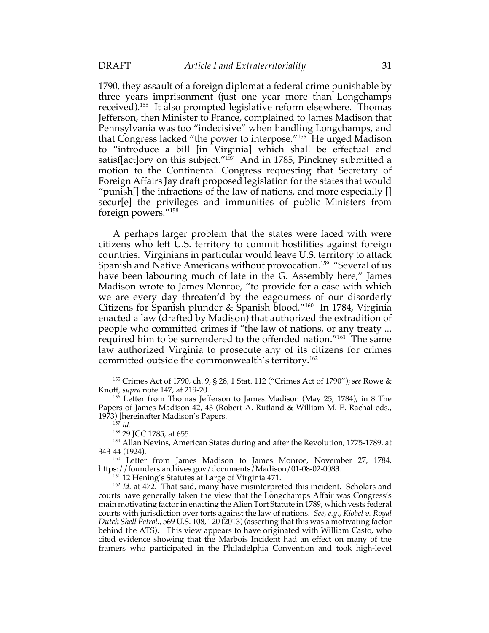1790, they assault of a foreign diplomat a federal crime punishable by three years imprisonment (just one year more than Longchamps received).155 It also prompted legislative reform elsewhere. Thomas Jefferson, then Minister to France, complained to James Madison that Pennsylvania was too "indecisive" when handling Longchamps, and that Congress lacked "the power to interpose."156 He urged Madison to "introduce a bill [in Virginia] which shall be effectual and satisf[act]ory on this subject."<sup>157</sup> And in 1785, Pinckney submitted a motion to the Continental Congress requesting that Secretary of Foreign Affairs Jay draft proposed legislation for the states that would "punish[] the infractions of the law of nations, and more especially [] secur[e] the privileges and immunities of public Ministers from foreign powers."158

A perhaps larger problem that the states were faced with were citizens who left U.S. territory to commit hostilities against foreign countries. Virginians in particular would leave U.S. territory to attack Spanish and Native Americans without provocation.<sup>159</sup> "Several of us have been labouring much of late in the G. Assembly here," James Madison wrote to James Monroe, "to provide for a case with which we are every day threaten'd by the eagourness of our disorderly Citizens for Spanish plunder & Spanish blood."160 In 1784, Virginia enacted a law (drafted by Madison) that authorized the extradition of people who committed crimes if "the law of nations, or any treaty ... required him to be surrendered to the offended nation."161 The same law authorized Virginia to prosecute any of its citizens for crimes committed outside the commonwealth's territory.162

<sup>155</sup> Crimes Act of 1790, ch. 9, § 28, 1 Stat. 112 ("Crimes Act of 1790"); *see* Rowe & Knott, *supra* note 147, at 219-20.

<sup>156</sup> Letter from Thomas Jefferson to James Madison (May 25, 1784), in 8 The Papers of James Madison 42, 43 (Robert A. Rutland & William M. E. Rachal eds., 1973) [hereinafter Madison's Papers.

<sup>157</sup> *Id.*

<sup>158 29</sup> JCC 1785, at 655.

<sup>&</sup>lt;sup>159</sup> Allan Nevins, American States during and after the Revolution, 1775-1789, at 343-44 (1924).

<sup>160</sup> Letter from James Madison to James Monroe, November 27, 1784, https://founders.archives.gov/documents/Madison/01-08-02-0083.

<sup>161</sup> 12 Hening's Statutes at Large of Virginia 471.

<sup>162</sup> *Id.* at 472. That said, many have misinterpreted this incident. Scholars and courts have generally taken the view that the Longchamps Affair was Congress's main motivating factor in enacting the Alien Tort Statute in 1789, which vests federal courts with jurisdiction over torts against the law of nations. *See, e.g.*, *Kiobel v. Royal Dutch Shell Petrol.,* 569 U.S. 108, 120 (2013) (asserting that this was a motivating factor behind the ATS). This view appears to have originated with William Casto, who cited evidence showing that the Marbois Incident had an effect on many of the framers who participated in the Philadelphia Convention and took high-level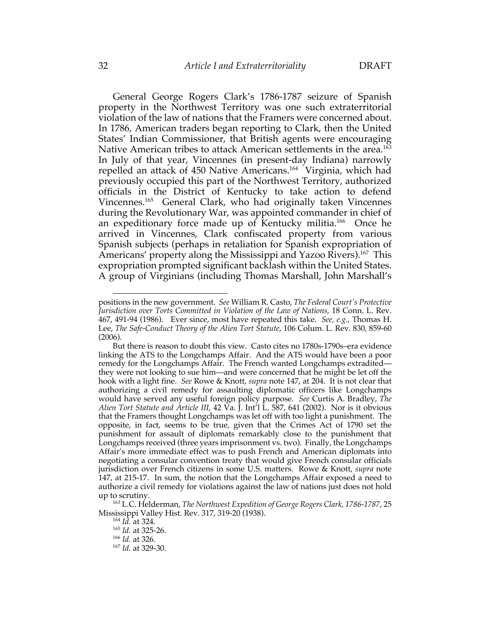General George Rogers Clark's 1786-1787 seizure of Spanish property in the Northwest Territory was one such extraterritorial violation of the law of nations that the Framers were concerned about. In 1786, American traders began reporting to Clark, then the United States' Indian Commissioner, that British agents were encouraging Native American tribes to attack American settlements in the area.<sup>163</sup> In July of that year, Vincennes (in present-day Indiana) narrowly repelled an attack of 450 Native Americans.164 Virginia, which had previously occupied this part of the Northwest Territory, authorized officials in the District of Kentucky to take action to defend Vincennes.165 General Clark, who had originally taken Vincennes during the Revolutionary War, was appointed commander in chief of an expeditionary force made up of Kentucky militia.<sup>166</sup> Once he arrived in Vincennes, Clark confiscated property from various Spanish subjects (perhaps in retaliation for Spanish expropriation of Americans' property along the Mississippi and Yazoo Rivers). 167 This expropriation prompted significant backlash within the United States. A group of Virginians (including Thomas Marshall, John Marshall's

positions in the new government. *See* William R. Casto, *The Federal Court's Protective Jurisdiction over Torts Committed in Violation of the Law of Nations*, 18 Conn. L. Rev. 467, 491-94 (1986). Ever since, most have repeated this take. *See, e.g.*, Thomas H. Lee, *The Safe-Conduct Theory of the Alien Tort Statute*, 106 Colum. L. Rev. 830, 859-60 (2006).

But there is reason to doubt this view. Casto cites no 1780s-1790s–era evidence linking the ATS to the Longchamps Affair. And the ATS would have been a poor remedy for the Longchamps Affair. The French wanted Longchamps extradited they were not looking to sue him—and were concerned that he might be let off the hook with a light fine. *See* Rowe & Knott, *supra* note 147, at 204. It is not clear that authorizing a civil remedy for assaulting diplomatic officers like Longchamps would have served any useful foreign policy purpose. *See* Curtis A. Bradley, *The Alien Tort Statute and Article III*, 42 Va. J. Int'l L. 587, 641 (2002). Nor is it obvious that the Framers thought Longchamps was let off with too light a punishment. The opposite, in fact, seems to be true, given that the Crimes Act of 1790 set the punishment for assault of diplomats remarkably close to the punishment that Longchamps received (three years imprisonment vs. two). Finally, the Longchamps Affair's more immediate effect was to push French and American diplomats into negotiating a consular convention treaty that would give French consular officials jurisdiction over French citizens in some U.S. matters. Rowe & Knott, *supra* note 147, at 215-17. In sum, the notion that the Longchamps Affair exposed a need to authorize a civil remedy for violations against the law of nations just does not hold up to scrutiny.

<sup>163</sup> L.C. Helderman, *The Northwest Expedition of George Rogers Clark, 1786-1787*, 25 Mississippi Valley Hist. Rev. 317, 319-20 (1938).

<sup>164</sup> *Id.* at 324.

<sup>165</sup> *Id.* at 325-26.

<sup>166</sup> *Id.* at 326.

<sup>167</sup> *Id.* at 329-30.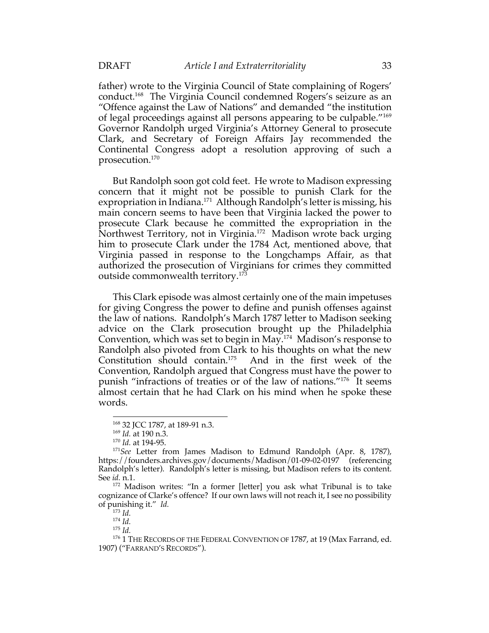father) wrote to the Virginia Council of State complaining of Rogers' conduct.168 The Virginia Council condemned Rogers's seizure as an "Offence against the Law of Nations" and demanded "the institution of legal proceedings against all persons appearing to be culpable."169 Governor Randolph urged Virginia's Attorney General to prosecute Clark, and Secretary of Foreign Affairs Jay recommended the Continental Congress adopt a resolution approving of such a prosecution.170

But Randolph soon got cold feet. He wrote to Madison expressing concern that it might not be possible to punish Clark for the expropriation in Indiana. 171 Although Randolph's letter is missing, his main concern seems to have been that Virginia lacked the power to prosecute Clark because he committed the expropriation in the Northwest Territory, not in Virginia.<sup>172</sup> Madison wrote back urging him to prosecute Clark under the 1784 Act, mentioned above, that Virginia passed in response to the Longchamps Affair, as that authorized the prosecution of Virginians for crimes they committed outside commonwealth territory.173

This Clark episode was almost certainly one of the main impetuses for giving Congress the power to define and punish offenses against the law of nations. Randolph's March 1787 letter to Madison seeking advice on the Clark prosecution brought up the Philadelphia Convention, which was set to begin in May.174 Madison's response to Randolph also pivoted from Clark to his thoughts on what the new Constitution should contain.175 And in the first week of the Convention, Randolph argued that Congress must have the power to punish "infractions of treaties or of the law of nations."176 It seems almost certain that he had Clark on his mind when he spoke these words.

<sup>168</sup> 32 JCC 1787, at 189-91 n.3.

<sup>169</sup> *Id.* at 190 n.3.

<sup>170</sup> *Id.* at 194-95.

<sup>171</sup>*See* Letter from James Madison to Edmund Randolph (Apr. 8, 1787), https://founders.archives.gov/documents/Madison/01-09-02-0197 (referencing Randolph's letter). Randolph's letter is missing, but Madison refers to its content. See *id.* n.1.

<sup>&</sup>lt;sup>172</sup> Madison writes: "In a former [letter] you ask what Tribunal is to take cognizance of Clarke's offence? If our own laws will not reach it, I see no possibility of punishing it." *Id.*

<sup>173</sup> *Id.*

<sup>174</sup> *Id.*

<sup>175</sup> *Id.*

<sup>&</sup>lt;sup>176</sup> 1 THE RECORDS OF THE FEDERAL CONVENTION OF 1787, at 19 (Max Farrand, ed. 1907) ("FARRAND'S RECORDS").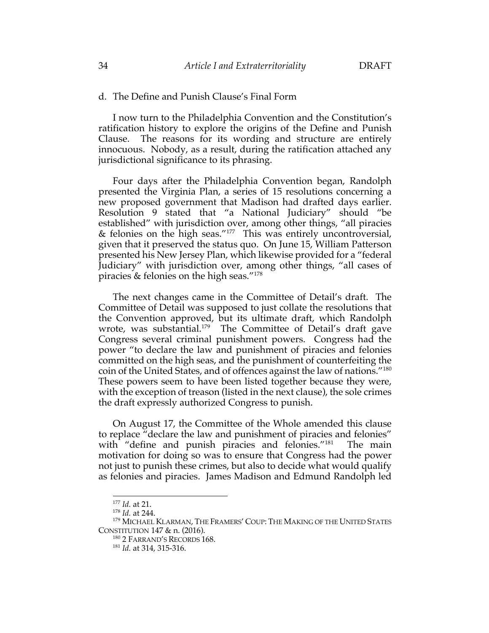# d. The Define and Punish Clause's Final Form

I now turn to the Philadelphia Convention and the Constitution's ratification history to explore the origins of the Define and Punish Clause. The reasons for its wording and structure are entirely innocuous. Nobody, as a result, during the ratification attached any jurisdictional significance to its phrasing.

Four days after the Philadelphia Convention began, Randolph presented the Virginia Plan, a series of 15 resolutions concerning a new proposed government that Madison had drafted days earlier. Resolution 9 stated that "a National Judiciary" should "be established" with jurisdiction over, among other things, "all piracies & felonies on the high seas."177 This was entirely uncontroversial, given that it preserved the status quo. On June 15, William Patterson presented his New Jersey Plan, which likewise provided for a "federal Judiciary" with jurisdiction over, among other things, "all cases of piracies & felonies on the high seas."178

The next changes came in the Committee of Detail's draft. The Committee of Detail was supposed to just collate the resolutions that the Convention approved, but its ultimate draft, which Randolph wrote, was substantial.<sup>179</sup> The Committee of Detail's draft gave Congress several criminal punishment powers. Congress had the power "to declare the law and punishment of piracies and felonies committed on the high seas, and the punishment of counterfeiting the coin of the United States, and of offences against the law of nations."180 These powers seem to have been listed together because they were, with the exception of treason (listed in the next clause), the sole crimes the draft expressly authorized Congress to punish.

On August 17, the Committee of the Whole amended this clause to replace "declare the law and punishment of piracies and felonies" with "define and punish piracies and felonies."<sup>181</sup> The main motivation for doing so was to ensure that Congress had the power not just to punish these crimes, but also to decide what would qualify as felonies and piracies. James Madison and Edmund Randolph led

<sup>177</sup> *Id.* at 21.

<sup>178</sup> *Id.* at 244.

<sup>&</sup>lt;sup>179</sup> MICHAEL KLARMAN, THE FRAMERS' COUP: THE MAKING OF THE UNITED STATES CONSTITUTION 147 & n. (2016). 180 2 FARRAND'S RECORDS 168.

<sup>181</sup> *Id.* at 314, 315-316.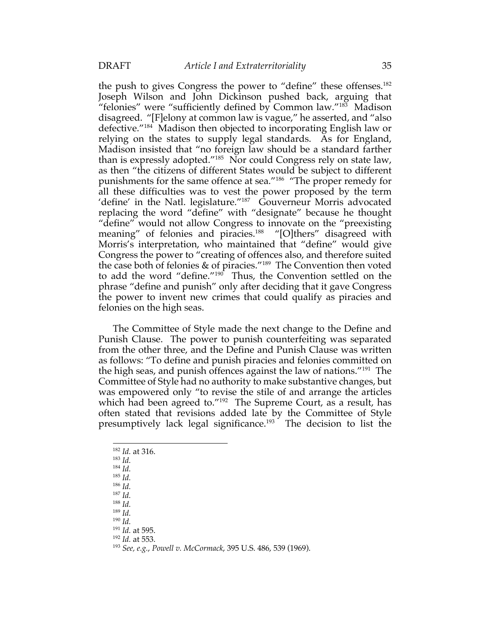the push to gives Congress the power to "define" these offenses.<sup>182</sup> Joseph Wilson and John Dickinson pushed back, arguing that "felonies" were "sufficiently defined by Common law."<sup>183</sup> Madison disagreed. "[F]elony at common law is vague," he asserted, and "also defective."184 Madison then objected to incorporating English law or relying on the states to supply legal standards. As for England, Madison insisted that "no foreign law should be a standard farther than is expressly adopted."185 Nor could Congress rely on state law, as then "the citizens of different States would be subject to different punishments for the same offence at sea."186 "The proper remedy for all these difficulties was to vest the power proposed by the term 'define' in the Natl. legislature."187 Gouverneur Morris advocated replacing the word "define" with "designate" because he thought "define" would not allow Congress to innovate on the "preexisting meaning" of felonies and piracies.<sup>188</sup> "[O]thers" disagreed with Morris's interpretation, who maintained that "define" would give Congress the power to "creating of offences also, and therefore suited the case both of felonies & of piracies."189 The Convention then voted to add the word "define."<sup>190</sup> Thus, the Convention settled on the phrase "define and punish" only after deciding that it gave Congress the power to invent new crimes that could qualify as piracies and felonies on the high seas.

The Committee of Style made the next change to the Define and Punish Clause. The power to punish counterfeiting was separated from the other three, and the Define and Punish Clause was written as follows: "To define and punish piracies and felonies committed on the high seas, and punish offences against the law of nations."191 The Committee of Style had no authority to make substantive changes, but was empowered only "to revise the stile of and arrange the articles which had been agreed to."<sup>192</sup> The Supreme Court, as a result, has often stated that revisions added late by the Committee of Style presumptively lack legal significance.193 The decision to list the

<sup>188</sup> *Id.* <sup>189</sup> *Id.*

<sup>190</sup> *Id.*

<sup>192</sup> *Id.* at 553.

<sup>182</sup> *Id.* at 316.

<sup>183</sup> *Id.*

<sup>184</sup> *Id.*

<sup>185</sup> *Id.*

<sup>186</sup> *Id.*

<sup>187</sup> *Id.*

<sup>191</sup> *Id.* at 595.

<sup>193</sup> *See, e.g.*, *Powell v. McCormack*, 395 U.S. 486, 539 (1969).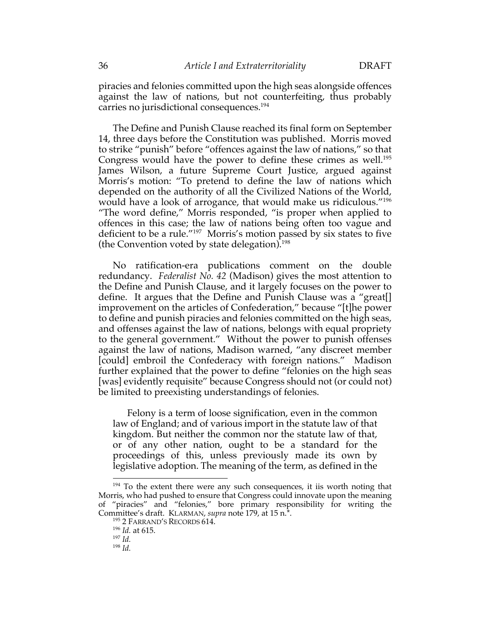piracies and felonies committed upon the high seas alongside offences against the law of nations, but not counterfeiting, thus probably carries no jurisdictional consequences.<sup>194</sup>

The Define and Punish Clause reached its final form on September 14, three days before the Constitution was published. Morris moved to strike "punish" before "offences against the law of nations," so that Congress would have the power to define these crimes as well.<sup>195</sup> James Wilson, a future Supreme Court Justice, argued against Morris's motion: "To pretend to define the law of nations which depended on the authority of all the Civilized Nations of the World, would have a look of arrogance, that would make us ridiculous."196 "The word define," Morris responded, "is proper when applied to offences in this case; the law of nations being often too vague and deficient to be a rule."197 Morris's motion passed by six states to five (the Convention voted by state delegation).<sup>198</sup>

No ratification-era publications comment on the double redundancy. *Federalist No. 42* (Madison) gives the most attention to the Define and Punish Clause, and it largely focuses on the power to define. It argues that the Define and Punish Clause was a "great[] improvement on the articles of Confederation," because "[t]he power to define and punish piracies and felonies committed on the high seas, and offenses against the law of nations, belongs with equal propriety to the general government." Without the power to punish offenses against the law of nations, Madison warned, "any discreet member [could] embroil the Confederacy with foreign nations." Madison further explained that the power to define "felonies on the high seas [was] evidently requisite" because Congress should not (or could not) be limited to preexisting understandings of felonies.

Felony is a term of loose signification, even in the common law of England; and of various import in the statute law of that kingdom. But neither the common nor the statute law of that, or of any other nation, ought to be a standard for the proceedings of this, unless previously made its own by legislative adoption. The meaning of the term, as defined in the

 $194$  To the extent there were any such consequences, it iis worth noting that Morris, who had pushed to ensure that Congress could innovate upon the meaning of "piracies" and "felonies," bore primary responsibility for writing the Committee's draft. KLARMAN, *supra* note 179, at 15 n.\*. 195 2 FARRAND'S RECORDS 614. 196 *Id.* at 615.

<sup>&</sup>lt;sup>196</sup> *Id.* at 615.<br><sup>197</sup> *Id.* 

<sup>198</sup> *Id.*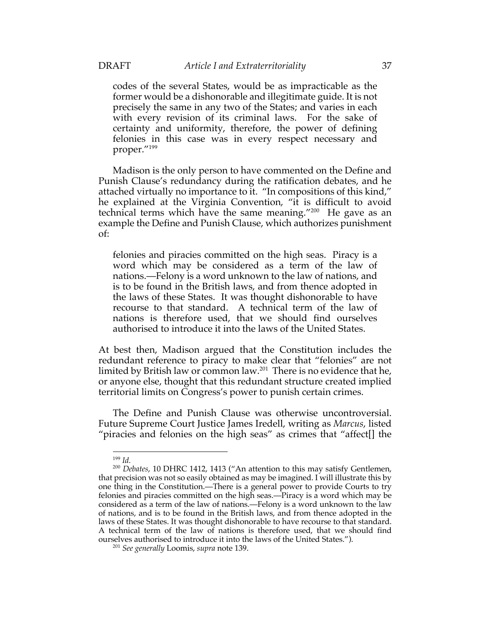codes of the several States, would be as impracticable as the former would be a dishonorable and illegitimate guide. It is not precisely the same in any two of the States; and varies in each with every revision of its criminal laws. For the sake of certainty and uniformity, therefore, the power of defining felonies in this case was in every respect necessary and proper."199

Madison is the only person to have commented on the Define and Punish Clause's redundancy during the ratification debates, and he attached virtually no importance to it. "In compositions of this kind," he explained at the Virginia Convention, "it is difficult to avoid technical terms which have the same meaning."200 He gave as an example the Define and Punish Clause, which authorizes punishment of:

felonies and piracies committed on the high seas. Piracy is a word which may be considered as a term of the law of nations.—Felony is a word unknown to the law of nations, and is to be found in the British laws, and from thence adopted in the laws of these States. It was thought dishonorable to have recourse to that standard. A technical term of the law of nations is therefore used, that we should find ourselves authorised to introduce it into the laws of the United States.

At best then, Madison argued that the Constitution includes the redundant reference to piracy to make clear that "felonies" are not limited by British law or common law.201 There is no evidence that he, or anyone else, thought that this redundant structure created implied territorial limits on Congress's power to punish certain crimes.

The Define and Punish Clause was otherwise uncontroversial. Future Supreme Court Justice James Iredell, writing as *Marcus*, listed "piracies and felonies on the high seas" as crimes that "affect[] the

<sup>199</sup> *Id.*

<sup>200</sup> *Debates*, 10 DHRC 1412, 1413 ("An attention to this may satisfy Gentlemen, that precision was not so easily obtained as may be imagined. I will illustrate this by one thing in the Constitution.—There is a general power to provide Courts to try felonies and piracies committed on the high seas.—Piracy is a word which may be considered as a term of the law of nations.—Felony is a word unknown to the law of nations, and is to be found in the British laws, and from thence adopted in the laws of these States. It was thought dishonorable to have recourse to that standard. A technical term of the law of nations is therefore used, that we should find ourselves authorised to introduce it into the laws of the United States.").

<sup>201</sup> *See generally* Loomis, *supra* note 139.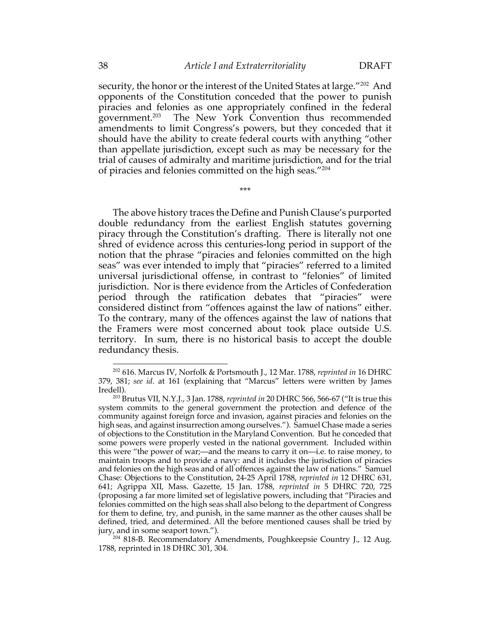security, the honor or the interest of the United States at large."202 And opponents of the Constitution conceded that the power to punish piracies and felonies as one appropriately confined in the federal government.203 The New York Convention thus recommended amendments to limit Congress's powers, but they conceded that it should have the ability to create federal courts with anything "other than appellate jurisdiction, except such as may be necessary for the trial of causes of admiralty and maritime jurisdiction, and for the trial of piracies and felonies committed on the high seas."204

\*\*\*

The above history traces the Define and Punish Clause's purported double redundancy from the earliest English statutes governing piracy through the Constitution's drafting. There is literally not one shred of evidence across this centuries-long period in support of the notion that the phrase "piracies and felonies committed on the high seas" was ever intended to imply that "piracies" referred to a limited universal jurisdictional offense, in contrast to "felonies" of limited jurisdiction. Nor is there evidence from the Articles of Confederation period through the ratification debates that "piracies" were considered distinct from "offences against the law of nations" either. To the contrary, many of the offences against the law of nations that the Framers were most concerned about took place outside U.S. territory. In sum, there is no historical basis to accept the double redundancy thesis.

<sup>202</sup> 616. Marcus IV, Norfolk & Portsmouth J., 12 Mar. 1788, *reprinted in* 16 DHRC 379, 381; *see id.* at 161 (explaining that "Marcus" letters were written by James Iredell).

<sup>203</sup> Brutus VII, N.Y.J., 3 Jan. 1788, *reprinted in* 20 DHRC 566, 566-67 ("It is true this system commits to the general government the protection and defence of the community against foreign force and invasion, against piracies and felonies on the high seas, and against insurrection among ourselves."). Samuel Chase made a series of objections to the Constitution in the Maryland Convention. But he conceded that some powers were properly vested in the national government. Included within this were "the power of war;—and the means to carry it on—i.e. to raise money, to maintain troops and to provide a navy: and it includes the jurisdiction of piracies and felonies on the high seas and of all offences against the law of nations." Samuel Chase: Objections to the Constitution, 24-25 April 1788, *reprinted in* 12 DHRC 631, 641; Agrippa XII, Mass. Gazette, 15 Jan. 1788, *reprinted in* 5 DHRC 720, 725 (proposing a far more limited set of legislative powers, including that "Piracies and felonies committed on the high seas shall also belong to the department of Congress for them to define, try, and punish, in the same manner as the other causes shall be defined, tried, and determined. All the before mentioned causes shall be tried by jury, and in some seaport town.").

<sup>&</sup>lt;sup>204</sup> 818-B. Recommendatory Amendments, Poughkeepsie Country J., 12 Aug. 1788, reprinted in 18 DHRC 301, 304.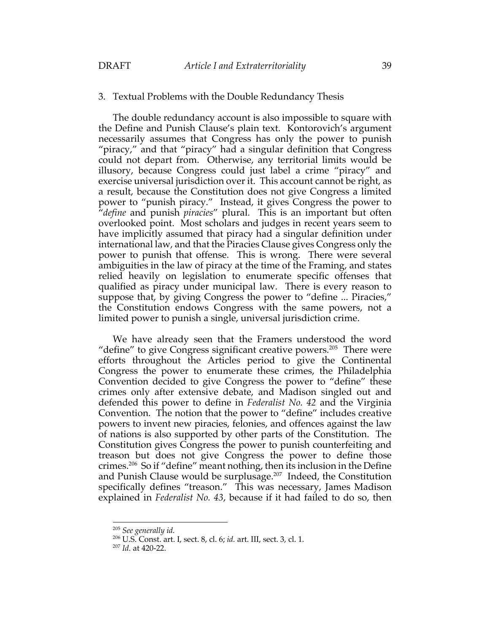### 3. Textual Problems with the Double Redundancy Thesis

The double redundancy account is also impossible to square with the Define and Punish Clause's plain text. Kontorovich's argument necessarily assumes that Congress has only the power to punish "piracy," and that "piracy" had a singular definition that Congress could not depart from. Otherwise, any territorial limits would be illusory, because Congress could just label a crime "piracy" and exercise universal jurisdiction over it. This account cannot be right, as a result, because the Constitution does not give Congress a limited power to "punish piracy." Instead, it gives Congress the power to "*define* and punish *piracies*" plural. This is an important but often overlooked point. Most scholars and judges in recent years seem to have implicitly assumed that piracy had a singular definition under international law, and that the Piracies Clause gives Congress only the power to punish that offense. This is wrong. There were several ambiguities in the law of piracy at the time of the Framing, and states relied heavily on legislation to enumerate specific offenses that qualified as piracy under municipal law. There is every reason to suppose that, by giving Congress the power to "define ... Piracies," the Constitution endows Congress with the same powers, not a limited power to punish a single, universal jurisdiction crime.

We have already seen that the Framers understood the word "define" to give Congress significant creative powers. $205$  There were efforts throughout the Articles period to give the Continental Congress the power to enumerate these crimes, the Philadelphia Convention decided to give Congress the power to "define" these crimes only after extensive debate, and Madison singled out and defended this power to define in *Federalist No. 42* and the Virginia Convention. The notion that the power to "define" includes creative powers to invent new piracies, felonies, and offences against the law of nations is also supported by other parts of the Constitution. The Constitution gives Congress the power to punish counterfeiting and treason but does not give Congress the power to define those crimes.206 So if "define" meant nothing, then its inclusion in the Define and Punish Clause would be surplusage.<sup>207</sup> Indeed, the Constitution specifically defines "treason." This was necessary, James Madison explained in *Federalist No. 43*, because if it had failed to do so, then

<sup>205</sup> *See generally id.*

<sup>206</sup> U.S. Const. art. I, sect. 8, cl. 6; *id.* art. III, sect. 3, cl. 1. 207 *Id.* at 420-22.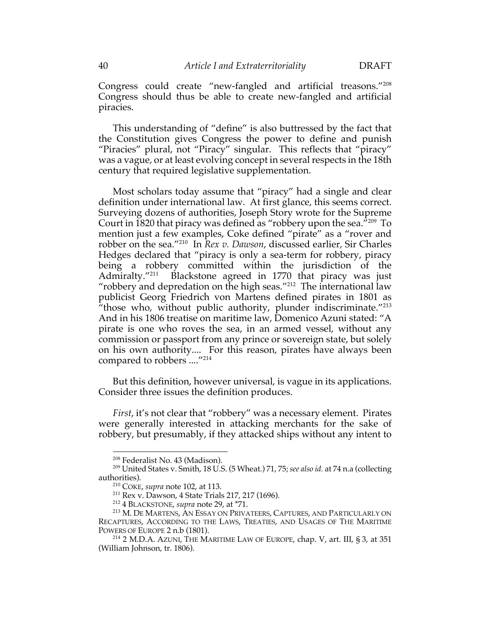Congress could create "new-fangled and artificial treasons."208 Congress should thus be able to create new-fangled and artificial piracies.

This understanding of "define" is also buttressed by the fact that the Constitution gives Congress the power to define and punish "Piracies" plural, not "Piracy" singular. This reflects that "piracy" was a vague, or at least evolving concept in several respects in the 18th century that required legislative supplementation.

Most scholars today assume that "piracy" had a single and clear definition under international law. At first glance, this seems correct. Surveying dozens of authorities, Joseph Story wrote for the Supreme Court in 1820 that piracy was defined as "robbery upon the sea. $7209$  To mention just a few examples, Coke defined "pirate" as a "rover and robber on the sea."210 In *Rex v. Dawson*, discussed earlier, Sir Charles Hedges declared that "piracy is only a sea-term for robbery, piracy being a robbery committed within the jurisdiction of the Admiralty."<sup>211</sup> Blackstone agreed in 1770 that piracy was just "robbery and depredation on the high seas."<sup>212</sup> The international law publicist Georg Friedrich von Martens defined pirates in 1801 as  $i$ <sup>t</sup> those who, without public authority, plunder indiscriminate.<sup>"213</sup> And in his 1806 treatise on maritime law, Domenico Azuni stated: "A pirate is one who roves the sea, in an armed vessel, without any commission or passport from any prince or sovereign state, but solely on his own authority.... For this reason, pirates have always been compared to robbers ...."<sup>214</sup>

But this definition, however universal, is vague in its applications. Consider three issues the definition produces.

*First*, it's not clear that "robbery" was a necessary element. Pirates were generally interested in attacking merchants for the sake of robbery, but presumably, if they attacked ships without any intent to

<sup>208</sup> Federalist No. 43 (Madison).

<sup>209</sup> United States v. Smith, 18 U.S. (5 Wheat.) 71, 75; *see also id.* at 74 n.a (collecting authorities).

<sup>210</sup> COKE, *supra* note 102, at 113.

<sup>211</sup> Rex v. Dawson, 4 State Trials 217, 217 (1696).

<sup>212</sup> 4 BLACKSTONE, *supra* note 29, at \*71.

<sup>213</sup> M. DE MARTENS, AN ESSAY ON PRIVATEERS, CAPTURES, AND PARTICULARLY ON RECAPTURES, ACCORDING TO THE LAWS, TREATIES, AND USAGES OF THE MARITIME POWERS OF EUROPE 2 n.b (1801).

<sup>&</sup>lt;sup>214</sup> 2 M.D.A. AZUNI, THE MARITIME LAW OF EUROPE, chap. V, art. III, § 3, at 351 (William Johnson, tr. 1806).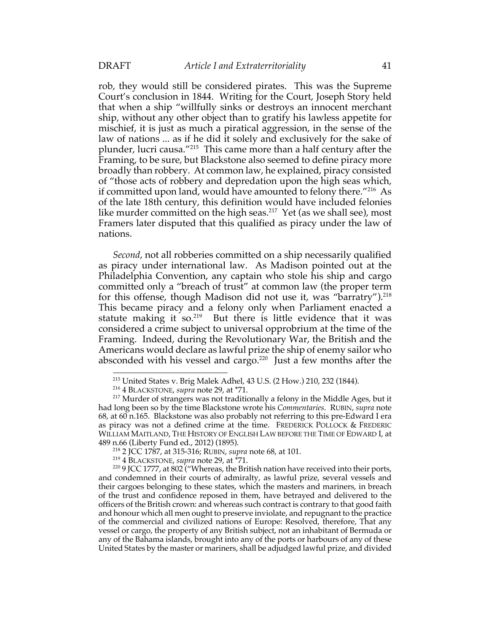rob, they would still be considered pirates. This was the Supreme Court's conclusion in 1844. Writing for the Court, Joseph Story held that when a ship "willfully sinks or destroys an innocent merchant ship, without any other object than to gratify his lawless appetite for mischief, it is just as much a piratical aggression, in the sense of the law of nations ... as if he did it solely and exclusively for the sake of plunder, lucri causa."215 This came more than a half century after the Framing, to be sure, but Blackstone also seemed to define piracy more broadly than robbery. At common law, he explained, piracy consisted of "those acts of robbery and depredation upon the high seas which, if committed upon land, would have amounted to felony there."216 As of the late 18th century, this definition would have included felonies like murder committed on the high seas. 217 Yet (as we shall see), most Framers later disputed that this qualified as piracy under the law of nations.

*Second*, not all robberies committed on a ship necessarily qualified as piracy under international law. As Madison pointed out at the Philadelphia Convention, any captain who stole his ship and cargo committed only a "breach of trust" at common law (the proper term for this offense, though Madison did not use it, was "barratry"). 218 This became piracy and a felony only when Parliament enacted a statute making it so.<sup>219</sup> But there is little evidence that it was considered a crime subject to universal opprobrium at the time of the Framing. Indeed, during the Revolutionary War, the British and the Americans would declare as lawful prize the ship of enemy sailor who absconded with his vessel and cargo.<sup>220</sup> Just a few months after the

<sup>215</sup> United States v. Brig Malek Adhel, 43 U.S. (2 How.) 210, 232 (1844).

<sup>216</sup> 4 BLACKSTONE, *supra* note 29, at \*71.

<sup>&</sup>lt;sup>217</sup> Murder of strangers was not traditionally a felony in the Middle Ages, but it had long been so by the time Blackstone wrote his *Commentaries*. RUBIN, *supra* note 68, at 60 n.165. Blackstone was also probably not referring to this pre-Edward I era as piracy was not a defined crime at the time. FREDERICK POLLOCK & FREDERIC WILLIAM MAITLAND, THE HISTORY OF ENGLISH LAW BEFORE THE TIME OF EDWARD I, at 489 n.66 (Liberty Fund ed., 2012) (1895).

<sup>218</sup> 2 JCC 1787, at 315-316; RUBIN, *supra* note 68, at 101.

<sup>219</sup> 4 BLACKSTONE, *supra* note 29, at \*71.

<sup>&</sup>lt;sup>220</sup> 9 JCC 1777, at 802 ("Whereas, the British nation have received into their ports, and condemned in their courts of admiralty, as lawful prize, several vessels and their cargoes belonging to these states, which the masters and mariners, in breach of the trust and confidence reposed in them, have betrayed and delivered to the officers of the British crown: and whereas such contract is contrary to that good faith and honour which all men ought to preserve inviolate, and repugnant to the practice of the commercial and civilized nations of Europe: Resolved, therefore, That any vessel or cargo, the property of any British subject, not an inhabitant of Bermuda or any of the Bahama islands, brought into any of the ports or harbours of any of these United States by the master or mariners, shall be adjudged lawful prize, and divided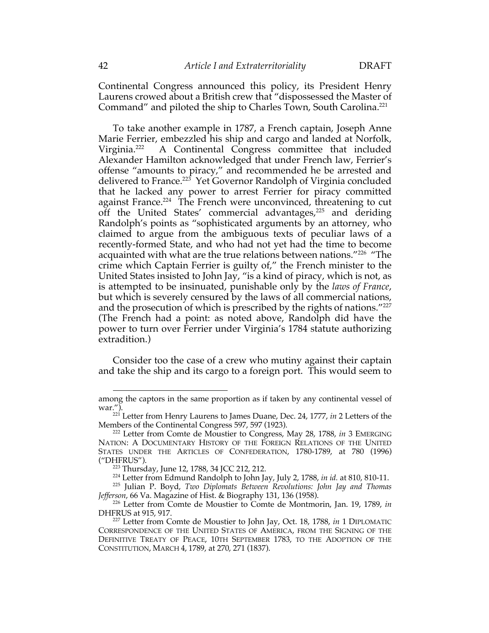Continental Congress announced this policy, its President Henry Laurens crowed about a British crew that "dispossessed the Master of Command" and piloted the ship to Charles Town, South Carolina.221

To take another example in 1787, a French captain, Joseph Anne Marie Ferrier, embezzled his ship and cargo and landed at Norfolk, Virginia.222 A Continental Congress committee that included Alexander Hamilton acknowledged that under French law, Ferrier's offense "amounts to piracy," and recommended he be arrested and delivered to France.<sup>223</sup> Yet Governor Randolph of Virginia concluded that he lacked any power to arrest Ferrier for piracy committed against France. 224 The French were unconvinced, threatening to cut off the United States' commercial advantages, $225$  and deriding Randolph's points as "sophisticated arguments by an attorney, who claimed to argue from the ambiguous texts of peculiar laws of a recently-formed State, and who had not yet had the time to become acquainted with what are the true relations between nations."226 "The crime which Captain Ferrier is guilty of," the French minister to the United States insisted to John Jay, "is a kind of piracy, which is not, as is attempted to be insinuated, punishable only by the *laws of France*, but which is severely censured by the laws of all commercial nations, and the prosecution of which is prescribed by the rights of nations."227 (The French had a point: as noted above, Randolph did have the power to turn over Ferrier under Virginia's 1784 statute authorizing extradition.)

Consider too the case of a crew who mutiny against their captain and take the ship and its cargo to a foreign port. This would seem to

among the captors in the same proportion as if taken by any continental vessel of war.").

<sup>&</sup>lt;sup>221</sup> Letter from Henry Laurens to James Duane, Dec. 24, 1777, *in* 2 Letters of the Members of the Continental Congress 597, 597 (1923).

<sup>222</sup> Letter from Comte de Moustier to Congress, May 28, 1788, *in* 3 EMERGING NATION: A DOCUMENTARY HISTORY OF THE FOREIGN RELATIONS OF THE UNITED STATES UNDER THE ARTICLES OF CONFEDERATION, 1780-1789, at 780 (1996) ("DHFRUS").

<sup>223</sup> Thursday, June 12, 1788, 34 JCC 212, 212.

<sup>224</sup> Letter from Edmund Randolph to John Jay, July 2, 1788, *in id.* at 810, 810-11.

<sup>225</sup> Julian P. Boyd, *Two Diplomats Between Revolutions: John Jay and Thomas Jefferson*, 66 Va. Magazine of Hist. & Biography 131, 136 (1958).

<sup>226</sup> Letter from Comte de Moustier to Comte de Montmorin, Jan. 19, 1789, *in* DHFRUS at 915, 917.

<sup>227</sup> Letter from Comte de Moustier to John Jay, Oct. 18, 1788, *in* 1 DIPLOMATIC CORRESPONDENCE OF THE UNITED STATES OF AMERICA, FROM THE SIGNING OF THE DEFINITIVE TREATY OF PEACE, 10TH SEPTEMBER 1783, TO THE ADOPTION OF THE CONSTITUTION, MARCH 4, 1789, at 270, 271 (1837).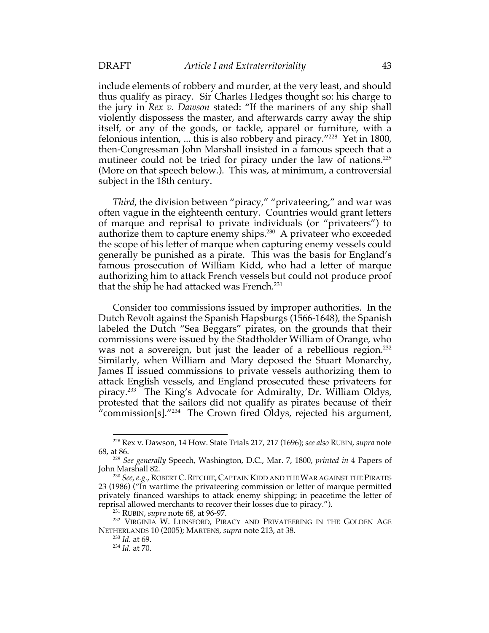include elements of robbery and murder, at the very least, and should thus qualify as piracy. Sir Charles Hedges thought so: his charge to the jury in *Rex v. Dawson* stated: "If the mariners of any ship shall violently dispossess the master, and afterwards carry away the ship itself, or any of the goods, or tackle, apparel or furniture, with a felonious intention, ... this is also robbery and piracy."228 Yet in 1800, then-Congressman John Marshall insisted in a famous speech that a mutineer could not be tried for piracy under the law of nations.<sup>229</sup> (More on that speech below.). This was, at minimum, a controversial subject in the 18th century.

*Third*, the division between "piracy," "privateering," and war was often vague in the eighteenth century. Countries would grant letters of marque and reprisal to private individuals (or "privateers") to authorize them to capture enemy ships.230 A privateer who exceeded the scope of his letter of marque when capturing enemy vessels could generally be punished as a pirate. This was the basis for England's famous prosecution of William Kidd, who had a letter of marque authorizing him to attack French vessels but could not produce proof that the ship he had attacked was French.<sup>231</sup>

Consider too commissions issued by improper authorities. In the Dutch Revolt against the Spanish Hapsburgs (1566-1648), the Spanish labeled the Dutch "Sea Beggars" pirates, on the grounds that their commissions were issued by the Stadtholder William of Orange, who was not a sovereign, but just the leader of a rebellious region.<sup>232</sup> Similarly, when William and Mary deposed the Stuart Monarchy, James II issued commissions to private vessels authorizing them to attack English vessels, and England prosecuted these privateers for piracy.233 The King's Advocate for Admiralty, Dr. William Oldys, protested that the sailors did not qualify as pirates because of their "commission[s]." $^{234}$  The Crown fired Oldys, rejected his argument,

<sup>228</sup> Rex v. Dawson, 14 How. State Trials 217, 217 (1696); *see also* RUBIN, *supra* note 68, at 86.

<sup>229</sup> *See generally* Speech, Washington, D.C., Mar. 7, 1800, *printed in* 4 Papers of John Marshall 82.

<sup>230</sup> *See, e.g.*, ROBERT C.RITCHIE, CAPTAIN KIDD AND THE WAR AGAINST THE PIRATES 23 (1986) ("In wartime the privateering commission or letter of marque permitted privately financed warships to attack enemy shipping; in peacetime the letter of reprisal allowed merchants to recover their losses due to piracy.").

<sup>231</sup> RUBIN, *supra* note 68, at 96-97.

<sup>&</sup>lt;sup>232</sup> VIRGINIA W. LUNSFORD, PIRACY AND PRIVATEERING IN THE GOLDEN AGE NETHERLANDS 10 (2005); MARTENS, *supra* note 213, at 38.

<sup>233</sup> *Id.* at 69.

<sup>234</sup> *Id.* at 70.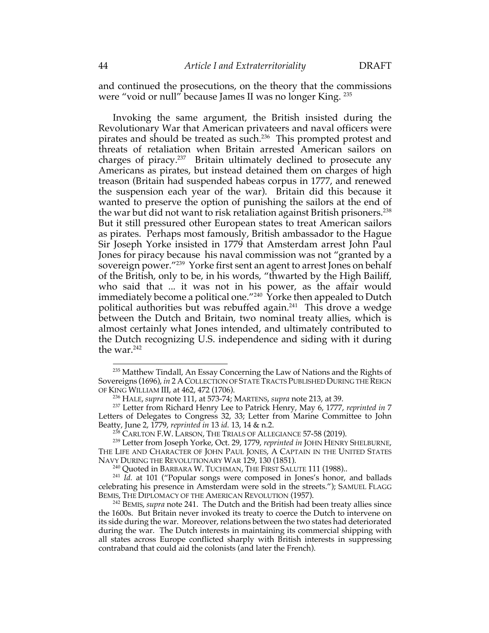and continued the prosecutions, on the theory that the commissions were "void or null" because James II was no longer King. 235

Invoking the same argument, the British insisted during the Revolutionary War that American privateers and naval officers were pirates and should be treated as such.<sup>236</sup> This prompted protest and threats of retaliation when Britain arrested American sailors on charges of piracy.237 Britain ultimately declined to prosecute any Americans as pirates, but instead detained them on charges of high treason (Britain had suspended habeas corpus in 1777, and renewed the suspension each year of the war). Britain did this because it wanted to preserve the option of punishing the sailors at the end of the war but did not want to risk retaliation against British prisoners.<sup>238</sup> But it still pressured other European states to treat American sailors as pirates. Perhaps most famously, British ambassador to the Hague Sir Joseph Yorke insisted in 1779 that Amsterdam arrest John Paul Jones for piracy because his naval commission was not "granted by a sovereign power."239 Yorke first sent an agent to arrest Jones on behalf of the British, only to be, in his words, "thwarted by the High Bailiff, who said that ... it was not in his power, as the affair would immediately become a political one.<sup> $"240$ </sup> Yorke then appealed to Dutch political authorities but was rebuffed again.241 This drove a wedge between the Dutch and Britain, two nominal treaty allies, which is almost certainly what Jones intended, and ultimately contributed to the Dutch recognizing U.S. independence and siding with it during the war.<sup>242</sup>

<sup>&</sup>lt;sup>235</sup> Matthew Tindall, An Essay Concerning the Law of Nations and the Rights of Sovereigns (1696), *in* 2 ACOLLECTION OF STATE TRACTS PUBLISHED DURING THE REIGN OF KING WILLIAM III, at 462, 472 (1706).

<sup>236</sup> HALE, *supra* note 111, at 573-74; MARTENS, *supra* note 213, at 39.

<sup>237</sup> Letter from Richard Henry Lee to Patrick Henry, May 6, 1777, *reprinted in* 7 Letters of Delegates to Congress 32, 33; Letter from Marine Committee to John Beatty, June 2, 1779, *reprinted in* 13 *id.* 13, 14 & n.2.

<sup>&</sup>lt;sup>238</sup> CARLTON F.W. LARSON, THE TRIALS OF ALLEGIANCE 57-58 (2019).

<sup>239</sup> Letter from Joseph Yorke, Oct. 29, 1779, *reprinted in* JOHN HENRY SHELBURNE, THE LIFE AND CHARACTER OF JOHN PAUL JONES, A CAPTAIN IN THE UNITED STATES NAVY DURING THE REVOLUTIONARY WAR 129, 130 (1851).

<sup>&</sup>lt;sup>240</sup> Quoted in BARBARA W. TUCHMAN, THE FIRST SALUTE 111 (1988)..

<sup>&</sup>lt;sup>241</sup> *Id.* at 101 ("Popular songs were composed in Jones's honor, and ballads celebrating his presence in Amsterdam were sold in the streets."); SAMUEL FLAGG BEMIS, THE DIPLOMACY OF THE AMERICAN REVOLUTION (1957). 242 BEMIS, *supra* note 241. The Dutch and the British had been treaty allies since

the 1600s. But Britain never invoked its treaty to coerce the Dutch to intervene on its side during the war. Moreover, relations between the two states had deteriorated during the war. The Dutch interests in maintaining its commercial shipping with all states across Europe conflicted sharply with British interests in suppressing contraband that could aid the colonists (and later the French).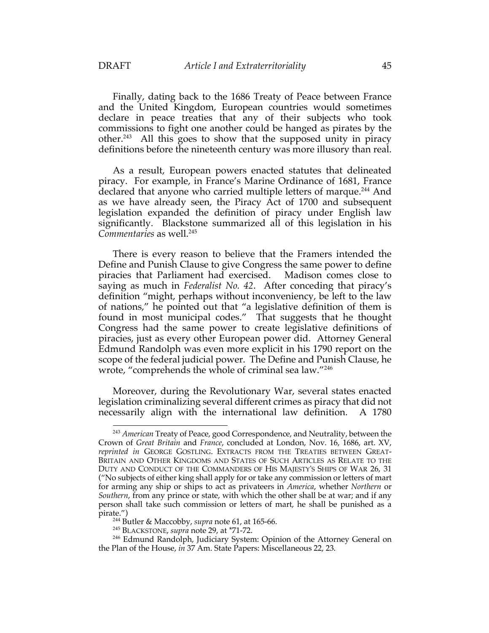Finally, dating back to the 1686 Treaty of Peace between France and the United Kingdom, European countries would sometimes declare in peace treaties that any of their subjects who took commissions to fight one another could be hanged as pirates by the other.243 All this goes to show that the supposed unity in piracy definitions before the nineteenth century was more illusory than real.

As a result, European powers enacted statutes that delineated piracy. For example, in France's Marine Ordinance of 1681, France declared that anyone who carried multiple letters of marque.<sup>244</sup> And as we have already seen, the Piracy Act of 1700 and subsequent legislation expanded the definition of piracy under English law significantly. Blackstone summarized all of this legislation in his *Commentaries* as well.245

There is every reason to believe that the Framers intended the Define and Punish Clause to give Congress the same power to define piracies that Parliament had exercised. Madison comes close to saying as much in *Federalist No. 42*. After conceding that piracy's definition "might, perhaps without inconveniency, be left to the law of nations," he pointed out that "a legislative definition of them is found in most municipal codes." That suggests that he thought Congress had the same power to create legislative definitions of piracies, just as every other European power did. Attorney General Edmund Randolph was even more explicit in his 1790 report on the scope of the federal judicial power. The Define and Punish Clause, he wrote, "comprehends the whole of criminal sea law."246

Moreover, during the Revolutionary War, several states enacted legislation criminalizing several different crimes as piracy that did not necessarily align with the international law definition. A 1780

<sup>243</sup> *American* Treaty of Peace, good Correspondence, and Neutrality, between the Crown of *Great Britain* and *France*, concluded at London, Nov. 16, 1686, art. XV, *reprinted in* GEORGE GOSTLING. EXTRACTS FROM THE TREATIES BETWEEN GREAT-BRITAIN AND OTHER KINGDOMS AND STATES OF SUCH ARTICLES AS RELATE TO THE DUTY AND CONDUCT OF THE COMMANDERS OF HIS MAJESTY'S SHIPS OF WAR 26, 31 ("No subjects of either king shall apply for or take any commission or letters of mart for arming any ship or ships to act as privateers in *America*, whether *Northern* or *Southern*, from any prince or state, with which the other shall be at war; and if any person shall take such commission or letters of mart, he shall be punished as a pirate.")

<sup>244</sup> Butler & Maccobby, *supra* note 61, at 165-66.

<sup>245</sup> BLACKSTONE, *supra* note 29, at \*71-72.

<sup>&</sup>lt;sup>246</sup> Edmund Randolph, Judiciary System: Opinion of the Attorney General on the Plan of the House, *in* 37 Am. State Papers: Miscellaneous 22, 23.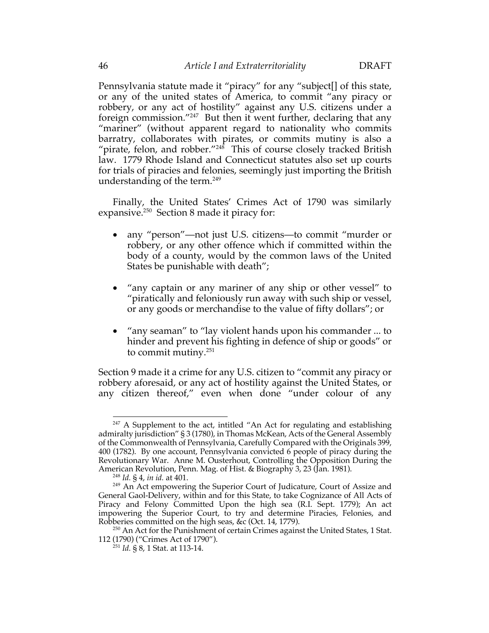Pennsylvania statute made it "piracy" for any "subject[] of this state, or any of the united states of America, to commit "any piracy or robbery, or any act of hostility" against any U.S. citizens under a foreign commission."247 But then it went further, declaring that any "mariner" (without apparent regard to nationality who commits barratry, collaborates with pirates, or commits mutiny is also a "pirate, felon, and robber."<sup>248</sup> This of course closely tracked British law. 1779 Rhode Island and Connecticut statutes also set up courts for trials of piracies and felonies, seemingly just importing the British understanding of the term.<sup>249</sup>

Finally, the United States' Crimes Act of 1790 was similarly expansive.250 Section 8 made it piracy for:

- any "person"—not just U.S. citizens—to commit "murder or robbery, or any other offence which if committed within the body of a county, would by the common laws of the United States be punishable with death";
- "any captain or any mariner of any ship or other vessel" to "piratically and feloniously run away with such ship or vessel, or any goods or merchandise to the value of fifty dollars"; or
- "any seaman" to "lay violent hands upon his commander ... to hinder and prevent his fighting in defence of ship or goods" or to commit mutiny.251

Section 9 made it a crime for any U.S. citizen to "commit any piracy or robbery aforesaid, or any act of hostility against the United States, or any citizen thereof," even when done "under colour of any

 $247$  A Supplement to the act, intitled "An Act for regulating and establishing admiralty jurisdiction" § 3 (1780), in Thomas McKean, Acts of the General Assembly of the Commonwealth of Pennsylvania, Carefully Compared with the Originals 399, 400 (1782). By one account, Pennsylvania convicted 6 people of piracy during the Revolutionary War. Anne M. Ousterhout, Controlling the Opposition During the American Revolution, Penn. Mag. of Hist. & Biography 3, 23 (Jan. 1981).

<sup>248</sup> *Id.* § 4, *in id.* at 401.

<sup>&</sup>lt;sup>249</sup> An Act empowering the Superior Court of Judicature, Court of Assize and General Gaol-Delivery, within and for this State, to take Cognizance of All Acts of Piracy and Felony Committed Upon the high sea (R.I. Sept. 1779); An act impowering the Superior Court, to try and determine Piracies, Felonies, and Robberies committed on the high seas, &c (Oct. 14, 1779).

<sup>&</sup>lt;sup>250</sup> An Act for the Punishment of certain Crimes against the United States, 1 Stat. 112 (1790) ("Crimes Act of 1790").

<sup>251</sup> *Id.* § 8, 1 Stat. at 113-14.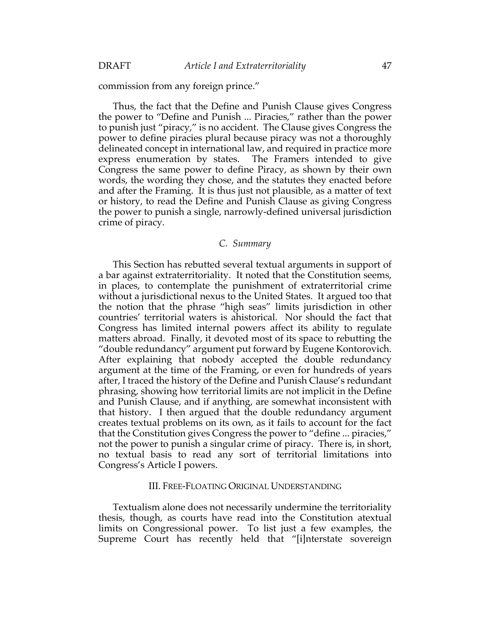commission from any foreign prince."

Thus, the fact that the Define and Punish Clause gives Congress the power to "Define and Punish ... Piracies," rather than the power to punish just "piracy," is no accident. The Clause gives Congress the power to define piracies plural because piracy was not a thoroughly delineated concept in international law, and required in practice more express enumeration by states. The Framers intended to give Congress the same power to define Piracy, as shown by their own words, the wording they chose, and the statutes they enacted before and after the Framing. It is thus just not plausible, as a matter of text or history, to read the Define and Punish Clause as giving Congress the power to punish a single, narrowly-defined universal jurisdiction crime of piracy.

## *C. Summary*

This Section has rebutted several textual arguments in support of a bar against extraterritoriality. It noted that the Constitution seems, in places, to contemplate the punishment of extraterritorial crime without a jurisdictional nexus to the United States. It argued too that the notion that the phrase "high seas" limits jurisdiction in other countries' territorial waters is ahistorical. Nor should the fact that Congress has limited internal powers affect its ability to regulate matters abroad. Finally, it devoted most of its space to rebutting the "double redundancy" argument put forward by Eugene Kontorovich. After explaining that nobody accepted the double redundancy argument at the time of the Framing, or even for hundreds of years after, I traced the history of the Define and Punish Clause's redundant phrasing, showing how territorial limits are not implicit in the Define and Punish Clause, and if anything, are somewhat inconsistent with that history. I then argued that the double redundancy argument creates textual problems on its own, as it fails to account for the fact that the Constitution gives Congress the power to "define ... piracies," not the power to punish a singular crime of piracy. There is, in short, no textual basis to read any sort of territorial limitations into Congress's Article I powers.

## III. FREE-FLOATING ORIGINAL UNDERSTANDING

Textualism alone does not necessarily undermine the territoriality thesis, though, as courts have read into the Constitution atextual limits on Congressional power. To list just a few examples, the Supreme Court has recently held that "[i]nterstate sovereign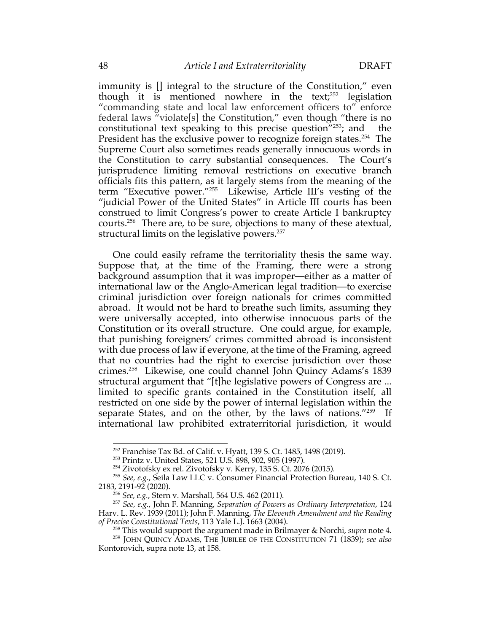immunity is [] integral to the structure of the Constitution," even though it is mentioned nowhere in the text; $252$  legislation "commanding state and local law enforcement officers to" enforce federal laws "violate[s] the Constitution," even though "there is no constitutional text speaking to this precise question<sup> $"253$ </sup>; and the President has the exclusive power to recognize foreign states.<sup>254</sup> The Supreme Court also sometimes reads generally innocuous words in the Constitution to carry substantial consequences. The Court's jurisprudence limiting removal restrictions on executive branch officials fits this pattern, as it largely stems from the meaning of the term "Executive power."255 Likewise, Article III's vesting of the "judicial Power of the United States" in Article III courts has been construed to limit Congress's power to create Article I bankruptcy courts.256 There are, to be sure, objections to many of these atextual, structural limits on the legislative powers.<sup>257</sup>

One could easily reframe the territoriality thesis the same way. Suppose that, at the time of the Framing, there were a strong background assumption that it was improper—either as a matter of international law or the Anglo-American legal tradition—to exercise criminal jurisdiction over foreign nationals for crimes committed abroad. It would not be hard to breathe such limits, assuming they were universally accepted, into otherwise innocuous parts of the Constitution or its overall structure. One could argue, for example, that punishing foreigners' crimes committed abroad is inconsistent with due process of law if everyone, at the time of the Framing, agreed that no countries had the right to exercise jurisdiction over those crimes.258 Likewise, one could channel John Quincy Adams's 1839 structural argument that "[t]he legislative powers of Congress are ... limited to specific grants contained in the Constitution itself, all restricted on one side by the power of internal legislation within the separate States, and on the other, by the laws of nations."<sup>259</sup> If international law prohibited extraterritorial jurisdiction, it would

<sup>252</sup> Franchise Tax Bd. of Calif. v. Hyatt, 139 S. Ct. 1485, 1498 (2019).

<sup>253</sup> Printz v. United States, 521 U.S. 898, 902, 905 (1997).

<sup>254</sup> Zivotofsky ex rel. Zivotofsky v. Kerry, 135 S. Ct. 2076 (2015).

<sup>255</sup> *See, e.g.*, Seila Law LLC v. Consumer Financial Protection Bureau, 140 S. Ct. 2183, 2191-92 (2020).

<sup>256</sup> *See, e.g.*, Stern v. Marshall, 564 U.S. 462 (2011).

<sup>257</sup> *See, e.g.*, John F. Manning, *Separation of Powers as Ordinary Interpretation*, 124 Harv. L. Rev. 1939 (2011); John F. Manning, *The Eleventh Amendment and the Reading of Precise Constitutional Texts*, 113 Yale L.J. 1663 (2004).

<sup>258</sup> This would support the argument made in Brilmayer & Norchi, *supra* note 4.

<sup>259</sup> JOHN QUINCY ADAMS, THE JUBILEE OF THE CONSTITUTION 71 (1839); *see also*  Kontorovich, supra note 13, at 158.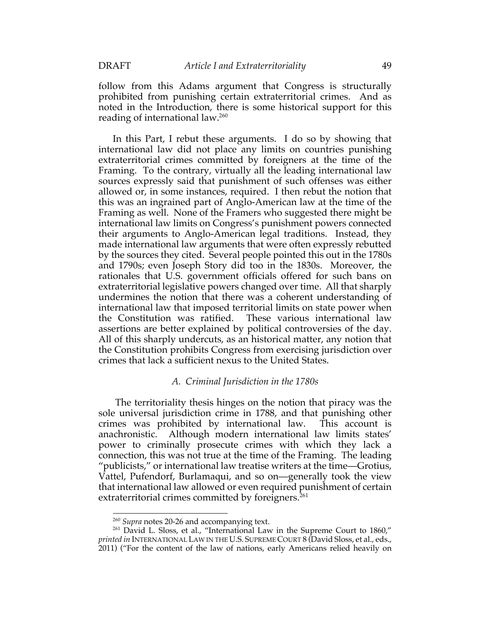follow from this Adams argument that Congress is structurally prohibited from punishing certain extraterritorial crimes. And as noted in the Introduction, there is some historical support for this reading of international law.260

In this Part, I rebut these arguments. I do so by showing that international law did not place any limits on countries punishing extraterritorial crimes committed by foreigners at the time of the Framing. To the contrary, virtually all the leading international law sources expressly said that punishment of such offenses was either allowed or, in some instances, required. I then rebut the notion that this was an ingrained part of Anglo-American law at the time of the Framing as well. None of the Framers who suggested there might be international law limits on Congress's punishment powers connected their arguments to Anglo-American legal traditions. Instead, they made international law arguments that were often expressly rebutted by the sources they cited. Several people pointed this out in the 1780s and 1790s; even Joseph Story did too in the 1830s. Moreover, the rationales that U.S. government officials offered for such bans on extraterritorial legislative powers changed over time. All that sharply undermines the notion that there was a coherent understanding of international law that imposed territorial limits on state power when the Constitution was ratified. These various international law assertions are better explained by political controversies of the day. All of this sharply undercuts, as an historical matter, any notion that the Constitution prohibits Congress from exercising jurisdiction over crimes that lack a sufficient nexus to the United States.

## *A. Criminal Jurisdiction in the 1780s*

The territoriality thesis hinges on the notion that piracy was the sole universal jurisdiction crime in 1788, and that punishing other crimes was prohibited by international law. This account is anachronistic. Although modern international law limits states' power to criminally prosecute crimes with which they lack a connection, this was not true at the time of the Framing. The leading "publicists," or international law treatise writers at the time—Grotius, Vattel, Pufendorf, Burlamaqui, and so on—generally took the view that international law allowed or even required punishment of certain extraterritorial crimes committed by foreigners.<sup>261</sup>

<sup>260</sup> *Supra* notes 20-26 and accompanying text.

<sup>&</sup>lt;sup>261</sup> David L. Sloss, et al., "International Law in the Supreme Court to 1860," *printed in* INTERNATIONAL LAW IN THE U.S. SUPREME COURT 8 (David Sloss, et al., eds., 2011) ("For the content of the law of nations, early Americans relied heavily on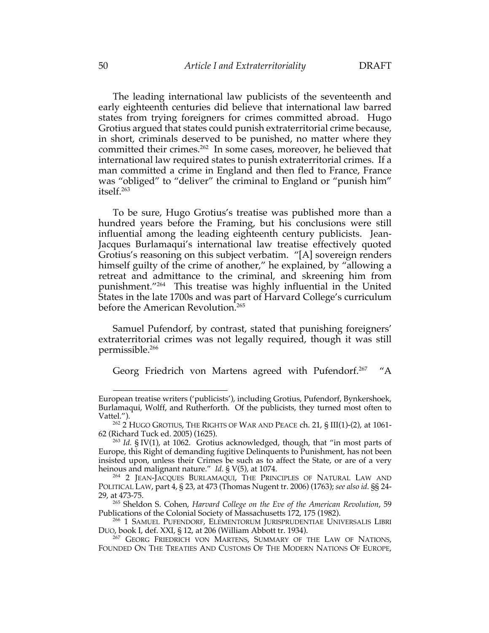The leading international law publicists of the seventeenth and early eighteenth centuries did believe that international law barred states from trying foreigners for crimes committed abroad. Hugo Grotius argued that states could punish extraterritorial crime because, in short, criminals deserved to be punished, no matter where they committed their crimes.<sup>262</sup> In some cases, moreover, he believed that international law required states to punish extraterritorial crimes. If a man committed a crime in England and then fled to France, France was "obliged" to "deliver" the criminal to England or "punish him" itself.263

To be sure, Hugo Grotius's treatise was published more than a hundred years before the Framing, but his conclusions were still influential among the leading eighteenth century publicists. Jean-Jacques Burlamaqui's international law treatise effectively quoted Grotius's reasoning on this subject verbatim. "[A] sovereign renders himself guilty of the crime of another," he explained, by "allowing a retreat and admittance to the criminal, and skreening him from punishment."264 This treatise was highly influential in the United States in the late 1700s and was part of Harvard College's curriculum before the American Revolution.<sup>265</sup>

Samuel Pufendorf, by contrast, stated that punishing foreigners' extraterritorial crimes was not legally required, though it was still permissible. 266

Georg Friedrich von Martens agreed with Pufendorf.<sup>267</sup>  $^{\prime\prime}$ A

European treatise writers ('publicists'), including Grotius, Pufendorf, Bynkershoek, Burlamaqui, Wolff, and Rutherforth. Of the publicists, they turned most often to Vattel.").

<sup>262</sup> 2 HUGO GROTIUS, THE RIGHTS OF WAR AND PEACE ch. 21, § III(1)-(2), at 1061- 62 (Richard Tuck ed. 2005) (1625).

<sup>263</sup> *Id.* § IV(1), at 1062. Grotius acknowledged, though, that "in most parts of Europe, this Right of demanding fugitive Delinquents to Punishment, has not been insisted upon, unless their Crimes be such as to affect the State, or are of a very heinous and malignant nature." *Id.* § V(5), at 1074.

<sup>264</sup> 2 JEAN-JACQUES BURLAMAQUI, THE PRINCIPLES OF NATURAL LAW AND POLITICAL LAW, part 4, § 23, at 473 (Thomas Nugent tr. 2006) (1763); *see also id.* §§ 24- 29, at 473-75.

<sup>265</sup> Sheldon S. Cohen, *Harvard College on the Eve of the American Revolution*, 59 Publications of the Colonial Society of Massachusetts 172, 175 (1982).

<sup>&</sup>lt;sup>266</sup> 1 SAMUEL PUFENDORF, ELEMENTORUM JURISPRUDENTIAE UNIVERSALIS LIBRI DUO, book I, def. XXI, § 12, at 206 (William Abbott tr. 1934).

<sup>&</sup>lt;sup>267</sup> GEORG FRIEDRICH VON MARTENS, SUMMARY OF THE LAW OF NATIONS, FOUNDED ON THE TREATIES AND CUSTOMS OF THE MODERN NATIONS OF EUROPE,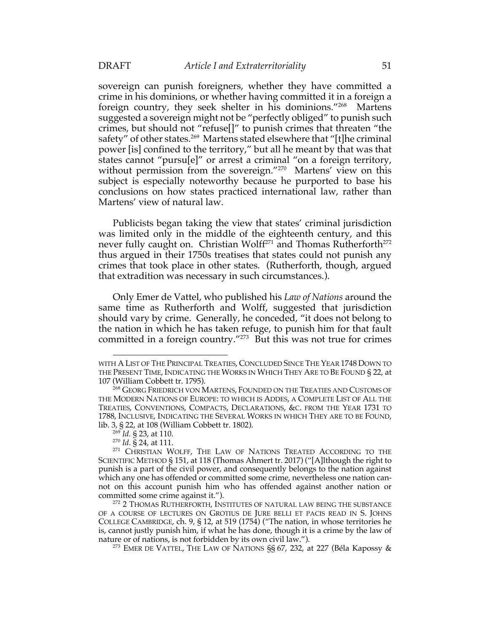sovereign can punish foreigners, whether they have committed a crime in his dominions, or whether having committed it in a foreign a foreign country, they seek shelter in his dominions."268 Martens suggested a sovereign might not be "perfectly obliged" to punish such crimes, but should not "refuse[]" to punish crimes that threaten "the safety" of other states.<sup>269</sup> Martens stated elsewhere that "[t]he criminal power [is] confined to the territory," but all he meant by that was that states cannot "pursu[e]" or arrest a criminal "on a foreign territory, without permission from the sovereign."<sup>270</sup> Martens' view on this subject is especially noteworthy because he purported to base his conclusions on how states practiced international law, rather than Martens' view of natural law.

Publicists began taking the view that states' criminal jurisdiction was limited only in the middle of the eighteenth century, and this never fully caught on. Christian Wolff<sup>271</sup> and Thomas Rutherforth<sup>272</sup> thus argued in their 1750s treatises that states could not punish any crimes that took place in other states. (Rutherforth, though, argued that extradition was necessary in such circumstances.).

Only Emer de Vattel, who published his *Law of Nations* around the same time as Rutherforth and Wolff, suggested that jurisdiction should vary by crime. Generally, he conceded, "it does not belong to the nation in which he has taken refuge, to punish him for that fault committed in a foreign country."273 But this was not true for crimes

WITH A LIST OF THE PRINCIPAL TREATIES, CONCLUDED SINCE THE YEAR 1748 DOWN TO THE PRESENT TIME, INDICATING THE WORKS IN WHICH THEY ARE TO BE FOUND § 22, at 107 (William Cobbett tr. 1795).

<sup>&</sup>lt;sup>268</sup> GEORG FRIEDRICH VON MARTENS, FOUNDED ON THE TREATIES AND CUSTOMS OF THE MODERN NATIONS OF EUROPE: TO WHICH IS ADDES, A COMPLETE LIST OF ALL THE TREATIES, CONVENTIONS, COMPACTS, DECLARATIONS, &C. FROM THE YEAR 1731 TO 1788, INCLUSIVE, INDICATING THE SEVERAL WORKS IN WHICH THEY ARE TO BE FOUND, lib. 3, § 22, at 108 (William Cobbett tr. 1802).

<sup>269</sup> *Id.* § 23, at 110.

<sup>270</sup> *Id.* § 24, at 111.

<sup>&</sup>lt;sup>271</sup> CHRISTIAN WOLFF, THE LAW OF NATIONS TREATED ACCORDING TO THE SCIENTIFIC METHOD § 151, at 118 (Thomas Ahmert tr. 2017) ("[A]lthough the right to punish is a part of the civil power, and consequently belongs to the nation against which any one has offended or committed some crime, nevertheless one nation cannot on this account punish him who has offended against another nation or committed some crime against it.").

<sup>&</sup>lt;sup>272</sup> 2 THOMAS RUTHERFORTH, INSTITUTES OF NATURAL LAW BEING THE SUBSTANCE OF A COURSE OF LECTURES ON GROTIUS DE JURE BELLI ET PACIS READ IN S. JOHNS COLLEGE CAMBRIDGE, ch. 9, § 12, at 519 (1754) ("The nation, in whose territories he is, cannot justly punish him, if what he has done, though it is a crime by the law of nature or of nations, is not forbidden by its own civil law.").

<sup>&</sup>lt;sup>273</sup> EMER DE VATTEL, THE LAW OF NATIONS §§ 67, 232, at 227 (Béla Kapossy &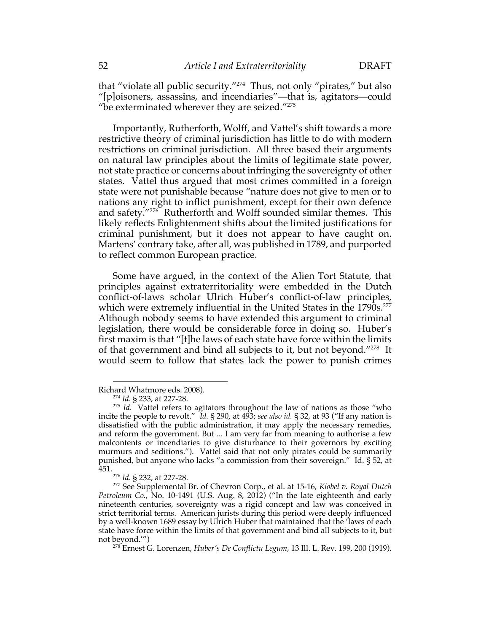that "violate all public security."274 Thus, not only "pirates," but also "[p]oisoners, assassins, and incendiaries"—that is, agitators—could "be exterminated wherever they are seized." $275$ 

Importantly, Rutherforth, Wolff, and Vattel's shift towards a more restrictive theory of criminal jurisdiction has little to do with modern restrictions on criminal jurisdiction. All three based their arguments on natural law principles about the limits of legitimate state power, not state practice or concerns about infringing the sovereignty of other states. Vattel thus argued that most crimes committed in a foreign state were not punishable because "nature does not give to men or to nations any right to inflict punishment, except for their own defence and safety."276 Rutherforth and Wolff sounded similar themes. This likely reflects Enlightenment shifts about the limited justifications for criminal punishment, but it does not appear to have caught on. Martens' contrary take, after all, was published in 1789, and purported to reflect common European practice.

Some have argued, in the context of the Alien Tort Statute, that principles against extraterritoriality were embedded in the Dutch conflict-of-laws scholar Ulrich Huber's conflict-of-law principles, which were extremely influential in the United States in the 1790s.<sup>277</sup> Although nobody seems to have extended this argument to criminal legislation, there would be considerable force in doing so. Huber's first maxim is that "[t]he laws of each state have force within the limits of that government and bind all subjects to it, but not beyond."278 It would seem to follow that states lack the power to punish crimes

Richard Whatmore eds. 2008).

<sup>274</sup> *Id.* § 233, at 227-28.

<sup>275</sup> *Id.* Vattel refers to agitators throughout the law of nations as those "who incite the people to revolt." *Id.* § 290, at 493; *see also id.* § 32, at 93 ("If any nation is dissatisfied with the public administration, it may apply the necessary remedies, and reform the government. But ... I am very far from meaning to authorise a few malcontents or incendiaries to give disturbance to their governors by exciting murmurs and seditions."). Vattel said that not only pirates could be summarily punished, but anyone who lacks "a commission from their sovereign." Id. § 52, at 451.276 *Id.* § 232, at 227-28.

<sup>277</sup> See Supplemental Br. of Chevron Corp., et al. at 15-16, *Kiobel v. Royal Dutch Petroleum Co.*, No. 10-1491 (U.S. Aug. 8, 2012) ("In the late eighteenth and early nineteenth centuries, sovereignty was a rigid concept and law was conceived in strict territorial terms. American jurists during this period were deeply influenced by a well-known 1689 essay by Ulrich Huber that maintained that the 'laws of each state have force within the limits of that government and bind all subjects to it, but not beyond."

<sup>&</sup>lt;sup>278</sup> Ernest G. Lorenzen, *Huber's De Conflictu Legum*, 13 Ill. L. Rev. 199, 200 (1919).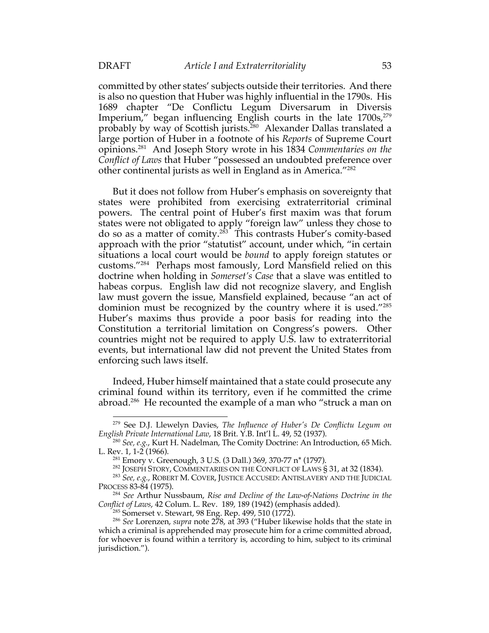committed by other states' subjects outside their territories. And there is also no question that Huber was highly influential in the 1790s. His 1689 chapter "De Conflictu Legum Diversarum in Diversis Imperium," began influencing English courts in the late  $1700s$ ,  $279$ probably by way of Scottish jurists.<sup>280</sup> Alexander Dallas translated a large portion of Huber in a footnote of his *Reports* of Supreme Court opinions.281 And Joseph Story wrote in his 1834 *Commentaries on the Conflict of Laws* that Huber "possessed an undoubted preference over other continental jurists as well in England as in America."282

But it does not follow from Huber's emphasis on sovereignty that states were prohibited from exercising extraterritorial criminal powers. The central point of Huber's first maxim was that forum states were not obligated to apply "foreign law" unless they chose to do so as a matter of comity.283 This contrasts Huber's comity-based approach with the prior "statutist" account, under which, "in certain situations a local court would be *bound* to apply foreign statutes or customs."284 Perhaps most famously, Lord Mansfield relied on this doctrine when holding in *Somerset's Case* that a slave was entitled to habeas corpus. English law did not recognize slavery, and English law must govern the issue, Mansfield explained, because "an act of dominion must be recognized by the country where it is used."285 Huber's maxims thus provide a poor basis for reading into the Constitution a territorial limitation on Congress's powers. Other countries might not be required to apply U.S. law to extraterritorial events, but international law did not prevent the United States from enforcing such laws itself.

Indeed, Huber himself maintained that a state could prosecute any criminal found within its territory, even if he committed the crime abroad.<sup>286</sup> He recounted the example of a man who "struck a man on

<sup>279</sup> See D.J. Llewelyn Davies, *The Influence of Huber's De Conflictu Legum on English Private International Law*, 18 Brit. Y.B. Int'l L. 49, 52 (1937).

<sup>280</sup> *See, e.g.*, Kurt H. Nadelman, The Comity Doctrine: An Introduction, 65 Mich. L. Rev. 1, 1-2 (1966).

<sup>281</sup> Emory v. Greenough, 3 U.S. (3 Dall.) 369, 370-77 n\* (1797).

<sup>&</sup>lt;sup>282</sup> JOSEPH STORY, COMMENTARIES ON THE CONFLICT OF LAWS § 31, at 32 (1834).

<sup>283</sup> *See, e.g.*, ROBERT M. COVER, JUSTICE ACCUSED: ANTISLAVERY AND THE JUDICIAL PROCESS 83-84 (1975).

<sup>284</sup> *See* Arthur Nussbaum, *Rise and Decline of the Law-of-Nations Doctrine in the Conflict of Laws*, 42 Colum. L. Rev. 189, 189 (1942) (emphasis added).

<sup>285</sup> Somerset v. Stewart, 98 Eng. Rep. 499, 510 (1772).

<sup>286</sup> *See* Lorenzen, *supra* note 278, at 393 ("Huber likewise holds that the state in which a criminal is apprehended may prosecute him for a crime committed abroad, for whoever is found within a territory is, according to him, subject to its criminal jurisdiction.").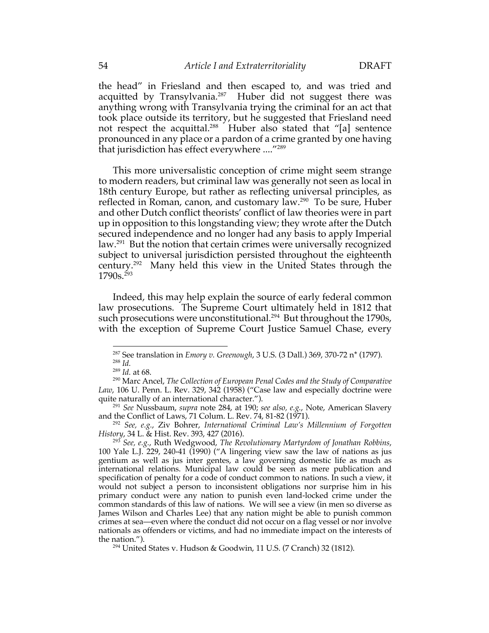the head" in Friesland and then escaped to, and was tried and acquitted by Transylvania.<sup>287</sup> Huber did not suggest there was anything wrong with Transylvania trying the criminal for an act that took place outside its territory, but he suggested that Friesland need not respect the acquittal.<sup>288</sup> Huber also stated that "[a] sentence pronounced in any place or a pardon of a crime granted by one having that jurisdiction has effect everywhere ...."289

This more universalistic conception of crime might seem strange to modern readers, but criminal law was generally not seen as local in 18th century Europe, but rather as reflecting universal principles, as reflected in Roman, canon, and customary law.290 To be sure, Huber and other Dutch conflict theorists' conflict of law theories were in part up in opposition to this longstanding view; they wrote after the Dutch secured independence and no longer had any basis to apply Imperial law.291 But the notion that certain crimes were universally recognized subject to universal jurisdiction persisted throughout the eighteenth century.292 Many held this view in the United States through the  $1790s.<sup>293</sup>$ 

Indeed, this may help explain the source of early federal common law prosecutions. The Supreme Court ultimately held in 1812 that such prosecutions were unconstitutional.<sup>294</sup> But throughout the 1790s, with the exception of Supreme Court Justice Samuel Chase, every

<sup>287</sup> See translation in *Emory v. Greenough*, 3 U.S. (3 Dall.) 369, 370-72 n\* (1797).

<sup>288</sup> *Id.*

<sup>289</sup> *Id.* at 68.

<sup>290</sup> Marc Ancel, *The Collection of European Penal Codes and the Study of Comparative Law*, 106 U. Penn. L. Rev. 329, 342 (1958) ("Case law and especially doctrine were quite naturally of an international character.").

<sup>291</sup> *See* Nussbaum, *supra* note 284, at 190; *see also, e.g.*, Note, American Slavery and the Conflict of Laws, 71 Colum. L. Rev. 74, 81-82 (1971).

<sup>292</sup> *See, e.g.*, Ziv Bohrer, *International Criminal Law's Millennium of Forgotten History*, 34 L. & Hist. Rev. 393, 427 (2016).

<sup>293</sup> *See, e.g.*, Ruth Wedgwood, *The Revolutionary Martyrdom of Jonathan Robbins*, 100 Yale L.J. 229, 240-41 (1990) ("A lingering view saw the law of nations as jus gentium as well as jus inter gentes, a law governing domestic life as much as international relations. Municipal law could be seen as mere publication and specification of penalty for a code of conduct common to nations. In such a view, it would not subject a person to inconsistent obligations nor surprise him in his primary conduct were any nation to punish even land-locked crime under the common standards of this law of nations. We will see a view (in men so diverse as James Wilson and Charles Lee) that any nation might be able to punish common crimes at sea—even where the conduct did not occur on a flag vessel or nor involve nationals as offenders or victims, and had no immediate impact on the interests of the nation.").

<sup>294</sup> United States v. Hudson & Goodwin, 11 U.S. (7 Cranch) 32 (1812).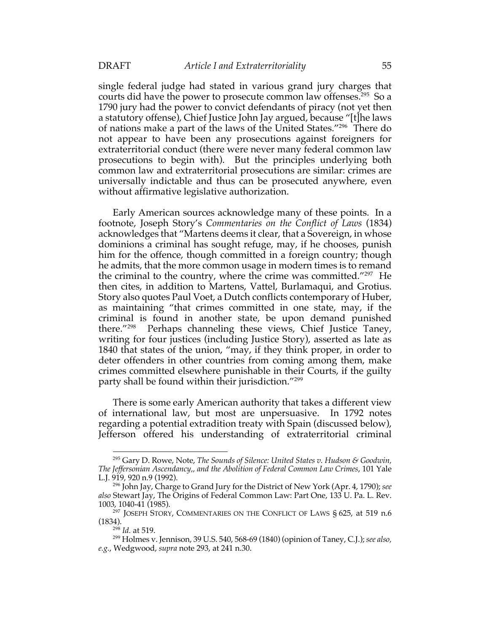single federal judge had stated in various grand jury charges that courts did have the power to prosecute common law offenses.<sup>295</sup> So a 1790 jury had the power to convict defendants of piracy (not yet then a statutory offense), Chief Justice John Jay argued, because "[t]he laws of nations make a part of the laws of the United States."296 There do not appear to have been any prosecutions against foreigners for extraterritorial conduct (there were never many federal common law prosecutions to begin with). But the principles underlying both common law and extraterritorial prosecutions are similar: crimes are universally indictable and thus can be prosecuted anywhere, even without affirmative legislative authorization.

Early American sources acknowledge many of these points. In a footnote, Joseph Story's *Commentaries on the Conflict of Laws* (1834) acknowledges that "Martens deems it clear, that a Sovereign, in whose dominions a criminal has sought refuge, may, if he chooses, punish him for the offence, though committed in a foreign country; though he admits, that the more common usage in modern times is to remand the criminal to the country, where the crime was committed."297 He then cites, in addition to Martens, Vattel, Burlamaqui, and Grotius. Story also quotes Paul Voet, a Dutch conflicts contemporary of Huber, as maintaining "that crimes committed in one state, may, if the criminal is found in another state, be upon demand punished there.<sup>"298</sup> Perhaps channeling these views, Chief Justice Tanev, Perhaps channeling these views, Chief Justice Taney, writing for four justices (including Justice Story), asserted as late as 1840 that states of the union, "may, if they think proper, in order to deter offenders in other countries from coming among them, make crimes committed elsewhere punishable in their Courts, if the guilty party shall be found within their jurisdiction."<sup>299</sup>

There is some early American authority that takes a different view of international law, but most are unpersuasive. In 1792 notes regarding a potential extradition treaty with Spain (discussed below), Jefferson offered his understanding of extraterritorial criminal

<sup>295</sup> Gary D. Rowe, Note, *The Sounds of Silence: United States v. Hudson & Goodwin, The Jeffersonian Ascendancy,, and the Abolition of Federal Common Law Crimes*, 101 Yale L.J. 919, 920 n.9 (1992).

<sup>296</sup> John Jay, Charge to Grand Jury for the District of New York (Apr. 4, 1790); *see also* Stewart Jay, The Origins of Federal Common Law: Part One, 133 U. Pa. L. Rev. 1003, 1040-41 (1985).

<sup>&</sup>lt;sup>297</sup> JOSEPH STORY, COMMENTARIES ON THE CONFLICT OF LAWS  $\S$  625, at 519 n.6 (1834).

<sup>298</sup> *Id.* at 519.

<sup>299</sup> Holmes v. Jennison, 39 U.S. 540, 568-69 (1840) (opinion of Taney, C.J.); *see also, e.g.*, Wedgwood, *supra* note 293, at 241 n.30.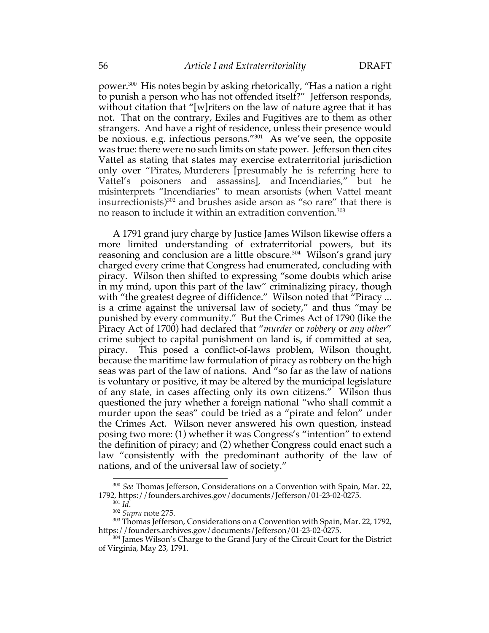power.300 His notes begin by asking rhetorically, "Has a nation a right to punish a person who has not offended itself?" Jefferson responds, without citation that "[w] riters on the law of nature agree that it has not. That on the contrary, Exiles and Fugitives are to them as other strangers. And have a right of residence, unless their presence would be noxious. e.g. infectious persons."301 As we've seen, the opposite was true: there were no such limits on state power. Jefferson then cites Vattel as stating that states may exercise extraterritorial jurisdiction only over "Pirates, Murderers [presumably he is referring here to Vattel's poisoners and assassins], and Incendiaries," but he misinterprets "Incendiaries" to mean arsonists (when Vattel meant insurrectionists)302 and brushes aside arson as "so rare" that there is no reason to include it within an extradition convention.<sup>303</sup>

A 1791 grand jury charge by Justice James Wilson likewise offers a more limited understanding of extraterritorial powers, but its reasoning and conclusion are a little obscure.<sup>304</sup> Wilson's grand jury charged every crime that Congress had enumerated, concluding with piracy. Wilson then shifted to expressing "some doubts which arise in my mind, upon this part of the law" criminalizing piracy, though with "the greatest degree of diffidence." Wilson noted that "Piracy ... is a crime against the universal law of society," and thus "may be punished by every community." But the Crimes Act of 1790 (like the Piracy Act of 1700) had declared that "*murder* or *robbery* or *any other*" crime subject to capital punishment on land is, if committed at sea, piracy. This posed a conflict-of-laws problem, Wilson thought, because the maritime law formulation of piracy as robbery on the high seas was part of the law of nations. And "so far as the law of nations is voluntary or positive, it may be altered by the municipal legislature of any state, in cases affecting only its own citizens." Wilson thus questioned the jury whether a foreign national "who shall commit a murder upon the seas" could be tried as a "pirate and felon" under the Crimes Act. Wilson never answered his own question, instead posing two more: (1) whether it was Congress's "intention" to extend the definition of piracy; and (2) whether Congress could enact such a law "consistently with the predominant authority of the law of nations, and of the universal law of society."

<sup>300</sup> *See* Thomas Jefferson, Considerations on a Convention with Spain, Mar. 22, 1792, https://founders.archives.gov/documents/Jefferson/01-23-02-0275. 301 *Id*. 302 *Supra* note 275.

<sup>&</sup>lt;sup>303</sup> Thomas Jefferson, Considerations on a Convention with Spain, Mar. 22, 1792, https://founders.archives.gov/documents/Jefferson/01-23-02-0275.

<sup>&</sup>lt;sup>304</sup> James Wilson's Charge to the Grand Jury of the Circuit Court for the District of Virginia, May 23, 1791.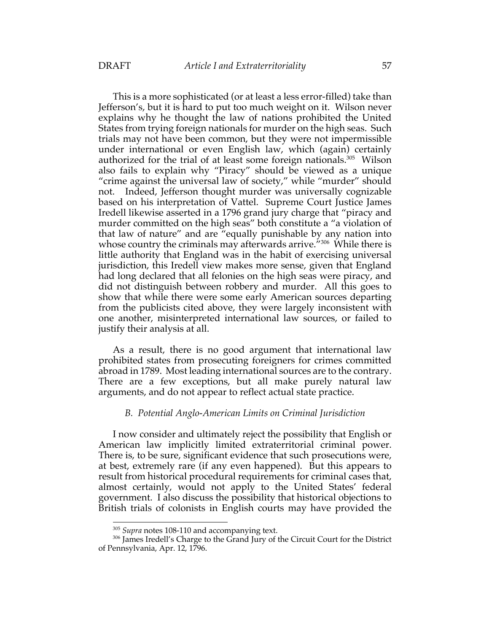This is a more sophisticated (or at least a less error-filled) take than Jefferson's, but it is hard to put too much weight on it. Wilson never explains why he thought the law of nations prohibited the United States from trying foreign nationals for murder on the high seas. Such trials may not have been common, but they were not impermissible under international or even English law, which (again) certainly authorized for the trial of at least some foreign nationals.<sup>305</sup> Wilson also fails to explain why "Piracy" should be viewed as a unique "crime against the universal law of society," while "murder" should not. Indeed, Jefferson thought murder was universally cognizable based on his interpretation of Vattel. Supreme Court Justice James Iredell likewise asserted in a 1796 grand jury charge that "piracy and murder committed on the high seas" both constitute a "a violation of that law of nature" and are "equally punishable by any nation into whose country the criminals may afterwards arrive."<sup>306</sup> While there is little authority that England was in the habit of exercising universal jurisdiction, this Iredell view makes more sense, given that England had long declared that all felonies on the high seas were piracy, and did not distinguish between robbery and murder. All this goes to show that while there were some early American sources departing from the publicists cited above, they were largely inconsistent with one another, misinterpreted international law sources, or failed to justify their analysis at all.

As a result, there is no good argument that international law prohibited states from prosecuting foreigners for crimes committed abroad in 1789. Most leading international sources are to the contrary. There are a few exceptions, but all make purely natural law arguments, and do not appear to reflect actual state practice.

# *B. Potential Anglo-American Limits on Criminal Jurisdiction*

I now consider and ultimately reject the possibility that English or American law implicitly limited extraterritorial criminal power. There is, to be sure, significant evidence that such prosecutions were, at best, extremely rare (if any even happened). But this appears to result from historical procedural requirements for criminal cases that, almost certainly, would not apply to the United States' federal government. I also discuss the possibility that historical objections to British trials of colonists in English courts may have provided the

<sup>&</sup>lt;sup>305</sup> *Supra* notes 108-110 and accompanying text.

<sup>&</sup>lt;sup>306</sup> James Iredell's Charge to the Grand Jury of the Circuit Court for the District of Pennsylvania, Apr. 12, 1796.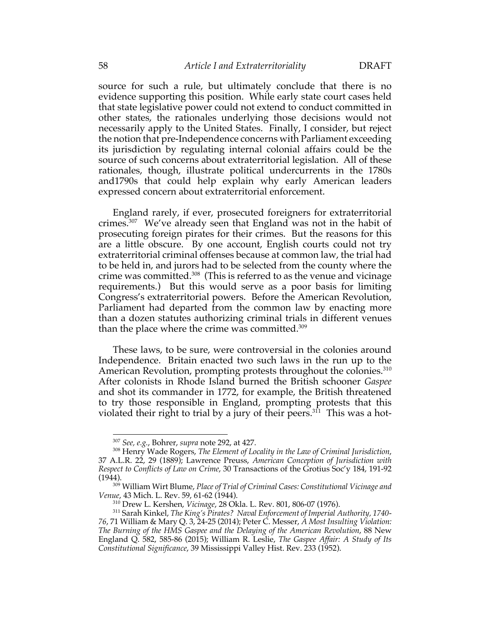source for such a rule, but ultimately conclude that there is no evidence supporting this position. While early state court cases held that state legislative power could not extend to conduct committed in other states, the rationales underlying those decisions would not necessarily apply to the United States. Finally, I consider, but reject the notion that pre-Independence concerns with Parliament exceeding its jurisdiction by regulating internal colonial affairs could be the source of such concerns about extraterritorial legislation. All of these rationales, though, illustrate political undercurrents in the 1780s and1790s that could help explain why early American leaders expressed concern about extraterritorial enforcement.

England rarely, if ever, prosecuted foreigners for extraterritorial crimes.307 We've already seen that England was not in the habit of prosecuting foreign pirates for their crimes. But the reasons for this are a little obscure. By one account, English courts could not try extraterritorial criminal offenses because at common law, the trial had to be held in, and jurors had to be selected from the county where the crime was committed.<sup>308</sup> (This is referred to as the venue and vicinage requirements.) But this would serve as a poor basis for limiting Congress's extraterritorial powers. Before the American Revolution, Parliament had departed from the common law by enacting more than a dozen statutes authorizing criminal trials in different venues than the place where the crime was committed. 309

These laws, to be sure, were controversial in the colonies around Independence. Britain enacted two such laws in the run up to the American Revolution, prompting protests throughout the colonies.<sup>310</sup> After colonists in Rhode Island burned the British schooner *Gaspee* and shot its commander in 1772, for example, the British threatened to try those responsible in England, prompting protests that this violated their right to trial by a jury of their peers.<sup>311</sup> This was a hot-

<sup>307</sup> *See, e.g.*, Bohrer, *supra* note 292, at 427.

<sup>308</sup> Henry Wade Rogers, *The Element of Locality in the Law of Criminal Jurisdiction*, 37 A.L.R. 22, 29 (1889); Lawrence Preuss, *American Conception of Jurisdiction with Respect to Conflicts of Law on Crime*, 30 Transactions of the Grotius Soc'y 184, 191-92 (1944).

<sup>309</sup> William Wirt Blume, *Place of Trial of Criminal Cases: Constitutional Vicinage and Venue*, 43 Mich. L. Rev. 59, 61-62 (1944).

<sup>310</sup> Drew L. Kershen, *Vicinage*, 28 Okla. L. Rev. 801, 806-07 (1976).

<sup>311</sup> Sarah Kinkel, *The King's Pirates? Naval Enforcement of Imperial Authority, 1740- 76*, 71 William & Mary Q. 3, 24-25 (2014); Peter C. Messer, *A Most Insulting Violation: The Burning of the HMS Gaspee and the Delaying of the American Revolution*, 88 New England Q. 582, 585-86 (2015); William R. Leslie, *The Gaspee Affair: A Study of Its Constitutional Significance*, 39 Mississippi Valley Hist. Rev. 233 (1952).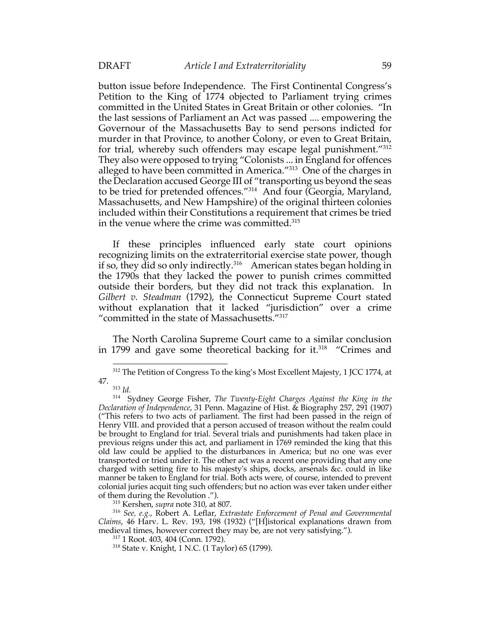button issue before Independence. The First Continental Congress's Petition to the King of 1774 objected to Parliament trying crimes committed in the United States in Great Britain or other colonies. "In the last sessions of Parliament an Act was passed .... empowering the Governour of the Massachusetts Bay to send persons indicted for murder in that Province, to another Colony, or even to Great Britain, for trial, whereby such offenders may escape legal punishment."312 They also were opposed to trying "Colonists ... in England for offences alleged to have been committed in America."<sup>313</sup> One of the charges in the Declaration accused George III of "transporting us beyond the seas to be tried for pretended offences."314 And four (Georgia, Maryland, Massachusetts, and New Hampshire) of the original thirteen colonies included within their Constitutions a requirement that crimes be tried in the venue where the crime was committed.315

If these principles influenced early state court opinions recognizing limits on the extraterritorial exercise state power, though if so, they did so only indirectly.316 American states began holding in the 1790s that they lacked the power to punish crimes committed outside their borders, but they did not track this explanation. In *Gilbert v. Steadman* (1792), the Connecticut Supreme Court stated without explanation that it lacked "jurisdiction" over a crime "committed in the state of Massachusetts."317

The North Carolina Supreme Court came to a similar conclusion in 1799 and gave some theoretical backing for it.<sup>318</sup> "Crimes and

<sup>315</sup> Kershen, *supra* note 310, at 807.

<sup>316</sup> *See, e.g.*, Robert A. Leflar, *Extrastate Enforcement of Penal and Governmental Claims*, 46 Harv. L. Rev. 193, 198 (1932) ("[H]istorical explanations drawn from medieval times, however correct they may be, are not very satisfying.").

<sup>&</sup>lt;sup>312</sup> The Petition of Congress To the king's Most Excellent Majesty, 1 JCC 1774, at 47.

<sup>313</sup> *Id.*

<sup>314</sup> Sydney George Fisher, *The Twenty-Eight Charges Against the King in the Declaration of Independence*, 31 Penn. Magazine of Hist. & Biography 257, 291 (1907) ("This refers to two acts of parliament. The first had been passed in the reign of Henry VIII. and provided that a person accused of treason without the realm could be brought to England for trial. Several trials and punishments had taken place in previous reigns under this act, and parliament in 1769 reminded the king that this old law could be applied to the disturbances in America; but no one was ever transported or tried under it. The other act was a recent one providing that any one charged with setting fire to his majesty's ships, docks, arsenals &c. could in like manner be taken to England for trial. Both acts were, of course, intended to prevent colonial juries acquit ting such offenders; but no action was ever taken under either of them during the Revolution .").

<sup>317</sup> 1 Root. 403, 404 (Conn. 1792).

<sup>318</sup> State v. Knight, 1 N.C. (1 Taylor) 65 (1799).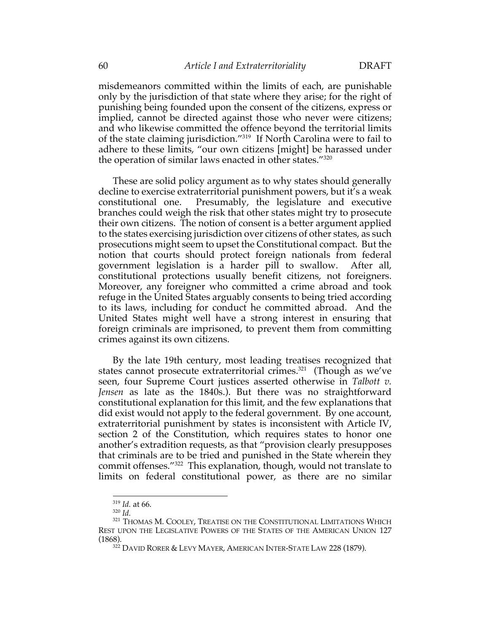misdemeanors committed within the limits of each, are punishable only by the jurisdiction of that state where they arise; for the right of punishing being founded upon the consent of the citizens, express or implied, cannot be directed against those who never were citizens; and who likewise committed the offence beyond the territorial limits of the state claiming jurisdiction."319 If North Carolina were to fail to adhere to these limits, "our own citizens [might] be harassed under the operation of similar laws enacted in other states."320

These are solid policy argument as to why states should generally decline to exercise extraterritorial punishment powers, but it's a weak constitutional one. Presumably, the legislature and executive branches could weigh the risk that other states might try to prosecute their own citizens. The notion of consent is a better argument applied to the states exercising jurisdiction over citizens of other states, as such prosecutions might seem to upset the Constitutional compact. But the notion that courts should protect foreign nationals from federal government legislation is a harder pill to swallow. After all, constitutional protections usually benefit citizens, not foreigners. Moreover, any foreigner who committed a crime abroad and took refuge in the United States arguably consents to being tried according to its laws, including for conduct he committed abroad. And the United States might well have a strong interest in ensuring that foreign criminals are imprisoned, to prevent them from committing crimes against its own citizens.

By the late 19th century, most leading treatises recognized that states cannot prosecute extraterritorial crimes.<sup>321</sup> (Though as we've seen, four Supreme Court justices asserted otherwise in *Talbott v. Jensen* as late as the 1840s.). But there was no straightforward constitutional explanation for this limit, and the few explanations that did exist would not apply to the federal government. By one account, extraterritorial punishment by states is inconsistent with Article IV, section 2 of the Constitution, which requires states to honor one another's extradition requests, as that "provision clearly presupposes that criminals are to be tried and punished in the State wherein they commit offenses."322 This explanation, though, would not translate to limits on federal constitutional power, as there are no similar

<sup>319</sup> *Id.* at 66.

<sup>320</sup> *Id.*

<sup>&</sup>lt;sup>321</sup> THOMAS M. COOLEY, TREATISE ON THE CONSTITUTIONAL LIMITATIONS WHICH REST UPON THE LEGISLATIVE POWERS OF THE STATES OF THE AMERICAN UNION 127 (1868).

<sup>&</sup>lt;sup>322</sup> DAVID RORER & LEVY MAYER, AMERICAN INTER-STATE LAW 228 (1879).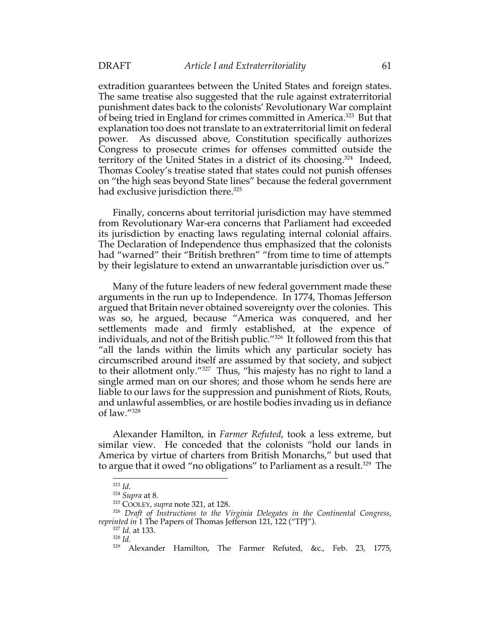extradition guarantees between the United States and foreign states. The same treatise also suggested that the rule against extraterritorial punishment dates back to the colonists' Revolutionary War complaint of being tried in England for crimes committed in America.<sup>323</sup> But that explanation too does not translate to an extraterritorial limit on federal power. As discussed above, Constitution specifically authorizes Congress to prosecute crimes for offenses committed outside the territory of the United States in a district of its choosing.324 Indeed, Thomas Cooley's treatise stated that states could not punish offenses on "the high seas beyond State lines" because the federal government had exclusive jurisdiction there.<sup>325</sup>

Finally, concerns about territorial jurisdiction may have stemmed from Revolutionary War-era concerns that Parliament had exceeded its jurisdiction by enacting laws regulating internal colonial affairs. The Declaration of Independence thus emphasized that the colonists had "warned" their "British brethren" "from time to time of attempts by their legislature to extend an unwarrantable jurisdiction over us."

Many of the future leaders of new federal government made these arguments in the run up to Independence. In 1774, Thomas Jefferson argued that Britain never obtained sovereignty over the colonies. This was so, he argued, because "America was conquered, and her settlements made and firmly established, at the expence of individuals, and not of the British public."326 It followed from this that "all the lands within the limits which any particular society has circumscribed around itself are assumed by that society, and subject to their allotment only."327 Thus, "his majesty has no right to land a single armed man on our shores; and those whom he sends here are liable to our laws for the suppression and punishment of Riots, Routs, and unlawful assemblies, or are hostile bodies invading us in defiance of law."328

Alexander Hamilton, in *Farmer Refuted*, took a less extreme, but similar view. He conceded that the colonists "hold our lands in America by virtue of charters from British Monarchs," but used that to argue that it owed "no obligations" to Parliament as a result.<sup>329</sup> The

<sup>323</sup> *Id.*

<sup>324</sup> *Supra* at 8.

<sup>325</sup> COOLEY, *supra* note 321, at 128.

<sup>326</sup> *Draft of Instructions to the Virginia Delegates in the Continental Congress*, *reprinted in* 1 The Papers of Thomas Jefferson 121, 122 ("TPJ").

<sup>327</sup> *Id.* at 133.

<sup>328</sup> *Id.*

<sup>&</sup>lt;sup>329</sup> Alexander Hamilton, The Farmer Refuted, &c., Feb. 23, 1775,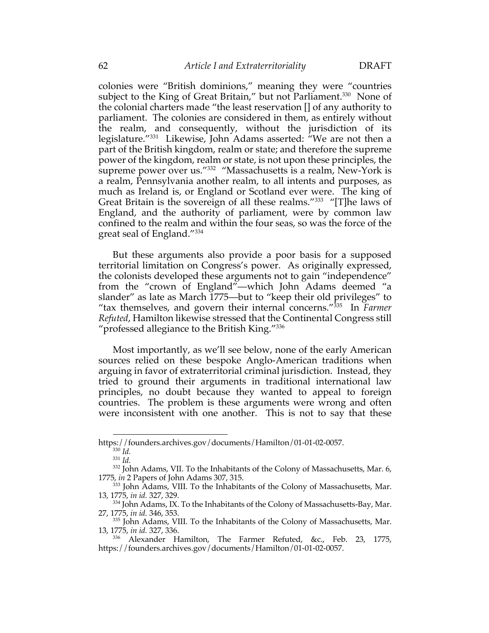colonies were "British dominions," meaning they were "countries subject to the King of Great Britain," but not Parliament.<sup>330</sup> None of the colonial charters made "the least reservation [] of any authority to parliament. The colonies are considered in them, as entirely without the realm, and consequently, without the jurisdiction of its legislature."331 Likewise, John Adams asserted: "We are not then a part of the British kingdom, realm or state; and therefore the supreme power of the kingdom, realm or state, is not upon these principles, the supreme power over us."<sup>332</sup> "Massachusetts is a realm, New-York is a realm, Pennsylvania another realm, to all intents and purposes, as much as Ireland is, or England or Scotland ever were. The king of Great Britain is the sovereign of all these realms."<sup>333</sup> "[T]he laws of England, and the authority of parliament, were by common law confined to the realm and within the four seas, so was the force of the great seal of England."334

But these arguments also provide a poor basis for a supposed territorial limitation on Congress's power. As originally expressed, the colonists developed these arguments not to gain "independence" from the "crown of England"—which John Adams deemed "a slander" as late as March 1775—but to "keep their old privileges" to "tax themselves, and govern their internal concerns."335 In *Farmer Refuted*, Hamilton likewise stressed that the Continental Congress still "professed allegiance to the British King."336

Most importantly, as we'll see below, none of the early American sources relied on these bespoke Anglo-American traditions when arguing in favor of extraterritorial criminal jurisdiction. Instead, they tried to ground their arguments in traditional international law principles, no doubt because they wanted to appeal to foreign countries. The problem is these arguments were wrong and often were inconsistent with one another. This is not to say that these

<sup>331</sup> *Id.*

https://founders.archives.gov/documents/Hamilton/01-01-02-0057. <sup>330</sup> *Id.*

<sup>332</sup> John Adams, VII. To the Inhabitants of the Colony of Massachusetts, Mar. 6, 1775, *in* 2 Papers of John Adams 307, 315.

<sup>&</sup>lt;sup>333</sup> John Adams, VIII. To the Inhabitants of the Colony of Massachusetts, Mar. 13, 1775, *in id.* 327, 329.

<sup>334</sup> John Adams, IX. To the Inhabitants of the Colony of Massachusetts-Bay, Mar. 27, 1775, *in id.* 346, 353.

<sup>335</sup> John Adams, VIII. To the Inhabitants of the Colony of Massachusetts, Mar. 13, 1775, *in id.* 327, 336.

<sup>336</sup> Alexander Hamilton, The Farmer Refuted, &c., Feb. 23, 1775, https://founders.archives.gov/documents/Hamilton/01-01-02-0057.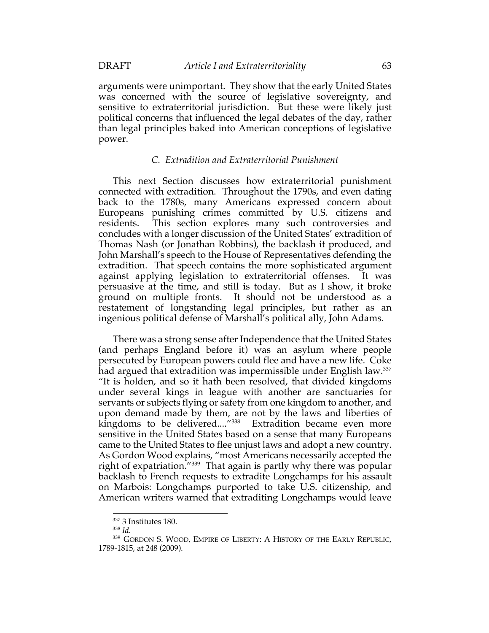arguments were unimportant. They show that the early United States was concerned with the source of legislative sovereignty, and sensitive to extraterritorial jurisdiction. But these were likely just political concerns that influenced the legal debates of the day, rather than legal principles baked into American conceptions of legislative power.

## *C. Extradition and Extraterritorial Punishment*

This next Section discusses how extraterritorial punishment connected with extradition. Throughout the 1790s, and even dating back to the 1780s, many Americans expressed concern about Europeans punishing crimes committed by U.S. citizens and residents. This section explores many such controversies and concludes with a longer discussion of the United States' extradition of Thomas Nash (or Jonathan Robbins), the backlash it produced, and John Marshall's speech to the House of Representatives defending the extradition. That speech contains the more sophisticated argument against applying legislation to extraterritorial offenses. It was persuasive at the time, and still is today. But as I show, it broke ground on multiple fronts. It should not be understood as a restatement of longstanding legal principles, but rather as an ingenious political defense of Marshall's political ally, John Adams.

There was a strong sense after Independence that the United States (and perhaps England before it) was an asylum where people persecuted by European powers could flee and have a new life. Coke had argued that extradition was impermissible under English law.<sup>337</sup> "It is holden, and so it hath been resolved, that divided kingdoms under several kings in league with another are sanctuaries for servants or subjects flying or safety from one kingdom to another, and upon demand made by them, are not by the laws and liberties of kingdoms to be delivered...."<sup>338</sup> Extradition became even more sensitive in the United States based on a sense that many Europeans came to the United States to flee unjust laws and adopt a new country. As Gordon Wood explains, "most Americans necessarily accepted the right of expatriation.<sup>"339</sup> That again is partly why there was popular backlash to French requests to extradite Longchamps for his assault on Marbois: Longchamps purported to take U.S. citizenship, and American writers warned that extraditing Longchamps would leave

<sup>&</sup>lt;sup>337</sup> 3 Institutes 180.

<sup>338</sup> *Id.*

<sup>339</sup> GORDON S. WOOD, EMPIRE OF LIBERTY: A HISTORY OF THE EARLY REPUBLIC, 1789-1815, at 248 (2009).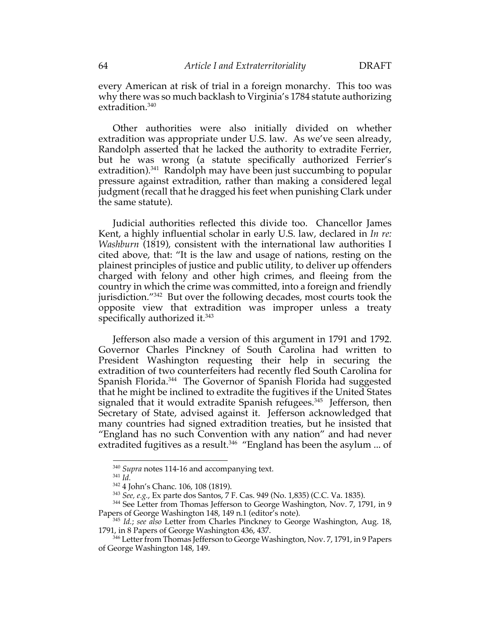every American at risk of trial in a foreign monarchy. This too was why there was so much backlash to Virginia's 1784 statute authorizing extradition.<sup>340</sup>

Other authorities were also initially divided on whether extradition was appropriate under U.S. law. As we've seen already, Randolph asserted that he lacked the authority to extradite Ferrier, but he was wrong (a statute specifically authorized Ferrier's extradition).<sup>341</sup> Randolph may have been just succumbing to popular pressure against extradition, rather than making a considered legal judgment (recall that he dragged his feet when punishing Clark under the same statute).

Judicial authorities reflected this divide too. Chancellor James Kent, a highly influential scholar in early U.S. law, declared in *In re: Washburn* (1819), consistent with the international law authorities I cited above, that: "It is the law and usage of nations, resting on the plainest principles of justice and public utility, to deliver up offenders charged with felony and other high crimes, and fleeing from the country in which the crime was committed, into a foreign and friendly jurisdiction."342 But over the following decades, most courts took the opposite view that extradition was improper unless a treaty specifically authorized it.<sup>343</sup>

Jefferson also made a version of this argument in 1791 and 1792. Governor Charles Pinckney of South Carolina had written to President Washington requesting their help in securing the extradition of two counterfeiters had recently fled South Carolina for Spanish Florida.<sup>344</sup> The Governor of Spanish Florida had suggested that he might be inclined to extradite the fugitives if the United States signaled that it would extradite Spanish refugees.<sup>345</sup> Jefferson, then Secretary of State, advised against it. Jefferson acknowledged that many countries had signed extradition treaties, but he insisted that "England has no such Convention with any nation" and had never extradited fugitives as a result.<sup>346</sup> "England has been the asylum ... of

<sup>340</sup> *Supra* notes 114-16 and accompanying text.

<sup>341</sup> *Id.*

<sup>342</sup> 4 John's Chanc. 106, 108 (1819).

<sup>343</sup> *See, e.g.*, Ex parte dos Santos, 7 F. Cas. 949 (No. 1,835) (C.C. Va. 1835).

<sup>&</sup>lt;sup>344</sup> See Letter from Thomas Jefferson to George Washington, Nov. 7, 1791, in 9 Papers of George Washington 148, 149 n.1 (editor's note).

<sup>345</sup> *Id.*; *see also* Letter from Charles Pinckney to George Washington, Aug. 18, 1791, in 8 Papers of George Washington 436, 437.

<sup>346</sup> Letter from Thomas Jefferson to George Washington, Nov. 7, 1791, in 9 Papers of George Washington 148, 149.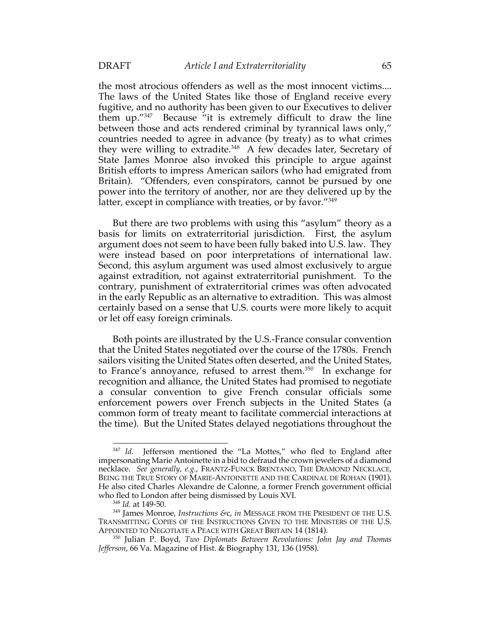the most atrocious offenders as well as the most innocent victims.... The laws of the United States like those of England receive every fugitive, and no authority has been given to our Executives to deliver them up."347 Because "it is extremely difficult to draw the line between those and acts rendered criminal by tyrannical laws only," countries needed to agree in advance (by treaty) as to what crimes they were willing to extradite.<sup>348</sup> A few decades later, Secretary of State James Monroe also invoked this principle to argue against British efforts to impress American sailors (who had emigrated from Britain). "Offenders, even conspirators, cannot be pursued by one power into the territory of another, nor are they delivered up by the latter, except in compliance with treaties, or by favor."<sup>349</sup>

But there are two problems with using this "asylum" theory as a basis for limits on extraterritorial jurisdiction. First, the asylum argument does not seem to have been fully baked into U.S. law. They were instead based on poor interpretations of international law. Second, this asylum argument was used almost exclusively to argue against extradition, not against extraterritorial punishment. To the contrary, punishment of extraterritorial crimes was often advocated in the early Republic as an alternative to extradition. This was almost certainly based on a sense that U.S. courts were more likely to acquit or let off easy foreign criminals.

Both points are illustrated by the U.S.-France consular convention that the United States negotiated over the course of the 1780s. French sailors visiting the United States often deserted, and the United States, to France's annoyance, refused to arrest them.<sup>350</sup> In exchange for recognition and alliance, the United States had promised to negotiate a consular convention to give French consular officials some enforcement powers over French subjects in the United States (a common form of treaty meant to facilitate commercial interactions at the time). But the United States delayed negotiations throughout the

<sup>347</sup> *Id.* Jefferson mentioned the "La Mottes," who fled to England after impersonating Marie Antoinette in a bid to defraud the crown jewelers of a diamond necklace. *See generally, e.g.*, FRANTZ-FUNCK BRENTANO, THE DIAMOND NECKLACE, BEING THE TRUE STORY OF MARIE-ANTOINETTE AND THE CARDINAL DE ROHAN (1901). He also cited Charles Alexandre de Calonne, a former French government official who fled to London after being dismissed by Louis XVI.

<sup>348</sup> *Id.* at 149-50.

<sup>349</sup> James Monroe, *Instructions &*c, *in* MESSAGE FROM THE PRESIDENT OF THE U.S. TRANSMITTING COPIES OF THE INSTRUCTIONS GIVEN TO THE MINISTERS OF THE U.S. APPOINTED TO NEGOTIATE A PEACE WITH GREAT BRITAIN 14 (1814).

<sup>350</sup> Julian P. Boyd, *Two Diplomats Between Revolutions: John Jay and Thomas Jefferson*, 66 Va. Magazine of Hist. & Biography 131, 136 (1958).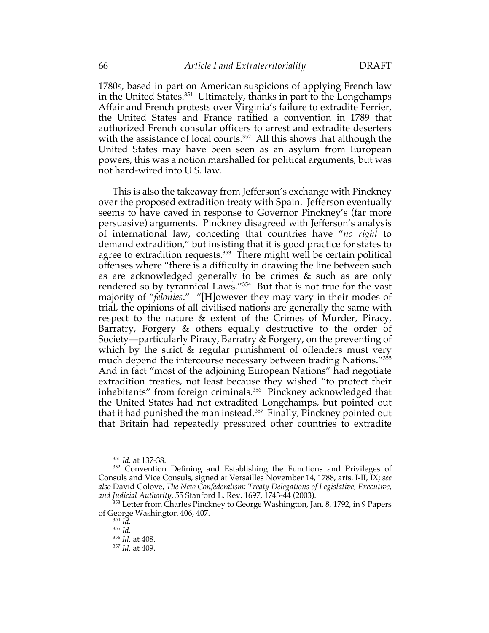1780s, based in part on American suspicions of applying French law in the United States.351 Ultimately, thanks in part to the Longchamps Affair and French protests over Virginia's failure to extradite Ferrier, the United States and France ratified a convention in 1789 that authorized French consular officers to arrest and extradite deserters with the assistance of local courts.<sup>352</sup> All this shows that although the United States may have been seen as an asylum from European powers, this was a notion marshalled for political arguments, but was not hard-wired into U.S. law.

This is also the takeaway from Jefferson's exchange with Pinckney over the proposed extradition treaty with Spain. Jefferson eventually seems to have caved in response to Governor Pinckney's (far more persuasive) arguments. Pinckney disagreed with Jefferson's analysis of international law, conceding that countries have "*no right* to demand extradition," but insisting that it is good practice for states to agree to extradition requests.<sup>353</sup> There might well be certain political offenses where "there is a difficulty in drawing the line between such as are acknowledged generally to be crimes & such as are only rendered so by tyrannical Laws."354 But that is not true for the vast majority of "*felonies*." "[H]owever they may vary in their modes of trial, the opinions of all civilised nations are generally the same with respect to the nature & extent of the Crimes of Murder, Piracy, Barratry, Forgery & others equally destructive to the order of Society—particularly Piracy, Barratry & Forgery, on the preventing of which by the strict & regular punishment of offenders must very much depend the intercourse necessary between trading Nations."<sup>355</sup> And in fact "most of the adjoining European Nations" had negotiate extradition treaties, not least because they wished "to protect their inhabitants" from foreign criminals.<sup>356</sup> Pinckney acknowledged that the United States had not extradited Longchamps, but pointed out that it had punished the man instead.<sup>357</sup> Finally, Pinckney pointed out that Britain had repeatedly pressured other countries to extradite

<sup>351</sup> *Id.* at 137-38.

<sup>&</sup>lt;sup>352</sup> Convention Defining and Establishing the Functions and Privileges of Consuls and Vice Consuls, signed at Versailles November 14, 1788, arts. I-II, IX; *see also* David Golove, *The New Confederalism: Treaty Delegations of Legislative, Executive, and Judicial Authority*, 55 Stanford L. Rev. 1697, 1743-44 (2003).

<sup>&</sup>lt;sup>353</sup> Letter from Charles Pinckney to George Washington, Jan. 8, 1792, in 9 Papers of George Washington 406, 407.

 $^{354}$  *Id.* 

<sup>355</sup> *Id.*

<sup>356</sup> *Id.* at 408.

<sup>357</sup> *Id.* at 409.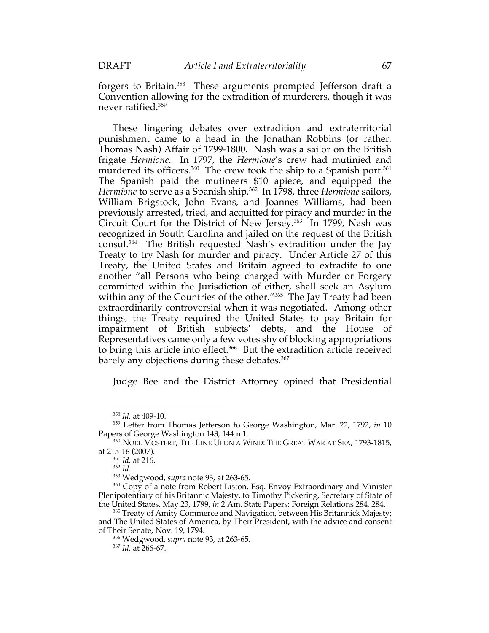forgers to Britain.<sup>358</sup> These arguments prompted Jefferson draft a Convention allowing for the extradition of murderers, though it was never ratified.359

These lingering debates over extradition and extraterritorial punishment came to a head in the Jonathan Robbins (or rather, Thomas Nash) Affair of 1799-1800. Nash was a sailor on the British frigate *Hermione*. In 1797, the *Hermione*'s crew had mutinied and murdered its officers.<sup>360</sup> The crew took the ship to a Spanish port.<sup>361</sup> The Spanish paid the mutineers \$10 apiece, and equipped the *Hermione* to serve as a Spanish ship.<sup>362</sup> In 1798, three *Hermione* sailors, William Brigstock, John Evans, and Joannes Williams, had been previously arrested, tried, and acquitted for piracy and murder in the Circuit Court for the District of New Jersey. 363 In 1799, Nash was recognized in South Carolina and jailed on the request of the British consul. 364 The British requested Nash's extradition under the Jay Treaty to try Nash for murder and piracy. Under Article 27 of this Treaty, the United States and Britain agreed to extradite to one another "all Persons who being charged with Murder or Forgery committed within the Jurisdiction of either, shall seek an Asylum within any of the Countries of the other."<sup>365</sup> The Jay Treaty had been extraordinarily controversial when it was negotiated. Among other things, the Treaty required the United States to pay Britain for impairment of British subjects' debts, and the House of Representatives came only a few votes shy of blocking appropriations to bring this article into effect.<sup>366</sup> But the extradition article received barely any objections during these debates. 367

Judge Bee and the District Attorney opined that Presidential

<sup>358</sup> *Id.* at 409-10.

<sup>359</sup> Letter from Thomas Jefferson to George Washington, Mar. 22, 1792, *in* 10

Papers of George Washington 143, 144 n.1.<br><sup>360</sup> NOEL MOSTERT, THE LINE UPON A WIND: THE GREAT WAR AT SEA, 1793-1815, at 215-16 (2007).

<sup>361</sup> *Id.* at 216.

<sup>362</sup> *Id.*

<sup>363</sup> Wedgwood, *supra* note 93, at 263-65.

<sup>&</sup>lt;sup>364</sup> Copy of a note from Robert Liston, Esq. Envoy Extraordinary and Minister Plenipotentiary of his Britannic Majesty, to Timothy Pickering, Secretary of State of the United States, May 23, 1799, *in* 2 Am. State Papers: Foreign Relations 284, 284.

<sup>&</sup>lt;sup>365</sup> Treaty of Amity Commerce and Navigation, between His Britannick Majesty; and The United States of America, by Their President, with the advice and consent of Their Senate, Nov. 19, 1794.

<sup>366</sup> Wedgwood, *supra* note 93, at 263-65.

<sup>367</sup> *Id.* at 266-67.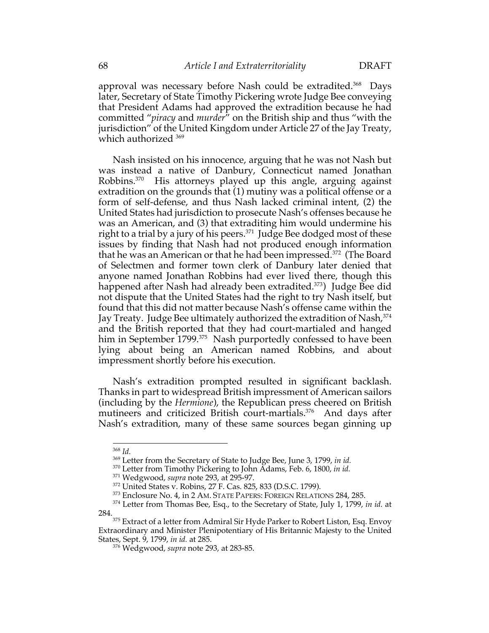approval was necessary before Nash could be extradited. 368 Days later, Secretary of State Timothy Pickering wrote Judge Bee conveying that President Adams had approved the extradition because he had committed "*piracy* and *murder*" on the British ship and thus "with the jurisdiction" of the United Kingdom under Article 27 of the Jay Treaty, which authorized <sup>369</sup>

Nash insisted on his innocence, arguing that he was not Nash but was instead a native of Danbury, Connecticut named Jonathan Robbins.370 His attorneys played up this angle, arguing against extradition on the grounds that (1) mutiny was a political offense or a form of self-defense, and thus Nash lacked criminal intent, (2) the United States had jurisdiction to prosecute Nash's offenses because he was an American, and (3) that extraditing him would undermine his right to a trial by a jury of his peers.<sup>371</sup> Judge Bee dodged most of these issues by finding that Nash had not produced enough information that he was an American or that he had been impressed.372 (The Board of Selectmen and former town clerk of Danbury later denied that anyone named Jonathan Robbins had ever lived there, though this happened after Nash had already been extradited.<sup>373</sup>) Judge Bee did not dispute that the United States had the right to try Nash itself, but found that this did not matter because Nash's offense came within the Jay Treaty. Judge Bee ultimately authorized the extradition of Nash,<sup>374</sup> and the British reported that they had court-martialed and hanged him in September 1799.<sup>375</sup> Nash purportedly confessed to have been lying about being an American named Robbins, and about impressment shortly before his execution.

Nash's extradition prompted resulted in significant backlash. Thanks in part to widespread British impressment of American sailors (including by the *Hermione*), the Republican press cheered on British mutineers and criticized British court-martials.376 And days after Nash's extradition, many of these same sources began ginning up

<sup>368</sup> *Id.*

<sup>369</sup> Letter from the Secretary of State to Judge Bee, June 3, 1799, *in id.*

<sup>370</sup> Letter from Timothy Pickering to John Adams, Feb. 6, 1800, *in id.*

<sup>371</sup> Wedgwood, *supra* note 293, at 295-97.

<sup>372</sup> United States v. Robins, 27 F. Cas. 825, 833 (D.S.C. 1799).

<sup>&</sup>lt;sup>373</sup> Enclosure No. 4, in 2 AM. STATE PAPERS: FOREIGN RELATIONS 284, 285.

<sup>&</sup>lt;sup>374</sup> Letter from Thomas Bee, Esq., to the Secretary of State, July 1, 1799, *in id.* at 284.<br><sup>375</sup> Extract of a letter from Admiral Sir Hyde Parker to Robert Liston, Esq. Envoy

Extraordinary and Minister Plenipotentiary of His Britannic Majesty to the United States, Sept. 9, 1799, *in id.* at 285.

<sup>376</sup> Wedgwood, *supra* note 293, at 283-85.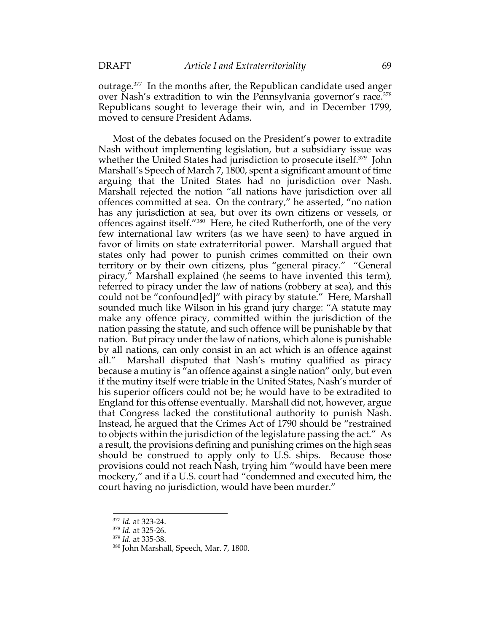outrage.377 In the months after, the Republican candidate used anger over Nash's extradition to win the Pennsylvania governor's race.<sup>378</sup> Republicans sought to leverage their win, and in December 1799, moved to censure President Adams.

Most of the debates focused on the President's power to extradite Nash without implementing legislation, but a subsidiary issue was whether the United States had jurisdiction to prosecute itself.<sup>379</sup> John Marshall's Speech of March 7, 1800, spent a significant amount of time arguing that the United States had no jurisdiction over Nash. Marshall rejected the notion "all nations have jurisdiction over all offences committed at sea. On the contrary," he asserted, "no nation has any jurisdiction at sea, but over its own citizens or vessels, or offences against itself."380 Here, he cited Rutherforth, one of the very few international law writers (as we have seen) to have argued in favor of limits on state extraterritorial power. Marshall argued that states only had power to punish crimes committed on their own territory or by their own citizens, plus "general piracy." "General piracy," Marshall explained (he seems to have invented this term), referred to piracy under the law of nations (robbery at sea), and this could not be "confound[ed]" with piracy by statute." Here, Marshall sounded much like Wilson in his grand jury charge: "A statute may make any offence piracy, committed within the jurisdiction of the nation passing the statute, and such offence will be punishable by that nation. But piracy under the law of nations, which alone is punishable by all nations, can only consist in an act which is an offence against all." Marshall disputed that Nash's mutiny qualified as piracy because a mutiny is "an offence against a single nation" only, but even if the mutiny itself were triable in the United States, Nash's murder of his superior officers could not be; he would have to be extradited to England for this offense eventually. Marshall did not, however, argue that Congress lacked the constitutional authority to punish Nash. Instead, he argued that the Crimes Act of 1790 should be "restrained to objects within the jurisdiction of the legislature passing the act." As a result, the provisions defining and punishing crimes on the high seas should be construed to apply only to U.S. ships. Because those provisions could not reach Nash, trying him "would have been mere mockery," and if a U.S. court had "condemned and executed him, the court having no jurisdiction, would have been murder."

<sup>377</sup> *Id.* at 323-24.

<sup>378</sup> *Id.* at 325-26.

<sup>379</sup> *Id.* at 335-38.

<sup>380</sup> John Marshall, Speech, Mar. 7, 1800.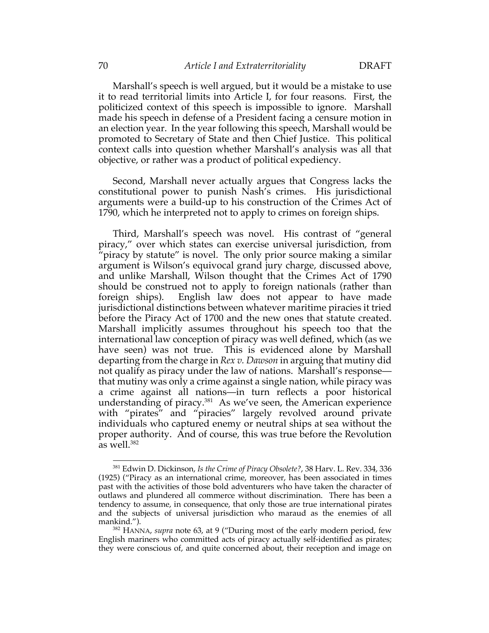Marshall's speech is well argued, but it would be a mistake to use it to read territorial limits into Article I, for four reasons. First, the politicized context of this speech is impossible to ignore. Marshall made his speech in defense of a President facing a censure motion in an election year. In the year following this speech, Marshall would be promoted to Secretary of State and then Chief Justice. This political context calls into question whether Marshall's analysis was all that objective, or rather was a product of political expediency.

Second, Marshall never actually argues that Congress lacks the constitutional power to punish Nash's crimes. His jurisdictional arguments were a build-up to his construction of the Crimes Act of 1790, which he interpreted not to apply to crimes on foreign ships.

Third, Marshall's speech was novel. His contrast of "general piracy," over which states can exercise universal jurisdiction, from "piracy by statute" is novel. The only prior source making a similar argument is Wilson's equivocal grand jury charge, discussed above, and unlike Marshall, Wilson thought that the Crimes Act of 1790 should be construed not to apply to foreign nationals (rather than foreign ships). English law does not appear to have made jurisdictional distinctions between whatever maritime piracies it tried before the Piracy Act of 1700 and the new ones that statute created. Marshall implicitly assumes throughout his speech too that the international law conception of piracy was well defined, which (as we have seen) was not true. This is evidenced alone by Marshall departing from the charge in *Rex v. Dawson* in arguing that mutiny did not qualify as piracy under the law of nations. Marshall's response that mutiny was only a crime against a single nation, while piracy was a crime against all nations—in turn reflects a poor historical understanding of piracy.<sup>381</sup> As we've seen, the American experience with "pirates" and "piracies" largely revolved around private individuals who captured enemy or neutral ships at sea without the proper authority. And of course, this was true before the Revolution as well.382

<sup>381</sup> Edwin D. Dickinson, *Is the Crime of Piracy Obsolete?*, 38 Harv. L. Rev. 334, 336 (1925) ("Piracy as an international crime, moreover, has been associated in times past with the activities of those bold adventurers who have taken the character of outlaws and plundered all commerce without discrimination. There has been a tendency to assume, in consequence, that only those are true international pirates and the subjects of universal jurisdiction who maraud as the enemies of all mankind.").

<sup>382</sup> HANNA, *supra* note 63, at 9 ("During most of the early modern period, few English mariners who committed acts of piracy actually self-identified as pirates; they were conscious of, and quite concerned about, their reception and image on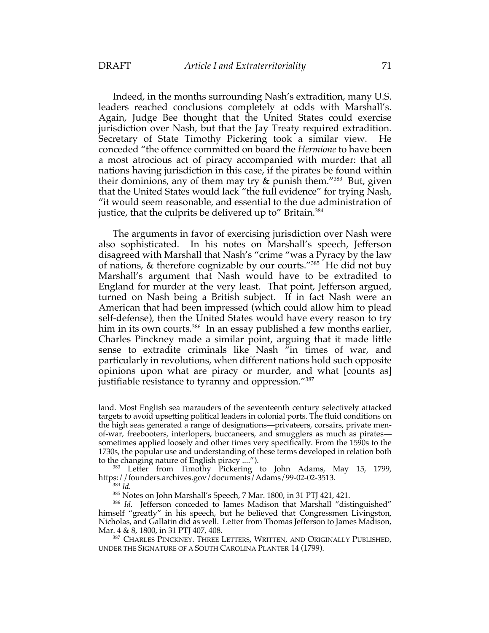Indeed, in the months surrounding Nash's extradition, many U.S. leaders reached conclusions completely at odds with Marshall's. Again, Judge Bee thought that the United States could exercise jurisdiction over Nash, but that the Jay Treaty required extradition. Secretary of State Timothy Pickering took a similar view. He conceded "the offence committed on board the *Hermione* to have been a most atrocious act of piracy accompanied with murder: that all nations having jurisdiction in this case, if the pirates be found within their dominions, any of them may try & punish them."383 But, given that the United States would lack "the full evidence" for trying Nash, "it would seem reasonable, and essential to the due administration of justice, that the culprits be delivered up to" Britain.<sup>384</sup>

The arguments in favor of exercising jurisdiction over Nash were also sophisticated. In his notes on Marshall's speech, Jefferson disagreed with Marshall that Nash's "crime "was a Pyracy by the law of nations, & therefore cognizable by our courts."385 He did not buy Marshall's argument that Nash would have to be extradited to England for murder at the very least. That point, Jefferson argued, turned on Nash being a British subject. If in fact Nash were an American that had been impressed (which could allow him to plead self-defense), then the United States would have every reason to try him in its own courts.<sup>386</sup> In an essay published a few months earlier, Charles Pinckney made a similar point, arguing that it made little sense to extradite criminals like Nash "in times of war, and particularly in revolutions, when different nations hold such opposite opinions upon what are piracy or murder, and what [counts as] justifiable resistance to tyranny and oppression."<sup>387</sup>

land. Most English sea marauders of the seventeenth century selectively attacked targets to avoid upsetting political leaders in colonial ports. The fluid conditions on the high seas generated a range of designations—privateers, corsairs, private menof-war, freebooters, interlopers, buccaneers, and smugglers as much as pirates sometimes applied loosely and other times very specifically. From the 1590s to the 1730s, the popular use and understanding of these terms developed in relation both to the changing nature of English piracy ....").

<sup>&</sup>lt;sup>383</sup> Letter from Timothy Pickering to John Adams, May 15, 1799, https://founders.archives.gov/documents/Adams/99-02-02-3513.

<sup>384</sup> *Id.*

<sup>385</sup> Notes on John Marshall's Speech, 7 Mar. 1800, in 31 PTJ 421, 421.

<sup>&</sup>lt;sup>386</sup> Id. Jefferson conceded to James Madison that Marshall "distinguished" himself "greatly" in his speech, but he believed that Congressmen Livingston, Nicholas, and Gallatin did as well. Letter from Thomas Jefferson to James Madison, Mar. 4 & 8, 1800, in 31 PTJ 407, 408.

<sup>387</sup> CHARLES PINCKNEY. THREE LETTERS, WRITTEN, AND ORIGINALLY PUBLISHED, UNDER THE SIGNATURE OF A SOUTH CAROLINA PLANTER 14 (1799).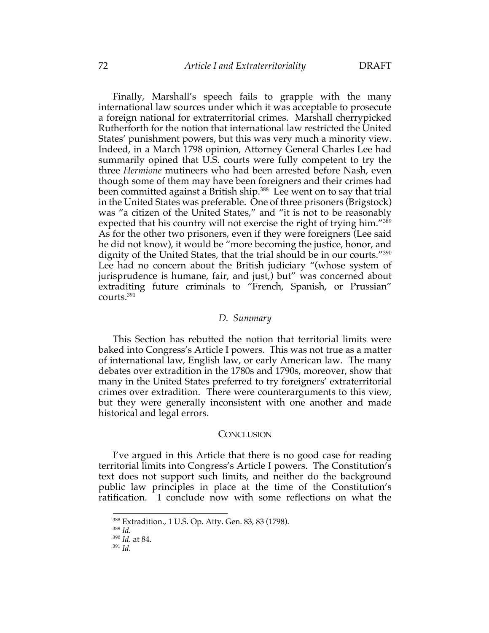Finally, Marshall's speech fails to grapple with the many international law sources under which it was acceptable to prosecute a foreign national for extraterritorial crimes. Marshall cherrypicked Rutherforth for the notion that international law restricted the United States' punishment powers, but this was very much a minority view. Indeed, in a March 1798 opinion, Attorney General Charles Lee had summarily opined that U.S. courts were fully competent to try the three *Hermione* mutineers who had been arrested before Nash, even though some of them may have been foreigners and their crimes had been committed against a British ship.<sup>388</sup> Lee went on to say that trial in the United States was preferable. One of three prisoners (Brigstock) was "a citizen of the United States," and "it is not to be reasonably expected that his country will not exercise the right of trying him."<sup>389</sup> As for the other two prisoners, even if they were foreigners (Lee said he did not know), it would be "more becoming the justice, honor, and dignity of the United States, that the trial should be in our courts."<sup>390</sup> Lee had no concern about the British judiciary "(whose system of jurisprudence is humane, fair, and just,) but" was concerned about extraditing future criminals to "French, Spanish, or Prussian" courts.391

### *D. Summary*

This Section has rebutted the notion that territorial limits were baked into Congress's Article I powers. This was not true as a matter of international law, English law, or early American law. The many debates over extradition in the 1780s and 1790s, moreover, show that many in the United States preferred to try foreigners' extraterritorial crimes over extradition. There were counterarguments to this view, but they were generally inconsistent with one another and made historical and legal errors.

### **CONCLUSION**

I've argued in this Article that there is no good case for reading territorial limits into Congress's Article I powers. The Constitution's text does not support such limits, and neither do the background public law principles in place at the time of the Constitution's ratification. I conclude now with some reflections on what the

<sup>388</sup> Extradition., 1 U.S. Op. Atty. Gen. 83, 83 (1798).

<sup>389</sup> *Id.*

<sup>390</sup> *Id.* at 84.

<sup>391</sup> *Id.*